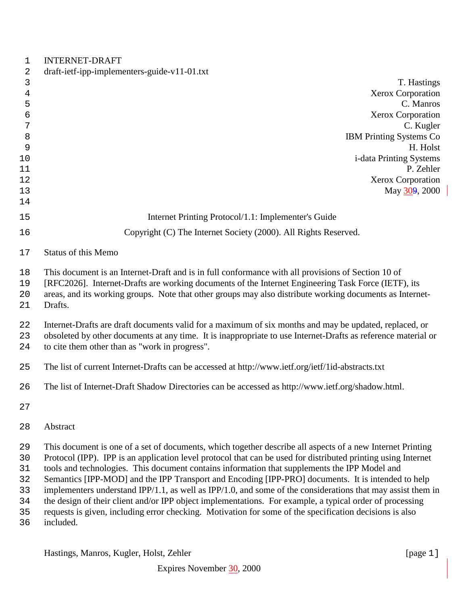| <b>INTERNET-DRAFT</b><br>1 |
|----------------------------|
|                            |

| 2  | draft-ietf-ipp-implementers-guide-v11-01.txt                    |
|----|-----------------------------------------------------------------|
| 3  | T. Hastings                                                     |
| 4  | Xerox Corporation                                               |
| 5  | C. Manros                                                       |
| 6  | Xerox Corporation                                               |
| 7  | C. Kugler                                                       |
| 8  | <b>IBM Printing Systems Co</b>                                  |
| 9  | H. Holst                                                        |
| 10 | <i>i</i> -data Printing Systems                                 |
| 11 | P. Zehler                                                       |
| 12 | Xerox Corporation                                               |
| 13 | May 309, 2000                                                   |
| 14 |                                                                 |
| 15 | Internet Printing Protocol/1.1: Implementer's Guide             |
| 16 | Copyright (C) The Internet Society (2000). All Rights Reserved. |
|    |                                                                 |

## Status of this Memo

This document is an Internet-Draft and is in full conformance with all provisions of Section 10 of

[RFC2026]. Internet-Drafts are working documents of the Internet Engineering Task Force (IETF), its

 areas, and its working groups. Note that other groups may also distribute working documents as Internet-Drafts.

 Internet-Drafts are draft documents valid for a maximum of six months and may be updated, replaced, or obsoleted by other documents at any time. It is inappropriate to use Internet-Drafts as reference material or

to cite them other than as "work in progress".

- The list of current Internet-Drafts can be accessed at http://www.ietf.org/ietf/1id-abstracts.txt
- The list of Internet-Draft Shadow Directories can be accessed as http://www.ietf.org/shadow.html.

Abstract

 This document is one of a set of documents, which together describe all aspects of a new Internet Printing Protocol (IPP). IPP is an application level protocol that can be used for distributed printing using Internet tools and technologies. This document contains information that supplements the IPP Model and Semantics [IPP-MOD] and the IPP Transport and Encoding [IPP-PRO] documents. It is intended to help implementers understand IPP/1.1, as well as IPP/1.0, and some of the considerations that may assist them in the design of their client and/or IPP object implementations. For example, a typical order of processing requests is given, including error checking. Motivation for some of the specification decisions is also

included.

Hastings, Manros, Kugler, Holst, Zehler [page 1]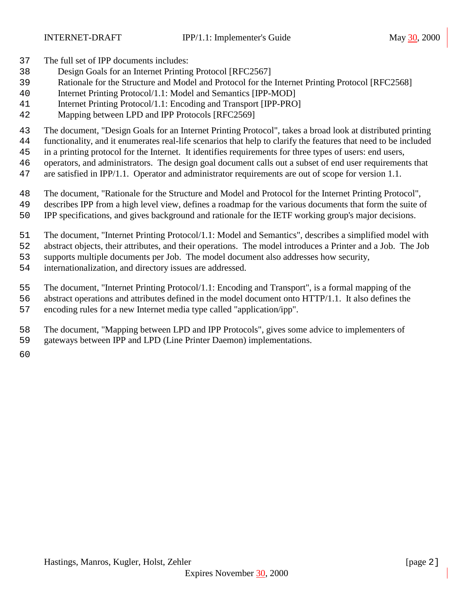- The full set of IPP documents includes:
- Design Goals for an Internet Printing Protocol [RFC2567]
- Rationale for the Structure and Model and Protocol for the Internet Printing Protocol [RFC2568]
- Internet Printing Protocol/1.1: Model and Semantics [IPP-MOD]
- Internet Printing Protocol/1.1: Encoding and Transport [IPP-PRO]
- Mapping between LPD and IPP Protocols [RFC2569]
- The document, "Design Goals for an Internet Printing Protocol", takes a broad look at distributed printing
- functionality, and it enumerates real-life scenarios that help to clarify the features that need to be included
- in a printing protocol for the Internet. It identifies requirements for three types of users: end users,

operators, and administrators. The design goal document calls out a subset of end user requirements that

- are satisfied in IPP/1.1. Operator and administrator requirements are out of scope for version 1.1.
- The document, "Rationale for the Structure and Model and Protocol for the Internet Printing Protocol",
- describes IPP from a high level view, defines a roadmap for the various documents that form the suite of
- IPP specifications, and gives background and rationale for the IETF working group's major decisions.
- The document, "Internet Printing Protocol/1.1: Model and Semantics", describes a simplified model with
- abstract objects, their attributes, and their operations. The model introduces a Printer and a Job. The Job
- supports multiple documents per Job. The model document also addresses how security,
- internationalization, and directory issues are addressed.
- The document, "Internet Printing Protocol/1.1: Encoding and Transport", is a formal mapping of the
- abstract operations and attributes defined in the model document onto HTTP/1.1. It also defines the
- encoding rules for a new Internet media type called "application/ipp".
- The document, "Mapping between LPD and IPP Protocols", gives some advice to implementers of
- gateways between IPP and LPD (Line Printer Daemon) implementations.
-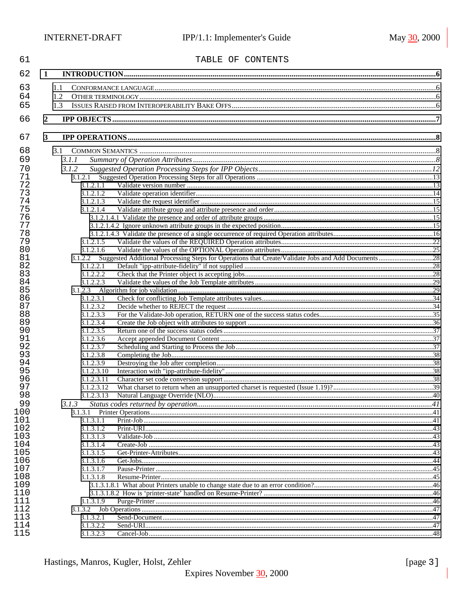|  | TABLE OF CONTENTS |
|--|-------------------|
|  |                   |

| 62         | 1                        |  |
|------------|--------------------------|--|
| 63         | 1.1                      |  |
| 64         | 1.2                      |  |
| 65         | 1.3                      |  |
|            |                          |  |
| 66         | 2                        |  |
| 67         | $\mathbf{3}$             |  |
| 68         | 3.1                      |  |
| 69         | 3.1.1                    |  |
| 70         | 3.1.2                    |  |
| 71         | 3.1.2.1                  |  |
| 72         | 3.1.2.1.1                |  |
| 73         | 3.1.2.1.2                |  |
| 74         | 3.1.2.1.3                |  |
| 75         | 3.1.2.1.4                |  |
| 76<br>77   |                          |  |
| 78         |                          |  |
| 79         | 3.1.2.1.5                |  |
| 80         | 3.1.2.1.6                |  |
| 81         |                          |  |
| 82         | 3.1.2.2.1                |  |
| 83         | 3.1.2.2.2                |  |
| 84         | 3.1.2.2.3                |  |
| 85         |                          |  |
| 86<br>87   | 3.1.2.3.1                |  |
| 88         | 3.1.2.3.2<br>3.1.2.3.3   |  |
| 89         | 3.1.2.3.4                |  |
| 90         | 3.1.2.3.5                |  |
| 91         | 3.1.2.3.6                |  |
| 92         | 3.1.2.3.7                |  |
| 93         | 3.1.2.3.8                |  |
| 94         | 3.1.2.3.9                |  |
| 95         | 3.1.2.3.10               |  |
| 96<br>97   | 3.1.2.3.11               |  |
| 98         | 3.1.2.3.12<br>3.1.2.3.13 |  |
| 99         | 3.1.3                    |  |
| 100        |                          |  |
| 101        | 3.1.3.1.1                |  |
| 102        | 3.1.3.1.2                |  |
| 103        | 3.1.3.1.3                |  |
| 104        | 3.1.3.1.4                |  |
| 105        | 3.1.3.1.5                |  |
| 106<br>107 | 3.1.3.1.6                |  |
| 108        | 3.1.3.1.7<br>3.1.3.1.8   |  |
| 109        |                          |  |
| 110        |                          |  |
| 111        | 3.1.3.1.9                |  |
| 112        |                          |  |
| 113        | 3.1.3.2.1                |  |
| 114        | 3.1.3.2.2                |  |
| 115        | 3.1.3.2.3                |  |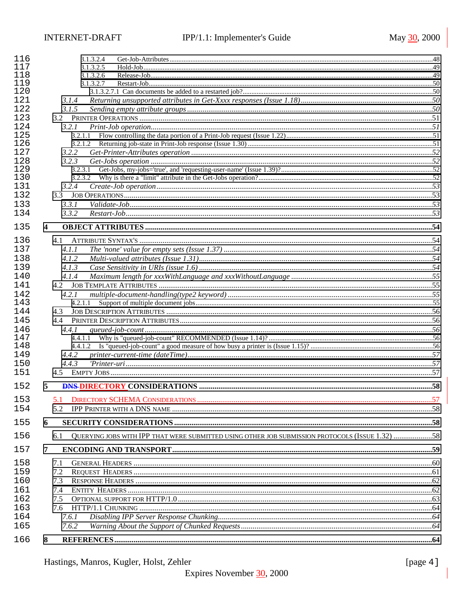| 116<br>117<br>118<br>119<br>120<br>121<br>122<br>123<br>124<br>125<br>126<br>127<br>128<br>129<br>130<br>131 |                         | 3.1.3.2.4<br>3.1.3.2.5<br>3.1.3.2.6<br>3.1.3.2.7<br>3.1.4<br>3.1.5<br>3.2.1<br>3.2.1.1<br>3.2.2<br>3.2.3 |  |
|--------------------------------------------------------------------------------------------------------------|-------------------------|----------------------------------------------------------------------------------------------------------|--|
| 132                                                                                                          | 3.3                     | 3.2.4                                                                                                    |  |
| 133                                                                                                          |                         | 3.3.1                                                                                                    |  |
| 134                                                                                                          |                         | 3.3.2                                                                                                    |  |
| 135                                                                                                          | $\overline{\mathbf{4}}$ |                                                                                                          |  |
| 136                                                                                                          |                         |                                                                                                          |  |
| 137                                                                                                          |                         | 4.1.1                                                                                                    |  |
| 138                                                                                                          |                         | 4.1.2                                                                                                    |  |
| 139                                                                                                          |                         | 4.1.3                                                                                                    |  |
| 140                                                                                                          |                         | 4.1.4                                                                                                    |  |
| 141                                                                                                          |                         |                                                                                                          |  |
| 142                                                                                                          |                         | 4.2.1                                                                                                    |  |
| 143                                                                                                          |                         | 4.2.1.1                                                                                                  |  |
| 144                                                                                                          | 4.3                     |                                                                                                          |  |
| 145                                                                                                          | 4.4                     |                                                                                                          |  |
| 146                                                                                                          |                         | 4.4.1                                                                                                    |  |
| 147<br>148                                                                                                   |                         | 4.4.1.1                                                                                                  |  |
| 149                                                                                                          |                         | 4.4.2                                                                                                    |  |
| 150                                                                                                          |                         | 4.4.3                                                                                                    |  |
| 151                                                                                                          |                         |                                                                                                          |  |
|                                                                                                              |                         |                                                                                                          |  |
| 152                                                                                                          | 5                       |                                                                                                          |  |
| 153                                                                                                          | 5.1                     |                                                                                                          |  |
| 154                                                                                                          | 5.2                     |                                                                                                          |  |
| 155                                                                                                          | 6                       |                                                                                                          |  |
| 156                                                                                                          | 6.1                     | QUERYING JOBS WITH IPP THAT WERE SUBMITTED USING OTHER JOB SUBMISSION PROTOCOLS (ISSUE 1.32) 58          |  |
| 157                                                                                                          | 7                       |                                                                                                          |  |
|                                                                                                              |                         |                                                                                                          |  |
| 158                                                                                                          | 7.1                     |                                                                                                          |  |
| 159                                                                                                          | 7.2                     |                                                                                                          |  |
| 160<br>161                                                                                                   | 7.3                     |                                                                                                          |  |
| 162                                                                                                          | 7.4<br>7.5              |                                                                                                          |  |
| 163                                                                                                          | 7.6                     |                                                                                                          |  |
| 164                                                                                                          |                         | 7.6.1                                                                                                    |  |
| 165                                                                                                          |                         | 7.6.2                                                                                                    |  |
|                                                                                                              |                         |                                                                                                          |  |
| 166                                                                                                          | 8                       |                                                                                                          |  |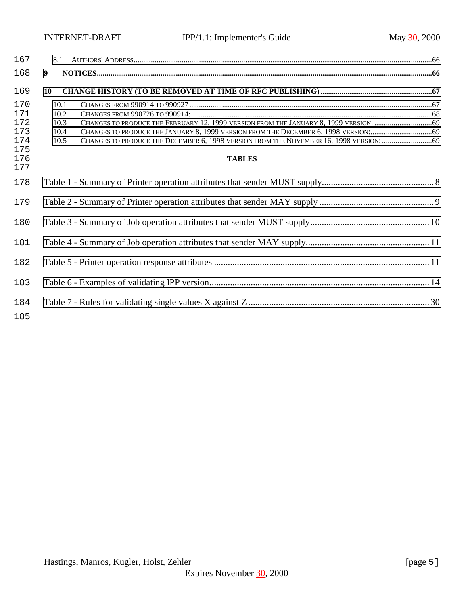| 167                                                  | 8.1                                                                                                                                              |
|------------------------------------------------------|--------------------------------------------------------------------------------------------------------------------------------------------------|
| 168                                                  | 9                                                                                                                                                |
| 169                                                  | 10                                                                                                                                               |
| 170<br>171<br>172<br>173<br>174<br>175<br>176<br>177 | 10.1<br>10.2<br>10.3<br>10.4<br>CHANGES TO PRODUCE THE DECEMBER 6, 1998 VERSION FROM THE NOVEMBER 16, 1998 VERSION:  69<br>10.5<br><b>TABLES</b> |
| 178                                                  |                                                                                                                                                  |
| 179                                                  |                                                                                                                                                  |
| 180                                                  |                                                                                                                                                  |
| 181                                                  |                                                                                                                                                  |
| 182                                                  |                                                                                                                                                  |
| 183                                                  |                                                                                                                                                  |
| 184<br>185                                           |                                                                                                                                                  |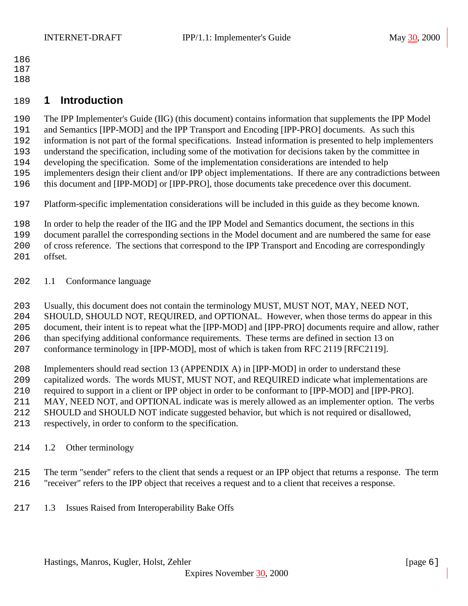- <span id="page-5-0"></span>
- 
- 

# **1 Introduction**

 The IPP Implementer's Guide (IIG) (this document) contains information that supplements the IPP Model and Semantics [IPP-MOD] and the IPP Transport and Encoding [IPP-PRO] documents. As such this information is not part of the formal specifications. Instead information is presented to help implementers understand the specification, including some of the motivation for decisions taken by the committee in

developing the specification. Some of the implementation considerations are intended to help

implementers design their client and/or IPP object implementations. If there are any contradictions between

this document and [IPP-MOD] or [IPP-PRO], those documents take precedence over this document.

Platform-specific implementation considerations will be included in this guide as they become known.

 In order to help the reader of the IIG and the IPP Model and Semantics document, the sections in this document parallel the corresponding sections in the Model document and are numbered the same for ease

of cross reference. The sections that correspond to the IPP Transport and Encoding are correspondingly

- offset.
- 1.1 Conformance language
- Usually, this document does not contain the terminology MUST, MUST NOT, MAY, NEED NOT,

SHOULD, SHOULD NOT, REQUIRED, and OPTIONAL. However, when those terms do appear in this

document, their intent is to repeat what the [IPP-MOD] and [IPP-PRO] documents require and allow, rather

than specifying additional conformance requirements. These terms are defined in section 13 on

conformance terminology in [IPP-MOD], most of which is taken from RFC 2119 [RFC2119].

 Implementers should read section 13 (APPENDIX A) in [IPP-MOD] in order to understand these capitalized words. The words MUST, MUST NOT, and REQUIRED indicate what implementations are

required to support in a client or IPP object in order to be conformant to [IPP-MOD] and [IPP-PRO].

MAY, NEED NOT, and OPTIONAL indicate was is merely allowed as an implementer option. The verbs

SHOULD and SHOULD NOT indicate suggested behavior, but which is not required or disallowed,

- respectively, in order to conform to the specification.
- 1.2 Other terminology
- The term "sender" refers to the client that sends a request or an IPP object that returns a response. The term "receiver" refers to the IPP object that receives a request and to a client that receives a response.
- 1.3 Issues Raised from Interoperability Bake Offs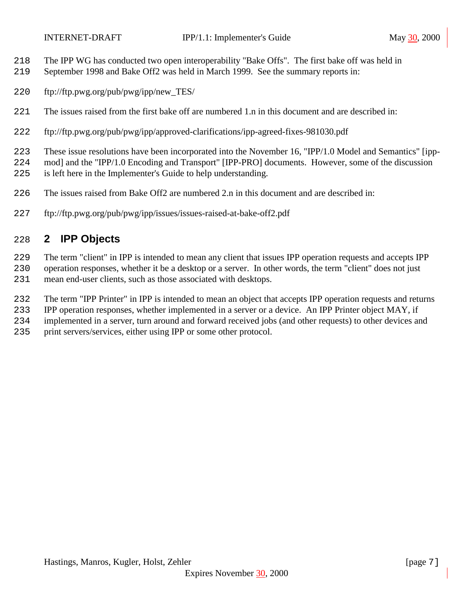- <span id="page-6-0"></span>The IPP WG has conducted two open interoperability "Bake Offs". The first bake off was held in
- September 1998 and Bake Off2 was held in March 1999. See the summary reports in:
- ftp://ftp.pwg.org/pub/pwg/ipp/new\_TES/
- The issues raised from the first bake off are numbered 1.n in this document and are described in:
- ftp://ftp.pwg.org/pub/pwg/ipp/approved-clarifications/ipp-agreed-fixes-981030.pdf
- These issue resolutions have been incorporated into the November 16, "IPP/1.0 Model and Semantics" [ipp-
- mod] and the "IPP/1.0 Encoding and Transport" [IPP-PRO] documents. However, some of the discussion
- is left here in the Implementer's Guide to help understanding.
- The issues raised from Bake Off2 are numbered 2.n in this document and are described in:
- ftp://ftp.pwg.org/pub/pwg/ipp/issues/issues-raised-at-bake-off2.pdf

# **2 IPP Objects**

- The term "client" in IPP is intended to mean any client that issues IPP operation requests and accepts IPP
- operation responses, whether it be a desktop or a server. In other words, the term "client" does not just
- mean end-user clients, such as those associated with desktops.
- The term "IPP Printer" in IPP is intended to mean an object that accepts IPP operation requests and returns
- IPP operation responses, whether implemented in a server or a device. An IPP Printer object MAY, if
- implemented in a server, turn around and forward received jobs (and other requests) to other devices and
- print servers/services, either using IPP or some other protocol.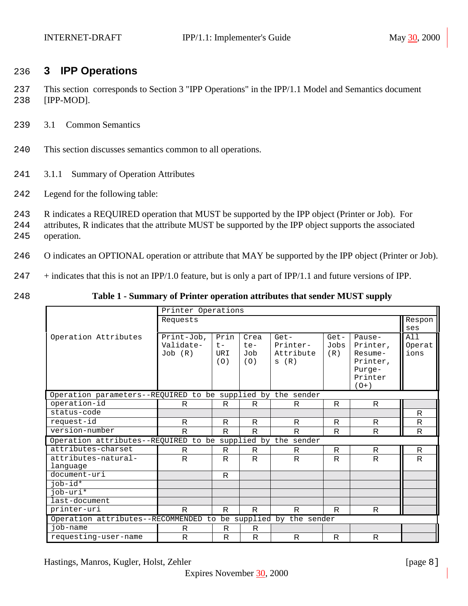# <span id="page-7-0"></span>236 **3 IPP Operations**

237 This section corresponds to Section 3 "IPP Operations" in the IPP/1.1 Model and Semantics document 238 [IPP-MOD].

- 239 3.1 Common Semantics
- 240 This section discusses semantics common to all operations.
- 241 3.1.1 Summary of Operation Attributes
- 242 Legend for the following table:
- 243 R indicates a REQUIRED operation that MUST be supported by the IPP object (Printer or Job). For
- 244 attributes, R indicates that the attribute MUST be supported by the IPP object supports the associated 245 operation.
- 246 O indicates an OPTIONAL operation or attribute that MAY be supported by the IPP object (Printer or Job).
- 247 + indicates that this is not an IPP/1.0 feature, but is only a part of IPP/1.1 and future versions of IPP.
- 

248 **Table 1 - Summary of Printer operation attributes that sender MUST supply**

|                                                                |                                                             | Printer Operations          |                             |                                         |                       |                                                                          |                       |  |  |  |
|----------------------------------------------------------------|-------------------------------------------------------------|-----------------------------|-----------------------------|-----------------------------------------|-----------------------|--------------------------------------------------------------------------|-----------------------|--|--|--|
|                                                                | Requests                                                    |                             |                             |                                         |                       |                                                                          | Respon                |  |  |  |
|                                                                |                                                             |                             |                             |                                         |                       |                                                                          | ses                   |  |  |  |
| Operation Attributes                                           | Print-Job,<br>Validate-<br>Job (R)                          | Prin<br>$t -$<br>URI<br>(0) | Crea<br>$te-$<br>Job<br>(0) | $Get-$<br>Printer-<br>Attribute<br>s(R) | $Get-$<br>Jobs<br>(R) | Pause-<br>Printer,<br>Resume-<br>Printer,<br>Purge-<br>Printer<br>$(0+)$ | A11<br>Operat<br>ions |  |  |  |
|                                                                | Operation parameters--REQUIRED to be supplied by the sender |                             |                             |                                         |                       |                                                                          |                       |  |  |  |
| operation-id                                                   | R                                                           | R.                          | R                           | R                                       | R.                    | $\mathsf{R}$                                                             |                       |  |  |  |
| status-code                                                    |                                                             |                             |                             |                                         |                       |                                                                          | $\mathsf{R}$          |  |  |  |
| request-id                                                     | R                                                           | R.                          | R.                          | R                                       | R                     | R                                                                        | R                     |  |  |  |
| version-number                                                 | R                                                           | R.                          | R.                          | R                                       | R                     | R                                                                        | R                     |  |  |  |
| Operation attributes--REQUIRED to be supplied by the sender    |                                                             |                             |                             |                                         |                       |                                                                          |                       |  |  |  |
| attributes-charset                                             | R                                                           | R                           | R.                          | R                                       | R                     | R                                                                        | $\mathsf{R}$          |  |  |  |
| attributes-natural-<br>language                                | R                                                           | R                           | R                           | R                                       | R                     | R                                                                        | R                     |  |  |  |
| document-uri                                                   |                                                             | $\mathsf{R}$                |                             |                                         |                       |                                                                          |                       |  |  |  |
| job-id*                                                        |                                                             |                             |                             |                                         |                       |                                                                          |                       |  |  |  |
| job-uri*                                                       |                                                             |                             |                             |                                         |                       |                                                                          |                       |  |  |  |
| last-document                                                  |                                                             |                             |                             |                                         |                       |                                                                          |                       |  |  |  |
| printer-uri                                                    | R                                                           | R                           | R                           | R                                       | R                     | R                                                                        |                       |  |  |  |
| Operation attributes--RECOMMENDED to be supplied by the sender |                                                             |                             |                             |                                         |                       |                                                                          |                       |  |  |  |
| iob-name                                                       | R                                                           | R                           | R.                          |                                         |                       |                                                                          |                       |  |  |  |
| requesting-user-name                                           | $\mathsf{R}$                                                | $\mathsf{R}$                | R                           | $\mathsf{R}$                            | R                     | $\mathsf{R}$                                                             |                       |  |  |  |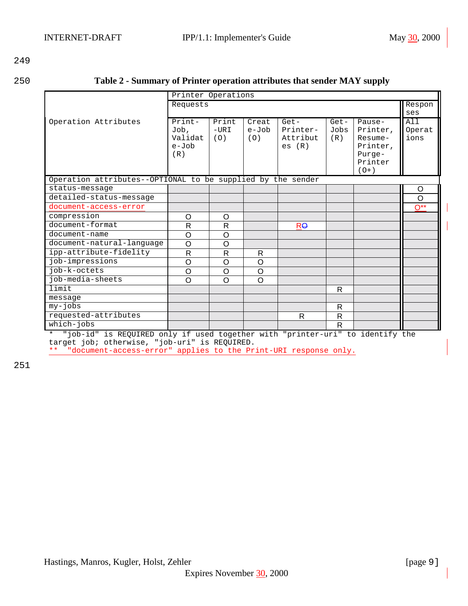### <span id="page-8-0"></span>250 **Table 2 - Summary of Printer operation attributes that sender MAY supply**

|                                                                                                                         | Printer Operations                             |                                  |                       |                                         |                       |                                                                          |                       |
|-------------------------------------------------------------------------------------------------------------------------|------------------------------------------------|----------------------------------|-----------------------|-----------------------------------------|-----------------------|--------------------------------------------------------------------------|-----------------------|
|                                                                                                                         | Requests                                       |                                  |                       |                                         |                       |                                                                          | Respon                |
|                                                                                                                         |                                                |                                  |                       |                                         |                       |                                                                          | ses                   |
| Operation Attributes                                                                                                    | $Print-$<br>Job,<br>Validat<br>$e$ -Job<br>(R) | Print<br>$- \mathrm{URI}$<br>(O) | Creat<br>e-Job<br>(O) | $Get-$<br>Printer-<br>Attribut<br>es(R) | $Get-$<br>Jobs<br>(R) | Pause-<br>Printer,<br>Resume-<br>Printer,<br>Purge-<br>Printer<br>$(0+)$ | A11<br>Operat<br>ions |
| Operation attributes--OPTIONAL to be supplied by the sender                                                             |                                                |                                  |                       |                                         |                       |                                                                          |                       |
| status-message                                                                                                          |                                                |                                  |                       |                                         |                       |                                                                          | O                     |
| detailed-status-message                                                                                                 |                                                |                                  |                       |                                         |                       |                                                                          | O                     |
| document-access-error                                                                                                   |                                                |                                  |                       |                                         |                       |                                                                          | $O^{**}$              |
| compression                                                                                                             | O                                              | O                                |                       |                                         |                       |                                                                          |                       |
| document-format                                                                                                         | $\overline{R}$                                 | R                                |                       | <b>RO</b>                               |                       |                                                                          |                       |
| document-name                                                                                                           | O                                              | $\overline{O}$                   |                       |                                         |                       |                                                                          |                       |
| document-natural-language                                                                                               | O                                              | $\overline{O}$                   |                       |                                         |                       |                                                                          |                       |
| ipp-attribute-fidelity                                                                                                  | $\mathsf{R}$                                   | R                                | R                     |                                         |                       |                                                                          |                       |
| job-impressions                                                                                                         | $\circ$                                        | $\circ$                          | O                     |                                         |                       |                                                                          |                       |
| job-k-octets                                                                                                            | $\circ$                                        | O                                | $\circ$               |                                         |                       |                                                                          |                       |
| job-media-sheets                                                                                                        | $\Omega$                                       | $\Omega$                         | $\Omega$              |                                         |                       |                                                                          |                       |
| limit                                                                                                                   |                                                |                                  |                       |                                         | $\mathsf{R}$          |                                                                          |                       |
| message                                                                                                                 |                                                |                                  |                       |                                         |                       |                                                                          |                       |
| my-jobs                                                                                                                 |                                                |                                  |                       |                                         | R.                    |                                                                          |                       |
| requested-attributes                                                                                                    |                                                |                                  |                       | $\mathsf{R}$                            | $\mathsf{R}$          |                                                                          |                       |
| which-jobs<br>$*$ $\blacksquare$ id $\blacksquare$ in DEOUIDED only if used together with "printer uri" to identify the |                                                |                                  |                       |                                         | R                     |                                                                          |                       |

\* "job-id" is REQUIRED only if used together with "printer-uri" to identify the target job; otherwise, "job-uri" is REQUIRED.

\*\* "document-access-error" applies to the Print-URI response only.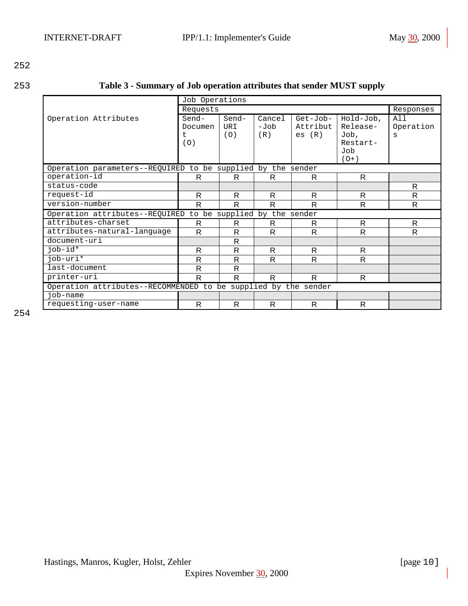## <span id="page-9-0"></span>253 **Table 3 - Summary of Job operation attributes that sender MUST supply**

|                                                                |                               | Job Operations      |                         |                                                   |                                                              |                       |  |  |
|----------------------------------------------------------------|-------------------------------|---------------------|-------------------------|---------------------------------------------------|--------------------------------------------------------------|-----------------------|--|--|
|                                                                | Requests                      |                     |                         |                                                   |                                                              | Responses             |  |  |
| Operation Attributes                                           | Send-<br>Documen<br>t.<br>(0) | Send-<br>URI<br>(O) | Cancel<br>$-Job$<br>(R) | Get-Job-<br>Attribut<br>$\mathsf{es}(\mathsf{R})$ | $Hold-Job,$<br>Release-<br>Job,<br>Restart-<br>Job<br>$(0+)$ | All<br>Operation<br>S |  |  |
| Operation parameters--REQUIRED to be supplied by the sender    |                               |                     |                         |                                                   |                                                              |                       |  |  |
| operation-id                                                   | R                             | R.                  | R                       | R                                                 | R                                                            |                       |  |  |
| status-code                                                    |                               |                     |                         |                                                   |                                                              | R                     |  |  |
| $request$ - $id$                                               | R                             | R                   | R                       | R                                                 | R                                                            | R                     |  |  |
| version-number                                                 | R                             | R                   | $\mathsf{R}$            | R                                                 | $\mathsf{R}$                                                 | $\mathsf{R}$          |  |  |
| Operation attributes--REQUIRED to be supplied by the sender    |                               |                     |                         |                                                   |                                                              |                       |  |  |
| attributes-charset                                             | R                             | R                   | R                       | R                                                 | R                                                            | R                     |  |  |
| attributes-natural-language                                    | R                             | $\mathsf{R}$        | R                       | R                                                 | R                                                            | $\mathsf{R}$          |  |  |
| document-uri                                                   |                               | R                   |                         |                                                   |                                                              |                       |  |  |
| $job-id*$                                                      | R                             | R                   | R                       | R                                                 | R.                                                           |                       |  |  |
| job-uri*                                                       | R                             | R                   | $\mathsf{R}$            | $\mathsf{R}$                                      | R                                                            |                       |  |  |
| last-document                                                  | R                             | $\mathsf{R}$        |                         |                                                   |                                                              |                       |  |  |
| printer-uri                                                    | R                             | R                   | R                       | R                                                 | R                                                            |                       |  |  |
| Operation attributes--RECOMMENDED to be supplied by the sender |                               |                     |                         |                                                   |                                                              |                       |  |  |
| job-name                                                       |                               |                     |                         |                                                   |                                                              |                       |  |  |
| requesting-user-name                                           | R                             | R                   | R                       | R                                                 | R                                                            |                       |  |  |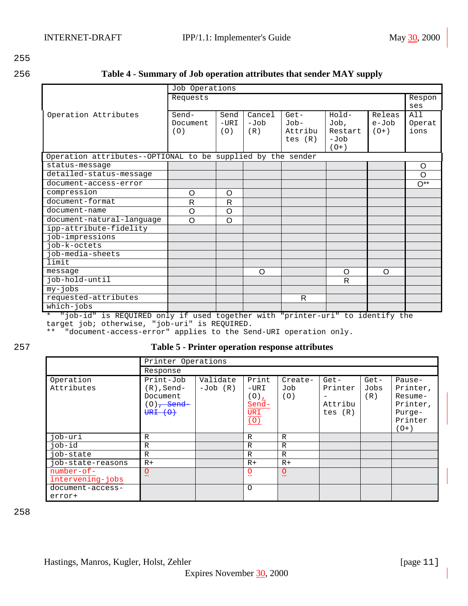### <span id="page-10-0"></span>256 **Table 4 - Summary of Job operation attributes that sender MAY supply**

|                                                             | Job Operations |          |          |         |          |          |                |
|-------------------------------------------------------------|----------------|----------|----------|---------|----------|----------|----------------|
|                                                             | Requests       |          |          |         |          |          | Respon         |
|                                                             |                |          |          |         |          |          | ses            |
| Operation Attributes                                        | Send-          | Send     | Cancel   | $Get-$  | $Hold-$  | Releas   | A11            |
|                                                             | Document       | $-URI$   | $-Job$   | $Job-$  | Job,     | e-Job    | Operat         |
|                                                             | (O)            | ( O )    | (R)      | Attribu | Restart  | $(O+ )$  | ions           |
|                                                             |                |          |          | tes (R) | $-Job$   |          |                |
|                                                             |                |          |          |         | $(O+ )$  |          |                |
| Operation attributes--OPTIONAL to be supplied by the sender |                |          |          |         |          |          |                |
| status-message                                              |                |          |          |         |          |          | O              |
| detailed-status-message                                     |                |          |          |         |          |          | $\Omega$       |
| document-access-error                                       |                |          |          |         |          |          | $\bigcap^{**}$ |
| compression                                                 | O              | O        |          |         |          |          |                |
| document-format                                             | R              | R        |          |         |          |          |                |
| document-name                                               | O              | O        |          |         |          |          |                |
| document-natural-language                                   | O              | $\Omega$ |          |         |          |          |                |
| ipp-attribute-fidelity                                      |                |          |          |         |          |          |                |
| job-impressions                                             |                |          |          |         |          |          |                |
| job-k-octets                                                |                |          |          |         |          |          |                |
| job-media-sheets                                            |                |          |          |         |          |          |                |
| limit                                                       |                |          |          |         |          |          |                |
| message                                                     |                |          | $\Omega$ |         | $\Omega$ | $\Omega$ |                |
| job-hold-until                                              |                |          |          |         | R        |          |                |
| my-jobs                                                     |                |          |          |         |          |          |                |
| requested-attributes                                        |                |          |          | R.      |          |          |                |
| which-jobs                                                  |                |          |          |         |          |          |                |

\* "job-id" is REQUIRED only if used together with "printer-uri" to identify the target job; otherwise, "job-uri" is REQUIRED.

\*\* "document-access-error" applies to the Send-URI operation only.

## 257 **Table 5 - Printer operation response attributes**

|                                  | Printer Operations                                                          |                        |                                                                              |                       |                                         |                       |                                                                          |  |  |
|----------------------------------|-----------------------------------------------------------------------------|------------------------|------------------------------------------------------------------------------|-----------------------|-----------------------------------------|-----------------------|--------------------------------------------------------------------------|--|--|
|                                  | Response                                                                    |                        |                                                                              |                       |                                         |                       |                                                                          |  |  |
| Operation<br>Attributes          | Print-Job<br>(R),Send-<br>Document<br>(0) <del>, Send-</del><br>$URI$ $(0)$ | Validate<br>$-Job (R)$ | Print<br>$-URI$<br>$(0)$ ,<br>$Sen\overline{d}$ -<br>URI<br>$\overline{(0)}$ | Create-<br>Job<br>(0) | $Get-$<br>Printer<br>Attribu<br>tes (R) | $Get-$<br>Jobs<br>(R) | Pause-<br>Printer,<br>Resume-<br>Printer,<br>Purge-<br>Printer<br>$(0+)$ |  |  |
| job-uri                          | R                                                                           |                        | $\mathbb{R}$                                                                 | R                     |                                         |                       |                                                                          |  |  |
| job-id                           | R                                                                           |                        | $\mathbb{R}$                                                                 | R                     |                                         |                       |                                                                          |  |  |
| job-state                        | $\mathbb R$                                                                 |                        | $\mathbb{R}$                                                                 | $\mathbb{R}$          |                                         |                       |                                                                          |  |  |
| job-state-reasons                | $R+$                                                                        |                        | $R+$                                                                         | $R+$                  |                                         |                       |                                                                          |  |  |
| $number-of-$<br>intervening-jobs | $\Omega$                                                                    |                        | $\circ$                                                                      | $\Omega$              |                                         |                       |                                                                          |  |  |
| document-access-<br>error+       |                                                                             |                        | $\Omega$                                                                     |                       |                                         |                       |                                                                          |  |  |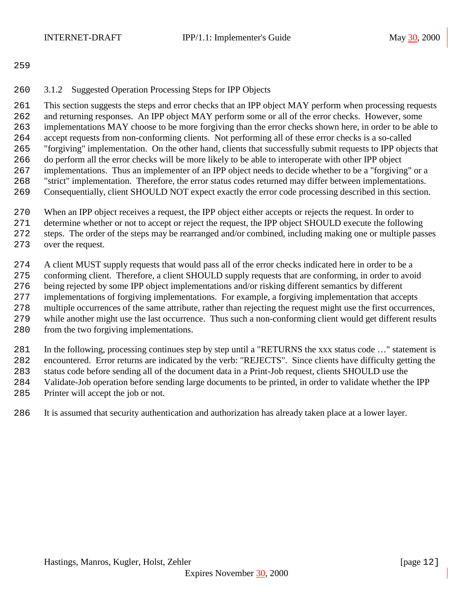## <span id="page-11-0"></span>3.1.2 Suggested Operation Processing Steps for IPP Objects

 This section suggests the steps and error checks that an IPP object MAY perform when processing requests and returning responses. An IPP object MAY perform some or all of the error checks. However, some implementations MAY choose to be more forgiving than the error checks shown here, in order to be able to accept requests from non-conforming clients. Not performing all of these error checks is a so-called "forgiving" implementation. On the other hand, clients that successfully submit requests to IPP objects that do perform all the error checks will be more likely to be able to interoperate with other IPP object implementations. Thus an implementer of an IPP object needs to decide whether to be a "forgiving" or a "strict" implementation. Therefore, the error status codes returned may differ between implementations. Consequentially, client SHOULD NOT expect exactly the error code processing described in this section.

- When an IPP object receives a request, the IPP object either accepts or rejects the request. In order to
- determine whether or not to accept or reject the request, the IPP object SHOULD execute the following
- steps. The order of the steps may be rearranged and/or combined, including making one or multiple passes
- over the request.
- A client MUST supply requests that would pass all of the error checks indicated here in order to be a
- conforming client. Therefore, a client SHOULD supply requests that are conforming, in order to avoid
- being rejected by some IPP object implementations and/or risking different semantics by different
- implementations of forgiving implementations. For example, a forgiving implementation that accepts
- multiple occurrences of the same attribute, rather than rejecting the request might use the first occurrences,
- while another might use the last occurrence. Thus such a non-conforming client would get different results
- from the two forgiving implementations.
- In the following, processing continues step by step until a "RETURNS the xxx status code …" statement is encountered. Error returns are indicated by the verb: "REJECTS". Since clients have difficulty getting the
- status code before sending all of the document data in a Print-Job request, clients SHOULD use the
- Validate-Job operation before sending large documents to be printed, in order to validate whether the IPP
- Printer will accept the job or not.
- It is assumed that security authentication and authorization has already taken place at a lower layer.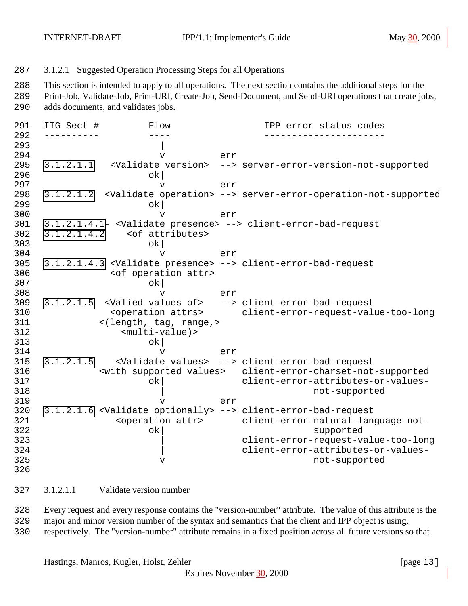<span id="page-12-0"></span>

#### 3.1.2.1 Suggested Operation Processing Steps for all Operations

 This section is intended to apply to all operations. The next section contains the additional steps for the Print-Job, Validate-Job, Print-URI, Create-Job, Send-Document, and Send-URI operations that create jobs, adds documents, and validates jobs.

 IIG Sect # Flow IPP error status codes ---------- ---- ---------------------- | v err 3.1.2.1.1 <Validate version> --> server-error-version-not-supported ok| v err [3.1.2.1.2](#page-13-0) <Validate operation> --> server-error-operation-not-supported ok| v err [3.1.2.1.4.1-](#page-14-0) <Validate presence> --> client-error-bad-request [3.1.2.1.4.2](#page-14-0) <of attributes> ok| v err [3.1.2.1.4.3](#page-15-0) <Validate presence> --> client-error-bad-request 306 <of operation attr> ok| v err [3.1.2.1.5](#page-21-0) <Valied values of> --> client-error-bad-request <operation attrs> client-error-request-value-too-long <(length, tag, range,> <multi-value)> ok| v err [3.1.2.1.5](#page-21-0) <Validate values> --> client-error-bad-request <with supported values> client-error-charset-not-supported ok| client-error-attributes-or-values- | not-supported v err [3.1.2.1.6](#page-24-0) <Validate optionally> --> client-error-bad-request <operation attr> client-error-natural-language-not- ok| supported | client-error-request-value-too-long | client-error-attributes-or-values- v not-supported 

3.1.2.1.1 Validate version number

 Every request and every response contains the "version-number" attribute. The value of this attribute is the major and minor version number of the syntax and semantics that the client and IPP object is using, respectively. The "version-number" attribute remains in a fixed position across all future versions so that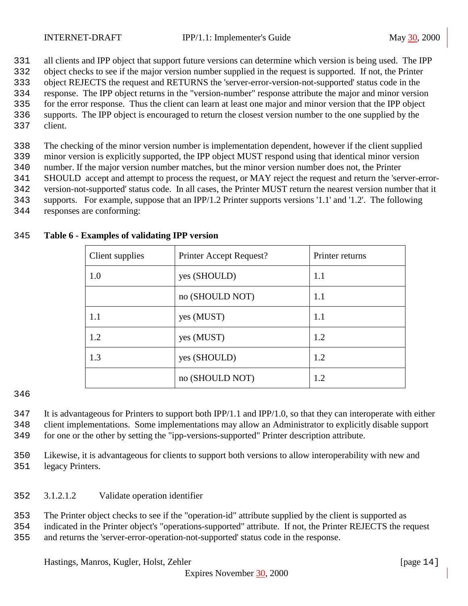<span id="page-13-0"></span>

- all clients and IPP object that support future versions can determine which version is being used. The IPP
- object checks to see if the major version number supplied in the request is supported. If not, the Printer
- object REJECTS the request and RETURNS the 'server-error-version-not-supported' status code in the
- response. The IPP object returns in the "version-number" response attribute the major and minor version
- for the error response. Thus the client can learn at least one major and minor version that the IPP object
- supports. The IPP object is encouraged to return the closest version number to the one supplied by the
- client.

The checking of the minor version number is implementation dependent, however if the client supplied

minor version is explicitly supported, the IPP object MUST respond using that identical minor version

- number. If the major version number matches, but the minor version number does not, the Printer
- SHOULD accept and attempt to process the request, or MAY reject the request and return the 'server-error-
- version-not-supported' status code. In all cases, the Printer MUST return the nearest version number that it supports. For example, suppose that an IPP/1.2 Printer supports versions '1.1' and '1.2'. The following
- responses are conforming:

| Client supplies | <b>Printer Accept Request?</b> | Printer returns |
|-----------------|--------------------------------|-----------------|
| 1.0             | yes (SHOULD)                   | 1.1             |
|                 | no (SHOULD NOT)                | 1.1             |
| 1.1             | yes (MUST)                     | 1.1             |
| 1.2             | yes (MUST)                     | 1.2             |
| 1.3             | yes (SHOULD)                   | 1.2             |
|                 | no (SHOULD NOT)                | 1.2             |

## **Table 6 - Examples of validating IPP version**

It is advantageous for Printers to support both IPP/1.1 and IPP/1.0, so that they can interoperate with either

 client implementations. Some implementations may allow an Administrator to explicitly disable support for one or the other by setting the "ipp-versions-supported" Printer description attribute.

 Likewise, it is advantageous for clients to support both versions to allow interoperability with new and legacy Printers.

3.1.2.1.2 Validate operation identifier

The Printer object checks to see if the "operation-id" attribute supplied by the client is supported as

indicated in the Printer object's "operations-supported" attribute. If not, the Printer REJECTS the request

and returns the 'server-error-operation-not-supported' status code in the response.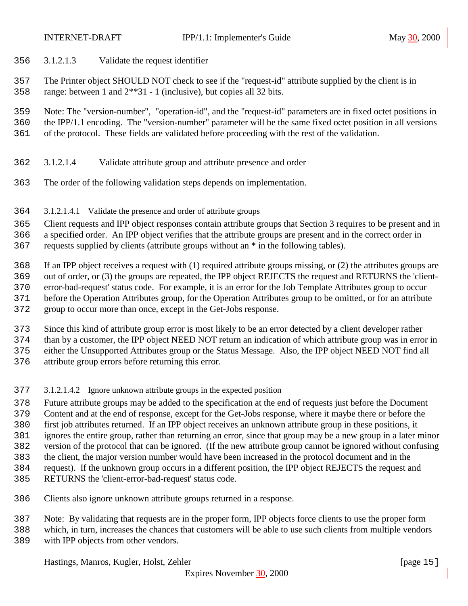- <span id="page-14-0"></span>3.1.2.1.3 Validate the request identifier
- The Printer object SHOULD NOT check to see if the "request-id" attribute supplied by the client is in
- range: between 1 and 2\*\*31 1 (inclusive), but copies all 32 bits.

 Note: The "version-number", "operation-id", and the "request-id" parameters are in fixed octet positions in the IPP/1.1 encoding. The "version-number" parameter will be the same fixed octet position in all versions of the protocol. These fields are validated before proceeding with the rest of the validation.

- 3.1.2.1.4 Validate attribute group and attribute presence and order
- The order of the following validation steps depends on implementation.
- 3.1.2.1.4.1 Validate the presence and order of attribute groups
- Client requests and IPP object responses contain attribute groups that Section 3 requires to be present and in

a specified order. An IPP object verifies that the attribute groups are present and in the correct order in

requests supplied by clients (attribute groups without an \* in the following tables).

 If an IPP object receives a request with (1) required attribute groups missing, or (2) the attributes groups are out of order, or (3) the groups are repeated, the IPP object REJECTS the request and RETURNS the 'client-

error-bad-request' status code. For example, it is an error for the Job Template Attributes group to occur

- before the Operation Attributes group, for the Operation Attributes group to be omitted, or for an attribute
- group to occur more than once, except in the Get-Jobs response.

Since this kind of attribute group error is most likely to be an error detected by a client developer rather

- than by a customer, the IPP object NEED NOT return an indication of which attribute group was in error in
- either the Unsupported Attributes group or the Status Message. Also, the IPP object NEED NOT find all
- attribute group errors before returning this error.
- 3.1.2.1.4.2 Ignore unknown attribute groups in the expected position
- Future attribute groups may be added to the specification at the end of requests just before the Document
- Content and at the end of response, except for the Get-Jobs response, where it maybe there or before the
- first job attributes returned. If an IPP object receives an unknown attribute group in these positions, it
- ignores the entire group, rather than returning an error, since that group may be a new group in a later minor
- version of the protocol that can be ignored. (If the new attribute group cannot be ignored without confusing
- the client, the major version number would have been increased in the protocol document and in the
- request). If the unknown group occurs in a different position, the IPP object REJECTS the request and
- RETURNS the 'client-error-bad-request' status code.
- Clients also ignore unknown attribute groups returned in a response.
- Note: By validating that requests are in the proper form, IPP objects force clients to use the proper form
- which, in turn, increases the chances that customers will be able to use such clients from multiple vendors
- with IPP objects from other vendors.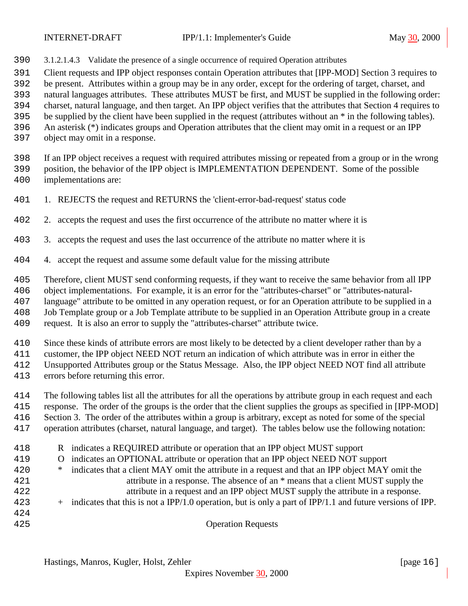<span id="page-15-0"></span>

3.1.2.1.4.3 Validate the presence of a single occurrence of required Operation attributes

Client requests and IPP object responses contain Operation attributes that [IPP-MOD] Section 3 requires to

be present. Attributes within a group may be in any order, except for the ordering of target, charset, and

natural languages attributes. These attributes MUST be first, and MUST be supplied in the following order:

charset, natural language, and then target. An IPP object verifies that the attributes that Section 4 requires to

- be supplied by the client have been supplied in the request (attributes without an \* in the following tables).
- An asterisk (\*) indicates groups and Operation attributes that the client may omit in a request or an IPP

object may omit in a response.

 If an IPP object receives a request with required attributes missing or repeated from a group or in the wrong position, the behavior of the IPP object is IMPLEMENTATION DEPENDENT. Some of the possible implementations are:

1. REJECTS the request and RETURNS the 'client-error-bad-request' status code

2. accepts the request and uses the first occurrence of the attribute no matter where it is

- 3. accepts the request and uses the last occurrence of the attribute no matter where it is
- 4. accept the request and assume some default value for the missing attribute

Therefore, client MUST send conforming requests, if they want to receive the same behavior from all IPP

object implementations. For example, it is an error for the "attributes-charset" or "attributes-natural-

language" attribute to be omitted in any operation request, or for an Operation attribute to be supplied in a

Job Template group or a Job Template attribute to be supplied in an Operation Attribute group in a create

request. It is also an error to supply the "attributes-charset" attribute twice.

Since these kinds of attribute errors are most likely to be detected by a client developer rather than by a

customer, the IPP object NEED NOT return an indication of which attribute was in error in either the

Unsupported Attributes group or the Status Message. Also, the IPP object NEED NOT find all attribute

errors before returning this error.

 The following tables list all the attributes for all the operations by attribute group in each request and each response. The order of the groups is the order that the client supplies the groups as specified in [IPP-MOD] Section 3. The order of the attributes within a group is arbitrary, except as noted for some of the special

operation attributes (charset, natural language, and target). The tables below use the following notation:

- R indicates a REQUIRED attribute or operation that an IPP object MUST support
- O indicates an OPTIONAL attribute or operation that an IPP object NEED NOT support
- \* indicates that a client MAY omit the attribute in a request and that an IPP object MAY omit the attribute in a response. The absence of an \* means that a client MUST supply the
- attribute in a request and an IPP object MUST supply the attribute in a response.
- + indicates that this is not a IPP/1.0 operation, but is only a part of IPP/1.1 and future versions of IPP.
- 

Operation Requests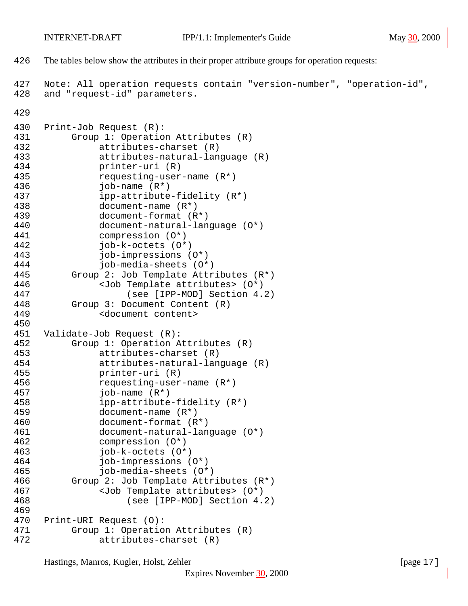```
426 The tables below show the attributes in their proper attribute groups for operation requests:
```

```
427 Note: All operation requests contain "version-number", "operation-id",
428 and "request-id" parameters.
429
430 Print-Job Request (R):
431 Group 1: Operation Attributes (R)
432 attributes-charset (R)<br>433 attributes-natural-lan
            attributes-natural-language (R)
434 printer-uri (R)
435 requesting-user-name (R*)
436 job-name (R*)
437 ipp-attribute-fidelity (R*)
438 document-name (R*)
439 document-format (R*)
440 document-natural-language (0*)<br>441 compression (0*)
            compression (O*)
442 job-k-octets (O*)
443 job-impressions (O*)
444 job-media-sheets (O*)
445 Group 2: Job Template Attributes (R*)
446 <Job Template attributes> (O*)
447 (see [IPP-MOD] Section 4.2)
448 Group 3: Document Content (R)
449 <document content>
450
451 Validate-Job Request (R):
452 Group 1: Operation Attributes (R)
453 attributes-charset (R)
454 attributes-natural-language (R)
455 printer-uri (R)
456 requesting-user-name (R*)
457 job-name (R*)
458 ipp-attribute-fidelity (R*)
459 document-name (R*)
460 document-format (R*)
461 document-natural-language (O*)
462 compression (O*)
463 job-k-octets (O*)
464 job-impressions (O*)
465 job-media-sheets (O*)
466 Group 2: Job Template Attributes (R*)
467 <Job Template attributes> (O*)
468 (see [IPP-MOD] Section 4.2)
469
470 Print-URI Request (O):
471 Group 1: Operation Attributes (R)
472 attributes-charset (R)
```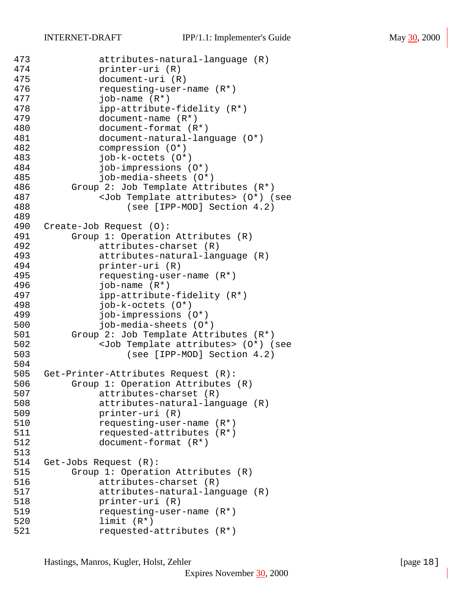```
473 attributes-natural-language (R)
474 printer-uri (R)
475 document-uri (R)
476 requesting-user-name (R*)
477 job-name (R*)
478 ipp-attribute-fidelity (R*)
479 document-name (R*)
480 document-format (R*)
481 document-natural-language (O*)
482 compression (O*)
483 job-k-octets (O*)
484 job-impressions (O*)
485 job-media-sheets (O*)
486 Group 2: Job Template Attributes (R*)
487 <Job Template attributes> (O*) (see
488 (see [IPP-MOD] Section 4.2)
489
490 Create-Job Request (O):
491 Group 1: Operation Attributes (R)
492 attributes-charset (R)
493 attributes-natural-language (R)
494 printer-uri (R)
495 requesting-user-name (R*)
496 job-name (R*)
497 ipp-attribute-fidelity (R*)
498 job-k-octets (O*)
499 job-impressions (O*)
500 job-media-sheets (O*)
501 Group 2: Job Template Attributes (R*)
502 <Job Template attributes> (0*) (see<br>503 (see [IPP-MOD] Section 4.2)
                (see [IPP-MOD] Section 4.2)
504
505 Get-Printer-Attributes Request (R):
506 Group 1: Operation Attributes (R)
507 attributes-charset (R)
508 attributes-natural-language (R)
509 printer-uri (R)
510 requesting-user-name (R*)
511 requested-attributes (R*)
512 document-format (R*)
513
514 Get-Jobs Request (R):
515 Group 1: Operation Attributes (R)
516 attributes-charset (R)
517 attributes-natural-language (R)
518 printer-uri (R)
519 requesting-user-name (R*)
520 limit (R*)
521 requested-attributes (R*)
```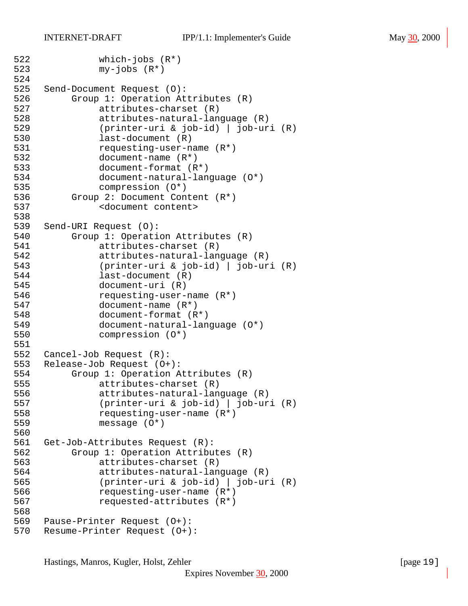```
522 which-jobs (R*)
523 my-jobs (R*)
524
525 Send-Document Request (O):
526 Group 1: Operation Attributes (R)
527 attributes-charset (R)
528 attributes-natural-language (R)
529 (printer-uri & job-id) | job-uri (R)
530 last-document (R)
531 requesting-user-name (R*)
532 document-name (R*)
533 document-format (R*)
534 document-natural-language (O*)
535 compression (O*)
536 Group 2: Document Content (R*)
537 <document content>
538
539 Send-URI Request (O):
540 Group 1: Operation Attributes (R)
541 attributes-charset (R)
542 attributes-natural-language (R)
543 (printer-uri & job-id) | job-uri (R)
544 last-document (R)
545 document-uri (R)
546 requesting-user-name (R*)
547 document-name (R*)
548 document-format (R*)
549 document-natural-language (O*)
550 compression (O*)
551
552 Cancel-Job Request (R):
553 Release-Job Request (O+):
554 Group 1: Operation Attributes (R)
555 attributes-charset (R)
556 attributes-natural-language (R)
557 (printer-uri & job-id) | job-uri (R)
558 requesting-user-name (R*)
559 message (O*)
560
561 Get-Job-Attributes Request (R):
562 Group 1: Operation Attributes (R)
563 attributes-charset (R)
564 attributes-natural-language (R)
565 (printer-uri & job-id) | job-uri (R)
566 requesting-user-name (R*)
567 requested-attributes (R*)
568
569 Pause-Printer Request (O+):
570 Resume-Printer Request (O+):
```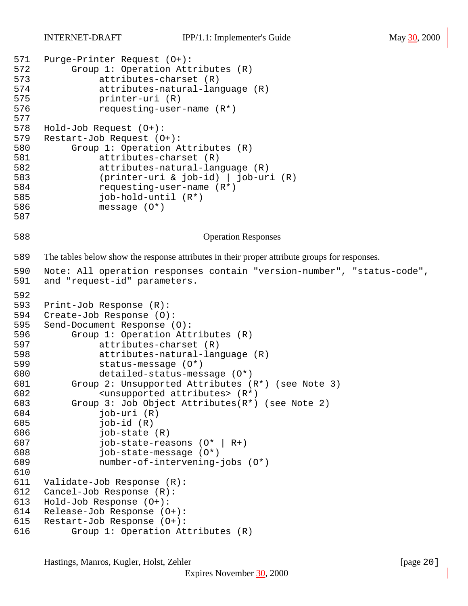```
571 Purge-Printer Request (O+):
572 Group 1: Operation Attributes (R)
573 attributes-charset (R)
574 attributes-natural-language (R)
575 printer-uri (R)
576 requesting-user-name (R*)
577
578 Hold-Job Request (O+):
579 Restart-Job Request (O+):
580 Group 1: Operation Attributes (R)
581 attributes-charset (R)
582 attributes-natural-language (R)
583 (printer-uri & job-id) | job-uri (R)
584 requesting-user-name (R*)
585 job-hold-until (R*)
586 message (O*)
587
588 Operation Responses
589 The tables below show the response attributes in their proper attribute groups for responses.
590 Note: All operation responses contain "version-number", "status-code",
591 and "request-id" parameters.
592
593 Print-Job Response (R):
594 Create-Job Response (O):
595 Send-Document Response (O):
596 Group 1: Operation Attributes (R)
597 attributes-charset (R)
598 attributes-natural-language (R)
599 status-message (O*)
600 detailed-status-message (O*)
601 Group 2: Unsupported Attributes (R*) (see Note 3)
602 <unsupported attributes> (R*)
603 Group 3: Job Object Attributes(R*) (see Note 2)
604 job-uri (R)
605 job-id (R)
606 job-state (R)
607 job-state-reasons (O* | R+)
608 job-state-message (O*)
609 number-of-intervening-jobs (O*)
610
611 Validate-Job Response (R):
612 Cancel-Job Response (R):
613 Hold-Job Response (O+):
614 Release-Job Response (O+):
615 Restart-Job Response (O+):
616 Group 1: Operation Attributes (R)
```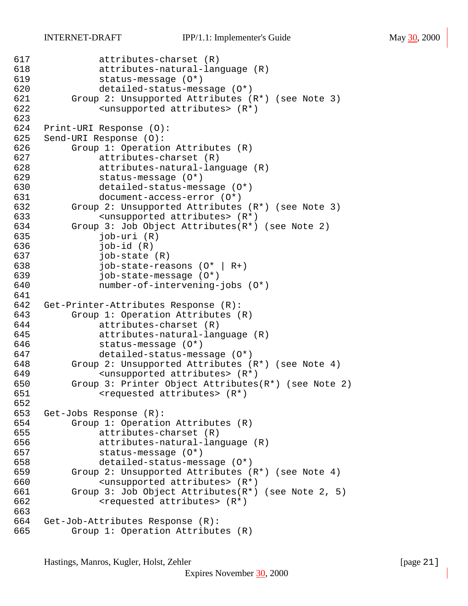```
617 attributes-charset (R)
618 attributes-natural-language (R)
619 status-message (O*)
620 detailed-status-message (O*)
621 Group 2: Unsupported Attributes (R*) (see Note 3)
622 <unsupported attributes> (R*)
623
624 Print-URI Response (O):
625 Send-URI Response (O):
626 Group 1: Operation Attributes (R)
627 attributes-charset (R)
628 attributes-natural-language (R)
629 status-message (O*)
630 detailed-status-message (O*)
631 document-access-error (O*)
632 Group 2: Unsupported Attributes (R*) (see Note 3)
633 <unsupported attributes> (R*)
634 Group 3: Job Object Attributes(R*) (see Note 2)
635 job-uri (R)
636 job-id (R)
637 job-state (R)
638 iob-state-reasons (0^* | R+)639 job-state-message (O*)
640 number-of-intervening-jobs (O*)
641
642 Get-Printer-Attributes Response (R):
643 Group 1: Operation Attributes (R)
644 attributes-charset (R)
645 attributes-natural-language (R)
646 status-message (O*)
647 detailed-status-message (O*)
648 Group 2: Unsupported Attributes (R*) (see Note 4)
649 <unsupported attributes> (R*)
650 Group 3: Printer Object Attributes(R*) (see Note 2)
651 <requested attributes> (R*)
652
653 Get-Jobs Response (R):
654 Group 1: Operation Attributes (R)
655 attributes-charset (R)
656 attributes-natural-language (R)
657 status-message (O*)
658 detailed-status-message (O*)
659 Group 2: Unsupported Attributes (R*) (see Note 4)
660 <unsupported attributes> (R*)
661 Group 3: Job Object Attributes(R*) (see Note 2, 5)
662 <requested attributes> (R*)
663
664 Get-Job-Attributes Response (R):
665 Group 1: Operation Attributes (R)
```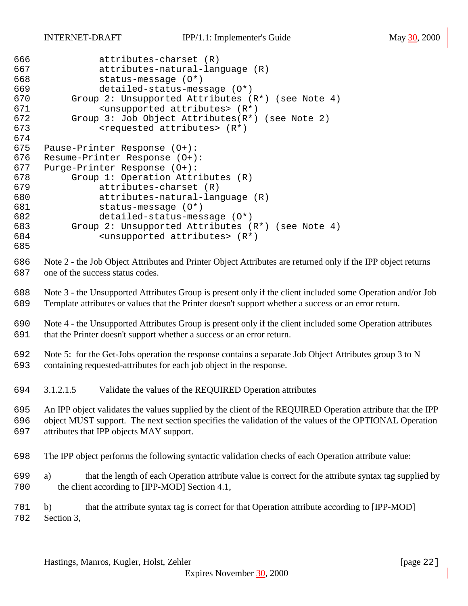<span id="page-21-0"></span>

| 666<br>667<br>668<br>669<br>670<br>671<br>672<br>673<br>674               | attributes-charset (R)<br>attributes-natural-language (R)<br>status-message (0*)<br>detailed-status-message (0*)<br>Group 2: Unsupported Attributes (R*) (see Note 4)<br><unsupported attributes=""> (R*)<br/>Group 3: Job Object Attributes(R*) (see Note 2)<br/><requested attributes=""> (R*)</requested></unsupported>                                    |
|---------------------------------------------------------------------------|---------------------------------------------------------------------------------------------------------------------------------------------------------------------------------------------------------------------------------------------------------------------------------------------------------------------------------------------------------------|
| 675<br>676<br>677<br>678<br>679<br>680<br>681<br>682<br>683<br>684<br>685 | Pause-Printer Response (0+):<br>Resume-Printer Response (0+):<br>Purge-Printer Response (0+):<br>Group 1: Operation Attributes (R)<br>attributes-charset (R)<br>attributes-natural-language (R)<br>status-message (0*)<br>detailed-status-message (0*)<br>Group 2: Unsupported Attributes (R*) (see Note 4)<br><unsupported attributes=""> (R*)</unsupported> |
| 686                                                                       | Note 2 - the Job Object Attributes and Printer Object Attributes are returned only if the IPP object returns                                                                                                                                                                                                                                                  |
| 687                                                                       | one of the success status codes.                                                                                                                                                                                                                                                                                                                              |
| 688                                                                       | Note 3 - the Unsupported Attributes Group is present only if the client included some Operation and/or Job                                                                                                                                                                                                                                                    |
| 689                                                                       | Template attributes or values that the Printer doesn't support whether a success or an error return.                                                                                                                                                                                                                                                          |
| 690                                                                       | Note 4 - the Unsupported Attributes Group is present only if the client included some Operation attributes                                                                                                                                                                                                                                                    |
| 691                                                                       | that the Printer doesn't support whether a success or an error return.                                                                                                                                                                                                                                                                                        |
| 692                                                                       | Note 5: for the Get-Jobs operation the response contains a separate Job Object Attributes group 3 to N                                                                                                                                                                                                                                                        |
| 693                                                                       | containing requested-attributes for each job object in the response.                                                                                                                                                                                                                                                                                          |
| 694                                                                       | Validate the values of the REQUIRED Operation attributes<br>3.1.2.1.5                                                                                                                                                                                                                                                                                         |
| 695                                                                       | An IPP object validates the values supplied by the client of the REQUIRED Operation attribute that the IPP                                                                                                                                                                                                                                                    |
| 696                                                                       | object MUST support. The next section specifies the validation of the values of the OPTIONAL Operation                                                                                                                                                                                                                                                        |
| 697                                                                       | attributes that IPP objects MAY support.                                                                                                                                                                                                                                                                                                                      |
| 698                                                                       | The IPP object performs the following syntactic validation checks of each Operation attribute value:                                                                                                                                                                                                                                                          |

 a) that the length of each Operation attribute value is correct for the attribute syntax tag supplied by the client according to [IPP-MOD] Section 4.1,

 b) that the attribute syntax tag is correct for that Operation attribute according to [IPP-MOD] Section 3,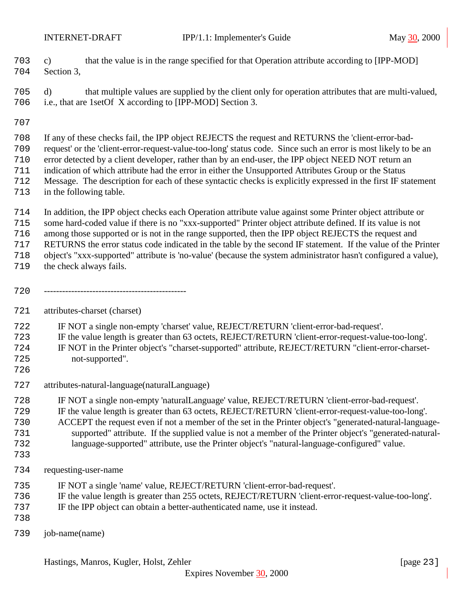c) that the value is in the range specified for that Operation attribute according to [IPP-MOD] Section 3,

 d) that multiple values are supplied by the client only for operation attributes that are multi-valued, i.e., that are 1setOf X according to [IPP-MOD] Section 3.

If any of these checks fail, the IPP object REJECTS the request and RETURNS the 'client-error-bad-

request' or the 'client-error-request-value-too-long' status code. Since such an error is most likely to be an

error detected by a client developer, rather than by an end-user, the IPP object NEED NOT return an

- indication of which attribute had the error in either the Unsupported Attributes Group or the Status Message. The description for each of these syntactic checks is explicitly expressed in the first IF statement
- in the following table.
- In addition, the IPP object checks each Operation attribute value against some Printer object attribute or
- some hard-coded value if there is no "xxx-supported" Printer object attribute defined. If its value is not

among those supported or is not in the range supported, then the IPP object REJECTS the request and

RETURNS the error status code indicated in the table by the second IF statement. If the value of the Printer

object's "xxx-supported" attribute is 'no-value' (because the system administrator hasn't configured a value),

- the check always fails.
- -----------------------------------------------

attributes-charset (charset)

IF NOT a single non-empty 'charset' value, REJECT/RETURN 'client-error-bad-request'.

- IF the value length is greater than 63 octets, REJECT/RETURN 'client-error-request-value-too-long'.
- IF NOT in the Printer object's "charset-supported" attribute, REJECT/RETURN "client-error-charset-not-supported".
- 
- attributes-natural-language(naturalLanguage)
- IF NOT a single non-empty 'naturalLanguage' value, REJECT/RETURN 'client-error-bad-request'.
- IF the value length is greater than 63 octets, REJECT/RETURN 'client-error-request-value-too-long'.
- ACCEPT the request even if not a member of the set in the Printer object's "generated-natural-language-supported" attribute. If the supplied value is not a member of the Printer object's "generated-natural-
- language-supported" attribute, use the Printer object's "natural-language-configured" value.
- 
- requesting-user-name
- IF NOT a single 'name' value, REJECT/RETURN 'client-error-bad-request'.
- IF the value length is greater than 255 octets, REJECT/RETURN 'client-error-request-value-too-long'.
- IF the IPP object can obtain a better-authenticated name, use it instead.
- 
- job-name(name)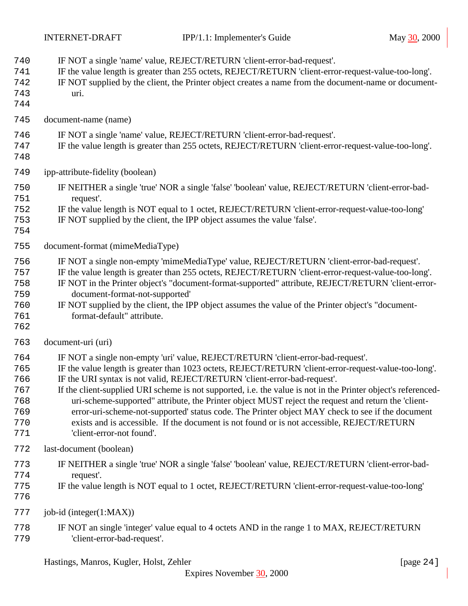| 740<br>741<br>742<br>743<br>744                      | IF NOT a single 'name' value, REJECT/RETURN 'client-error-bad-request'.<br>IF the value length is greater than 255 octets, REJECT/RETURN 'client-error-request-value-too-long'.<br>IF NOT supplied by the client, the Printer object creates a name from the document-name or document-<br>uri.                                                                                                                                                                                                                                                                                                                                                                                                                               |
|------------------------------------------------------|-------------------------------------------------------------------------------------------------------------------------------------------------------------------------------------------------------------------------------------------------------------------------------------------------------------------------------------------------------------------------------------------------------------------------------------------------------------------------------------------------------------------------------------------------------------------------------------------------------------------------------------------------------------------------------------------------------------------------------|
| 745                                                  | document-name (name)                                                                                                                                                                                                                                                                                                                                                                                                                                                                                                                                                                                                                                                                                                          |
| 746<br>747<br>748                                    | IF NOT a single 'name' value, REJECT/RETURN 'client-error-bad-request'.<br>IF the value length is greater than 255 octets, REJECT/RETURN 'client-error-request-value-too-long'.                                                                                                                                                                                                                                                                                                                                                                                                                                                                                                                                               |
| 749                                                  | ipp-attribute-fidelity (boolean)                                                                                                                                                                                                                                                                                                                                                                                                                                                                                                                                                                                                                                                                                              |
| 750<br>751<br>752<br>753<br>754                      | IF NEITHER a single 'true' NOR a single 'false' 'boolean' value, REJECT/RETURN 'client-error-bad-<br>request'.<br>IF the value length is NOT equal to 1 octet, REJECT/RETURN 'client-error-request-value-too-long'<br>IF NOT supplied by the client, the IPP object assumes the value 'false'.                                                                                                                                                                                                                                                                                                                                                                                                                                |
| 755                                                  | document-format (mimeMediaType)                                                                                                                                                                                                                                                                                                                                                                                                                                                                                                                                                                                                                                                                                               |
| 756<br>757<br>758<br>759<br>760<br>761<br>762        | IF NOT a single non-empty 'mimeMediaType' value, REJECT/RETURN 'client-error-bad-request'.<br>IF the value length is greater than 255 octets, REJECT/RETURN 'client-error-request-value-too-long'.<br>IF NOT in the Printer object's "document-format-supported" attribute, REJECT/RETURN 'client-error-<br>document-format-not-supported'<br>IF NOT supplied by the client, the IPP object assumes the value of the Printer object's "document-<br>format-default" attribute.                                                                                                                                                                                                                                                |
| 763                                                  | document-uri (uri)                                                                                                                                                                                                                                                                                                                                                                                                                                                                                                                                                                                                                                                                                                            |
| 764<br>765<br>766<br>767<br>768<br>769<br>770<br>771 | IF NOT a single non-empty 'uri' value, REJECT/RETURN 'client-error-bad-request'.<br>IF the value length is greater than 1023 octets, REJECT/RETURN 'client-error-request-value-too-long'.<br>IF the URI syntax is not valid, REJECT/RETURN 'client-error-bad-request'.<br>If the client-supplied URI scheme is not supported, i.e. the value is not in the Printer object's referenced-<br>uri-scheme-supported" attribute, the Printer object MUST reject the request and return the 'client-<br>error-uri-scheme-not-supported' status code. The Printer object MAY check to see if the document<br>exists and is accessible. If the document is not found or is not accessible, REJECT/RETURN<br>'client-error-not found'. |
| 772                                                  | last-document (boolean)                                                                                                                                                                                                                                                                                                                                                                                                                                                                                                                                                                                                                                                                                                       |
| 773<br>774<br>775<br>776                             | IF NEITHER a single 'true' NOR a single 'false' 'boolean' value, REJECT/RETURN 'client-error-bad-<br>request'.<br>IF the value length is NOT equal to 1 octet, REJECT/RETURN 'client-error-request-value-too-long'                                                                                                                                                                                                                                                                                                                                                                                                                                                                                                            |
| 777                                                  | job-id (integer(1:MAX))                                                                                                                                                                                                                                                                                                                                                                                                                                                                                                                                                                                                                                                                                                       |
| 778<br>779                                           | IF NOT an single 'integer' value equal to 4 octets AND in the range 1 to MAX, REJECT/RETURN<br>'client-error-bad-request'.                                                                                                                                                                                                                                                                                                                                                                                                                                                                                                                                                                                                    |
|                                                      | Hastings, Manros, Kugler, Holst, Zehler<br>[page $24$ ]                                                                                                                                                                                                                                                                                                                                                                                                                                                                                                                                                                                                                                                                       |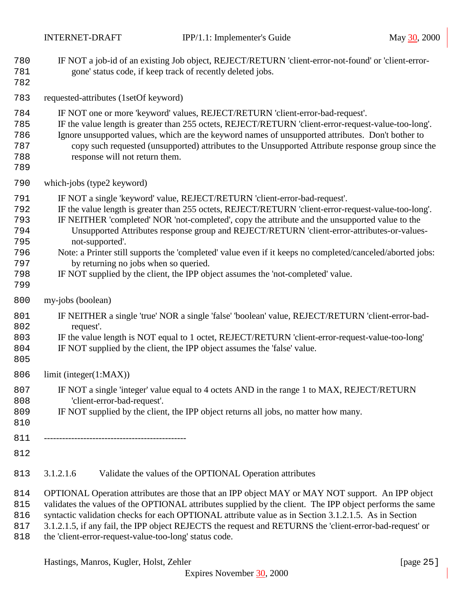<span id="page-24-0"></span>

- IF NOT a job-id of an existing Job object, REJECT/RETURN 'client-error-not-found' or 'client-error- gone' status code, if keep track of recently deleted jobs. requested-attributes (1setOf keyword) IF NOT one or more 'keyword' values, REJECT/RETURN 'client-error-bad-request'. IF the value length is greater than 255 octets, REJECT/RETURN 'client-error-request-value-too-long'. Ignore unsupported values, which are the keyword names of unsupported attributes. Don't bother to copy such requested (unsupported) attributes to the Unsupported Attribute response group since the response will not return them. which-jobs (type2 keyword) IF NOT a single 'keyword' value, REJECT/RETURN 'client-error-bad-request'. IF the value length is greater than 255 octets, REJECT/RETURN 'client-error-request-value-too-long'. IF NEITHER 'completed' NOR 'not-completed', copy the attribute and the unsupported value to the Unsupported Attributes response group and REJECT/RETURN 'client-error-attributes-or-values- not-supported'. Note: a Printer still supports the 'completed' value even if it keeps no completed/canceled/aborted jobs: by returning no jobs when so queried. IF NOT supplied by the client, the IPP object assumes the 'not-completed' value. my-jobs (boolean) IF NEITHER a single 'true' NOR a single 'false' 'boolean' value, REJECT/RETURN 'client-error-bad- request'. IF the value length is NOT equal to 1 octet, REJECT/RETURN 'client-error-request-value-too-long' IF NOT supplied by the client, the IPP object assumes the 'false' value. limit (integer(1:MAX)) IF NOT a single 'integer' value equal to 4 octets AND in the range 1 to MAX, REJECT/RETURN 'client-error-bad-request'. IF NOT supplied by the client, the IPP object returns all jobs, no matter how many. ----------------------------------------------- 3.1.2.1.6 Validate the values of the OPTIONAL Operation attributes OPTIONAL Operation attributes are those that an IPP object MAY or MAY NOT support. An IPP object validates the values of the OPTIONAL attributes supplied by the client. The IPP object performs the same syntactic validation checks for each OPTIONAL attribute value as in Section 3.1.2.1.5. As in Section 3.1.2.1.5, if any fail, the IPP object REJECTS the request and RETURNS the 'client-error-bad-request' or
- 818 the 'client-error-request-value-too-long' status code.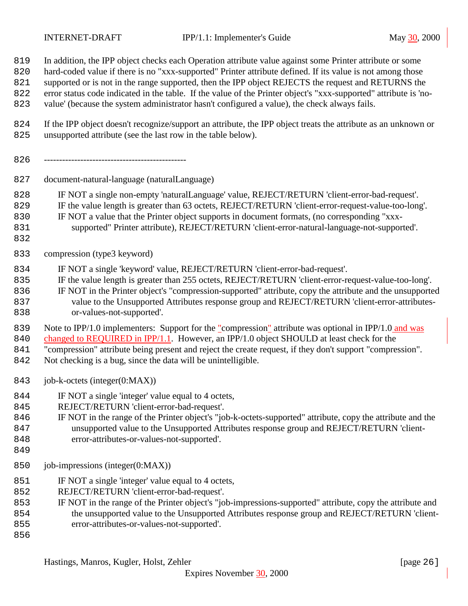In addition, the IPP object checks each Operation attribute value against some Printer attribute or some

hard-coded value if there is no "xxx-supported" Printer attribute defined. If its value is not among those

supported or is not in the range supported, then the IPP object REJECTS the request and RETURNS the

 error status code indicated in the table. If the value of the Printer object's "xxx-supported" attribute is 'no-value' (because the system administrator hasn't configured a value), the check always fails.

 If the IPP object doesn't recognize/support an attribute, the IPP object treats the attribute as an unknown or unsupported attribute (see the last row in the table below).

-----------------------------------------------

document-natural-language (naturalLanguage)

- IF NOT a single non-empty 'naturalLanguage' value, REJECT/RETURN 'client-error-bad-request'.
- IF the value length is greater than 63 octets, REJECT/RETURN 'client-error-request-value-too-long'.
- IF NOT a value that the Printer object supports in document formats, (no corresponding "xxx-
- supported" Printer attribute), REJECT/RETURN 'client-error-natural-language-not-supported'.
- 

compression (type3 keyword)

- IF NOT a single 'keyword' value, REJECT/RETURN 'client-error-bad-request'.
- IF the value length is greater than 255 octets, REJECT/RETURN 'client-error-request-value-too-long'.
- IF NOT in the Printer object's "compression-supported" attribute, copy the attribute and the unsupported
- 837 value to the Unsupported Attributes response group and REJECT/RETURN 'client-error-attributes-or-values-not-supported'.

839 Note to IPP/1.0 implementers: Support for the "compression" attribute was optional in IPP/1.0 and was

840 changed to REQUIRED in IPP/1.1. However, an IPP/1.0 object SHOULD at least check for the

"compression" attribute being present and reject the create request, if they don't support "compression".

Not checking is a bug, since the data will be unintelligible.

- job-k-octets (integer(0:MAX))
- 844 IF NOT a single 'integer' value equal to 4 octets,
- REJECT/RETURN 'client-error-bad-request'.
- IF NOT in the range of the Printer object's "job-k-octets-supported" attribute, copy the attribute and the unsupported value to the Unsupported Attributes response group and REJECT/RETURN 'client-error-attributes-or-values-not-supported'.
- 
- job-impressions (integer(0:MAX))
- 851 IF NOT a single 'integer' value equal to 4 octets,
- REJECT/RETURN 'client-error-bad-request'.
- IF NOT in the range of the Printer object's "job-impressions-supported" attribute, copy the attribute and 854 the unsupported value to the Unsupported Attributes response group and REJECT/RETURN 'client-error-attributes-or-values-not-supported'.
-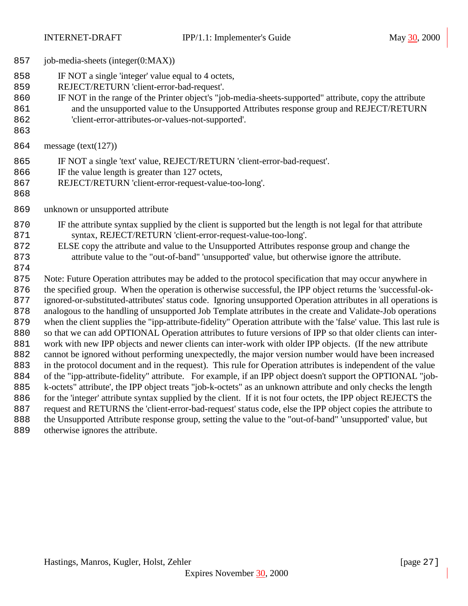job-media-sheets (integer(0:MAX)) 858 IF NOT a single 'integer' value equal to 4 octets, REJECT/RETURN 'client-error-bad-request'. IF NOT in the range of the Printer object's "job-media-sheets-supported" attribute, copy the attribute 861 and the unsupported value to the Unsupported Attributes response group and REJECT/RETURN 'client-error-attributes-or-values-not-supported'. message (text(127)) IF NOT a single 'text' value, REJECT/RETURN 'client-error-bad-request'. 866 IF the value length is greater than 127 octets, REJECT/RETURN 'client-error-request-value-too-long'. unknown or unsupported attribute IF the attribute syntax supplied by the client is supported but the length is not legal for that attribute syntax, REJECT/RETURN 'client-error-request-value-too-long'. ELSE copy the attribute and value to the Unsupported Attributes response group and change the attribute value to the "out-of-band" 'unsupported' value, but otherwise ignore the attribute. Note: Future Operation attributes may be added to the protocol specification that may occur anywhere in 876 the specified group. When the operation is otherwise successful, the IPP object returns the 'successful-ok- ignored-or-substituted-attributes' status code. Ignoring unsupported Operation attributes in all operations is analogous to the handling of unsupported Job Template attributes in the create and Validate-Job operations when the client supplies the "ipp-attribute-fidelity" Operation attribute with the 'false' value. This last rule is 880 so that we can add OPTIONAL Operation attributes to future versions of IPP so that older clients can inter- work with new IPP objects and newer clients can inter-work with older IPP objects. (If the new attribute cannot be ignored without performing unexpectedly, the major version number would have been increased in the protocol document and in the request). This rule for Operation attributes is independent of the value of the "ipp-attribute-fidelity" attribute. For example, if an IPP object doesn't support the OPTIONAL "job- k-octets" attribute', the IPP object treats "job-k-octets" as an unknown attribute and only checks the length for the 'integer' attribute syntax supplied by the client. If it is not four octets, the IPP object REJECTS the request and RETURNS the 'client-error-bad-request' status code, else the IPP object copies the attribute to the Unsupported Attribute response group, setting the value to the "out-of-band" 'unsupported' value, but otherwise ignores the attribute.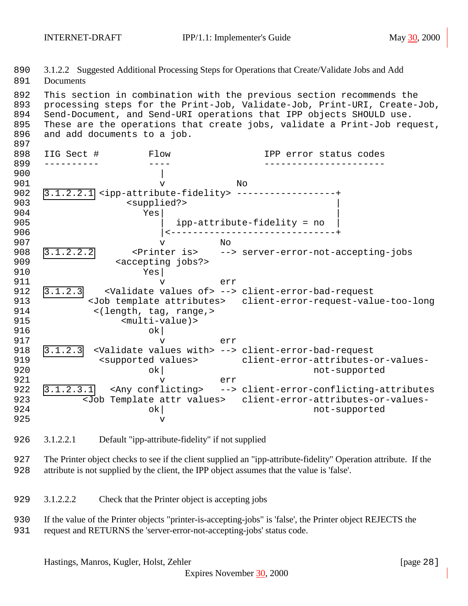<span id="page-27-0"></span> 3.1.2.2 Suggested Additional Processing Steps for Operations that Create/Validate Jobs and Add Documents This section in combination with the previous section recommends the processing steps for the Print-Job, Validate-Job, Print-URI, Create-Job, Send-Document, and Send-URI operations that IPP objects SHOULD use. These are the operations that create jobs, validate a Print-Job request, and add documents to a job. IIG Sect # Flow IPP error status codes ---------- ---- ---------------------- | 901 v No 3.1.2.2.1 <ipp-attribute-fidelity> ------------------+ <supplied?> | Yes| | 905 | ipp-attribute-fidelity = no |<------------------------------+ v No 3.1.2.2.2 <Printer is> --> server-error-not-accepting-jobs <accepting jobs?> Yes| v err [3.1.2.3](#page-28-0) <Validate values of> --> client-error-bad-request <Job template attributes> client-error-request-value-too-long <(length, tag, range,> 915 <multi-value)> ok| v err [3.1.2.3](#page-28-0) <Validate values with> --> client-error-bad-request <supported values> client-error-attributes-or-values-920 ok ok ok and the not-supported v err [3.1.2.3.1](#page-33-0) <Any conflicting> --> client-error-conflicting-attributes <Job Template attr values> client-error-attributes-or-values- ok| not-supported v 3.1.2.2.1 Default "ipp-attribute-fidelity" if not supplied

 The Printer object checks to see if the client supplied an "ipp-attribute-fidelity" Operation attribute. If the attribute is not supplied by the client, the IPP object assumes that the value is 'false'.

- 3.1.2.2.2 Check that the Printer object is accepting jobs
- If the value of the Printer objects "printer-is-accepting-jobs" is 'false', the Printer object REJECTS the
- request and RETURNS the 'server-error-not-accepting-jobs' status code.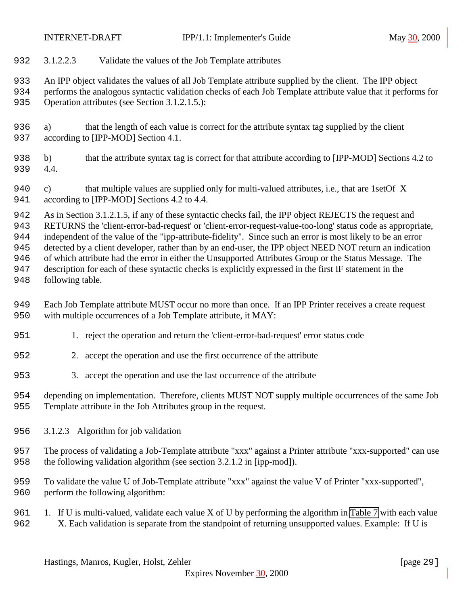<span id="page-28-0"></span>

- 3.1.2.2.3 Validate the values of the Job Template attributes
- An IPP object validates the values of all Job Template attribute supplied by the client. The IPP object
- performs the analogous syntactic validation checks of each Job Template attribute value that it performs for Operation attributes (see Section 3.1.2.1.5.):
- a) that the length of each value is correct for the attribute syntax tag supplied by the client 937 according to [IPP-MOD] Section 4.1.
- b) that the attribute syntax tag is correct for that attribute according to [IPP-MOD] Sections 4.2 to 4.4.
- 940 c) that multiple values are supplied only for multi-valued attributes, i.e., that are 1setOf X according to [IPP-MOD] Sections 4.2 to 4.4.
- As in Section 3.1.2.1.5, if any of these syntactic checks fail, the IPP object REJECTS the request and
- RETURNS the 'client-error-bad-request' or 'client-error-request-value-too-long' status code as appropriate,
- independent of the value of the "ipp-attribute-fidelity". Since such an error is most likely to be an error
- detected by a client developer, rather than by an end-user, the IPP object NEED NOT return an indication
- of which attribute had the error in either the Unsupported Attributes Group or the Status Message. The description for each of these syntactic checks is explicitly expressed in the first IF statement in the
- following table.
	- Each Job Template attribute MUST occur no more than once. If an IPP Printer receives a create request with multiple occurrences of a Job Template attribute, it MAY:
	- 1. reject the operation and return the 'client-error-bad-request' error status code
	- 2. accept the operation and use the first occurrence of the attribute
	- 3. accept the operation and use the last occurrence of the attribute
	- depending on implementation. Therefore, clients MUST NOT supply multiple occurrences of the same Job Template attribute in the Job Attributes group in the request.
	- 3.1.2.3 Algorithm for job validation
	- The process of validating a Job-Template attribute "xxx" against a Printer attribute "xxx-supported" can use the following validation algorithm (see section 3.2.1.2 in [ipp-mod]).
	- To validate the value U of Job-Template attribute "xxx" against the value V of Printer "xxx-supported", perform the following algorithm:
	- 1. If U is multi-valued, validate each value X of U by performing the algorithm in [Table 7](#page-29-0) with each value X. Each validation is separate from the standpoint of returning unsupported values. Example: If U is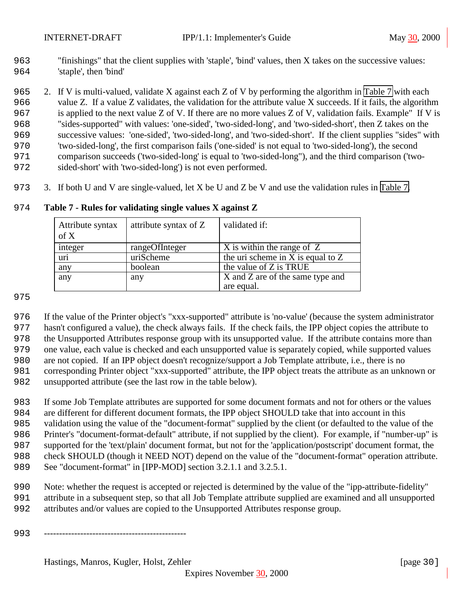<span id="page-29-0"></span>

 "finishings" that the client supplies with 'staple', 'bind' values, then X takes on the successive values: 'staple', then 'bind'

 2. If V is multi-valued, validate X against each Z of V by performing the algorithm in Table 7 with each value Z. If a value Z validates, the validation for the attribute value X succeeds. If it fails, the algorithm is applied to the next value Z of V. If there are no more values Z of V, validation fails. Example" If V is "sides-supported" with values: 'one-sided', 'two-sided-long', and 'two-sided-short', then Z takes on the successive values: 'one-sided', 'two-sided-long', and 'two-sided-short'. If the client supplies "sides" with 'two-sided-long', the first comparison fails ('one-sided' is not equal to 'two-sided-long'), the second comparison succeeds ('two-sided-long' is equal to 'two-sided-long"), and the third comparison ('two-sided-short' with 'two-sided-long') is not even performed.

3. If both U and V are single-valued, let X be U and Z be V and use the validation rules in Table 7.

| Attribute syntax<br>of X | attribute syntax of Z | validated if:                       |
|--------------------------|-----------------------|-------------------------------------|
| integer                  | rangeOfInteger        | X is within the range of Z          |
| uri                      | uriScheme             | the uri scheme in X is equal to $Z$ |
| any                      | boolean               | the value of Z is TRUE              |
| any                      | any                   | X and Z are of the same type and    |
|                          |                       | are equal.                          |

### **Table 7 - Rules for validating single values X against Z**

 If the value of the Printer object's "xxx-supported" attribute is 'no-value' (because the system administrator hasn't configured a value), the check always fails. If the check fails, the IPP object copies the attribute to the Unsupported Attributes response group with its unsupported value. If the attribute contains more than one value, each value is checked and each unsupported value is separately copied, while supported values are not copied. If an IPP object doesn't recognize/support a Job Template attribute, i.e., there is no corresponding Printer object "xxx-supported" attribute, the IPP object treats the attribute as an unknown or

unsupported attribute (see the last row in the table below).

 If some Job Template attributes are supported for some document formats and not for others or the values are different for different document formats, the IPP object SHOULD take that into account in this

 validation using the value of the "document-format" supplied by the client (or defaulted to the value of the Printer's "document-format-default" attribute, if not supplied by the client). For example, if "number-up" is

supported for the 'text/plain' document format, but not for the 'application/postscript' document format, the

- check SHOULD (though it NEED NOT) depend on the value of the "document-format" operation attribute.
- See "document-format" in [IPP-MOD] section 3.2.1.1 and 3.2.5.1.
- Note: whether the request is accepted or rejected is determined by the value of the "ipp-attribute-fidelity"
- attribute in a subsequent step, so that all Job Template attribute supplied are examined and all unsupported
- attributes and/or values are copied to the Unsupported Attributes response group.
- -----------------------------------------------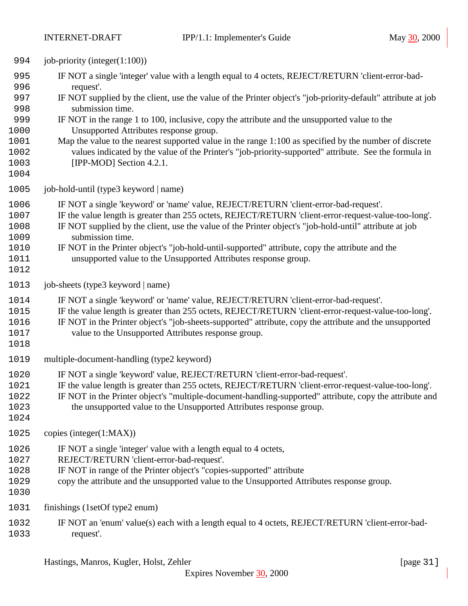| 994                                                                     | job-priority (integer $(1:100)$ )                                                                                                                                                                                                                                                                                                                                                                                                                                                                                                                                                                                                           |
|-------------------------------------------------------------------------|---------------------------------------------------------------------------------------------------------------------------------------------------------------------------------------------------------------------------------------------------------------------------------------------------------------------------------------------------------------------------------------------------------------------------------------------------------------------------------------------------------------------------------------------------------------------------------------------------------------------------------------------|
| 995<br>996<br>997<br>998<br>999<br>1000<br>1001<br>1002<br>1003<br>1004 | IF NOT a single 'integer' value with a length equal to 4 octets, REJECT/RETURN 'client-error-bad-<br>request'.<br>IF NOT supplied by the client, use the value of the Printer object's "job-priority-default" attribute at job<br>submission time.<br>IF NOT in the range 1 to 100, inclusive, copy the attribute and the unsupported value to the<br>Unsupported Attributes response group.<br>Map the value to the nearest supported value in the range 1:100 as specified by the number of discrete<br>values indicated by the value of the Printer's "job-priority-supported" attribute. See the formula in<br>[IPP-MOD] Section 4.2.1. |
| 1005                                                                    | job-hold-until (type3 keyword   name)                                                                                                                                                                                                                                                                                                                                                                                                                                                                                                                                                                                                       |
| 1006<br>1007<br>1008<br>1009<br>1010<br>1011<br>1012                    | IF NOT a single 'keyword' or 'name' value, REJECT/RETURN 'client-error-bad-request'.<br>IF the value length is greater than 255 octets, REJECT/RETURN 'client-error-request-value-too-long'.<br>IF NOT supplied by the client, use the value of the Printer object's "job-hold-until" attribute at job<br>submission time.<br>IF NOT in the Printer object's "job-hold-until-supported" attribute, copy the attribute and the<br>unsupported value to the Unsupported Attributes response group.                                                                                                                                            |
| 1013                                                                    | job-sheets (type3 keyword   name)                                                                                                                                                                                                                                                                                                                                                                                                                                                                                                                                                                                                           |
| 1014<br>1015<br>1016<br>1017<br>1018                                    | IF NOT a single 'keyword' or 'name' value, REJECT/RETURN 'client-error-bad-request'.<br>IF the value length is greater than 255 octets, REJECT/RETURN 'client-error-request-value-too-long'.<br>IF NOT in the Printer object's "job-sheets-supported" attribute, copy the attribute and the unsupported<br>value to the Unsupported Attributes response group.                                                                                                                                                                                                                                                                              |
| 1019                                                                    | multiple-document-handling (type2 keyword)                                                                                                                                                                                                                                                                                                                                                                                                                                                                                                                                                                                                  |
| 1020<br>1021<br>1022<br>1023<br>1024                                    | IF NOT a single 'keyword' value, REJECT/RETURN 'client-error-bad-request'.<br>IF the value length is greater than 255 octets, REJECT/RETURN 'client-error-request-value-too-long'.<br>IF NOT in the Printer object's "multiple-document-handling-supported" attribute, copy the attribute and<br>the unsupported value to the Unsupported Attributes response group.                                                                                                                                                                                                                                                                        |
| 1025                                                                    | copies (integer $(1:MAX)$ )                                                                                                                                                                                                                                                                                                                                                                                                                                                                                                                                                                                                                 |
| 1026<br>1027<br>1028<br>1029<br>1030                                    | IF NOT a single 'integer' value with a length equal to 4 octets,<br>REJECT/RETURN 'client-error-bad-request'.<br>IF NOT in range of the Printer object's "copies-supported" attribute<br>copy the attribute and the unsupported value to the Unsupported Attributes response group.                                                                                                                                                                                                                                                                                                                                                         |
| 1031                                                                    | finishings (1setOf type2 enum)                                                                                                                                                                                                                                                                                                                                                                                                                                                                                                                                                                                                              |
| 1032<br>1033                                                            | IF NOT an 'enum' value(s) each with a length equal to 4 octets, REJECT/RETURN 'client-error-bad-<br>request'.                                                                                                                                                                                                                                                                                                                                                                                                                                                                                                                               |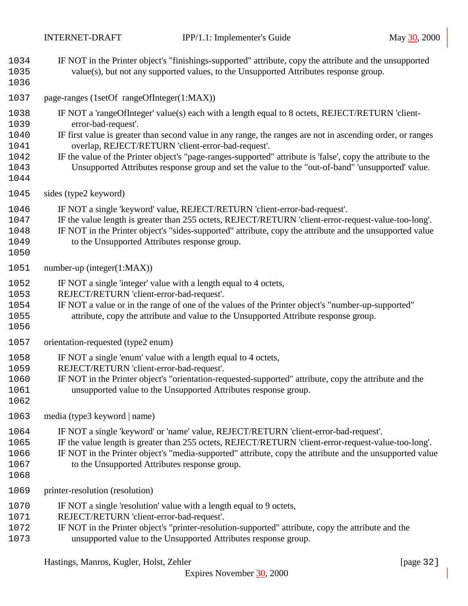IF NOT in the Printer object's "finishings-supported" attribute, copy the attribute and the unsupported value(s), but not any supported values, to the Unsupported Attributes response group. page-ranges (1setOf rangeOfInteger(1:MAX)) IF NOT a 'rangeOfInteger' value(s) each with a length equal to 8 octets, REJECT/RETURN 'client- error-bad-request'. IF first value is greater than second value in any range, the ranges are not in ascending order, or ranges overlap, REJECT/RETURN 'client-error-bad-request'. IF the value of the Printer object's "page-ranges-supported" attribute is 'false', copy the attribute to the Unsupported Attributes response group and set the value to the "out-of-band" 'unsupported' value. sides (type2 keyword) IF NOT a single 'keyword' value, REJECT/RETURN 'client-error-bad-request'. IF the value length is greater than 255 octets, REJECT/RETURN 'client-error-request-value-too-long'. IF NOT in the Printer object's "sides-supported" attribute, copy the attribute and the unsupported value to the Unsupported Attributes response group. number-up (integer(1:MAX)) IF NOT a single 'integer' value with a length equal to 4 octets, REJECT/RETURN 'client-error-bad-request'. IF NOT a value or in the range of one of the values of the Printer object's "number-up-supported" attribute, copy the attribute and value to the Unsupported Attribute response group. orientation-requested (type2 enum) IF NOT a single 'enum' value with a length equal to 4 octets, REJECT/RETURN 'client-error-bad-request'. IF NOT in the Printer object's "orientation-requested-supported" attribute, copy the attribute and the unsupported value to the Unsupported Attributes response group. media (type3 keyword | name) IF NOT a single 'keyword' or 'name' value, REJECT/RETURN 'client-error-bad-request'. IF the value length is greater than 255 octets, REJECT/RETURN 'client-error-request-value-too-long'. IF NOT in the Printer object's "media-supported" attribute, copy the attribute and the unsupported value to the Unsupported Attributes response group. printer-resolution (resolution) IF NOT a single 'resolution' value with a length equal to 9 octets, REJECT/RETURN 'client-error-bad-request'. IF NOT in the Printer object's "printer-resolution-supported" attribute, copy the attribute and the unsupported value to the Unsupported Attributes response group.

Hastings, Manros, Kugler, Holst, Zehler [page 32]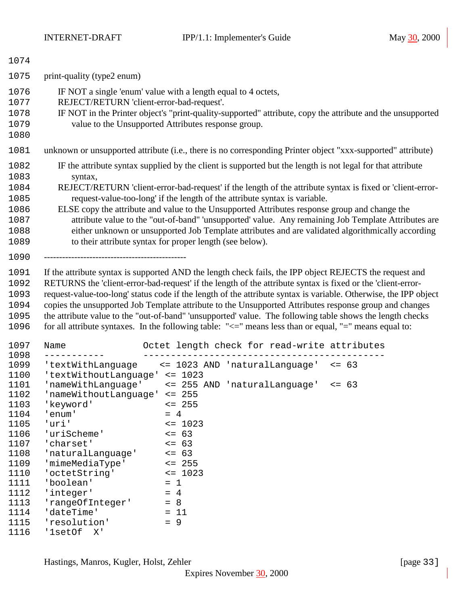INTERNET-DRAFT IPP/1.1: Implementer's Guide May 30, 2000

| 1074                                                                                                                                         |                                                                                                                                                                                                                                                                                                                                                                                                                                                                                                                                                                                                                                                                                           |                                                                                                                                                                                                                                                                                                                                                                                                                                                                                                                                                                                                                                                                                   |  |  |  |  |
|----------------------------------------------------------------------------------------------------------------------------------------------|-------------------------------------------------------------------------------------------------------------------------------------------------------------------------------------------------------------------------------------------------------------------------------------------------------------------------------------------------------------------------------------------------------------------------------------------------------------------------------------------------------------------------------------------------------------------------------------------------------------------------------------------------------------------------------------------|-----------------------------------------------------------------------------------------------------------------------------------------------------------------------------------------------------------------------------------------------------------------------------------------------------------------------------------------------------------------------------------------------------------------------------------------------------------------------------------------------------------------------------------------------------------------------------------------------------------------------------------------------------------------------------------|--|--|--|--|
| 1075                                                                                                                                         | print-quality (type2 enum)                                                                                                                                                                                                                                                                                                                                                                                                                                                                                                                                                                                                                                                                |                                                                                                                                                                                                                                                                                                                                                                                                                                                                                                                                                                                                                                                                                   |  |  |  |  |
| 1076<br>1077<br>1078<br>1079<br>1080                                                                                                         | IF NOT a single 'enum' value with a length equal to 4 octets,<br>REJECT/RETURN 'client-error-bad-request'.<br>IF NOT in the Printer object's "print-quality-supported" attribute, copy the attribute and the unsupported<br>value to the Unsupported Attributes response group.                                                                                                                                                                                                                                                                                                                                                                                                           |                                                                                                                                                                                                                                                                                                                                                                                                                                                                                                                                                                                                                                                                                   |  |  |  |  |
| 1081                                                                                                                                         |                                                                                                                                                                                                                                                                                                                                                                                                                                                                                                                                                                                                                                                                                           | unknown or unsupported attribute (i.e., there is no corresponding Printer object "xxx-supported" attribute)                                                                                                                                                                                                                                                                                                                                                                                                                                                                                                                                                                       |  |  |  |  |
| 1082<br>1083<br>1084<br>1085<br>1086<br>1087<br>1088<br>1089                                                                                 | IF the attribute syntax supplied by the client is supported but the length is not legal for that attribute<br>syntax,<br>REJECT/RETURN 'client-error-bad-request' if the length of the attribute syntax is fixed or 'client-error-<br>request-value-too-long' if the length of the attribute syntax is variable.<br>ELSE copy the attribute and value to the Unsupported Attributes response group and change the<br>attribute value to the "out-of-band" 'unsupported' value. Any remaining Job Template Attributes are<br>either unknown or unsupported Job Template attributes and are validated algorithmically according<br>to their attribute syntax for proper length (see below). |                                                                                                                                                                                                                                                                                                                                                                                                                                                                                                                                                                                                                                                                                   |  |  |  |  |
| 1090                                                                                                                                         |                                                                                                                                                                                                                                                                                                                                                                                                                                                                                                                                                                                                                                                                                           |                                                                                                                                                                                                                                                                                                                                                                                                                                                                                                                                                                                                                                                                                   |  |  |  |  |
| 1091<br>1092<br>1093<br>1094<br>1095<br>1096                                                                                                 |                                                                                                                                                                                                                                                                                                                                                                                                                                                                                                                                                                                                                                                                                           | If the attribute syntax is supported AND the length check fails, the IPP object REJECTS the request and<br>RETURNS the 'client-error-bad-request' if the length of the attribute syntax is fixed or the 'client-error-<br>request-value-too-long' status code if the length of the attribute syntax is variable. Otherwise, the IPP object<br>copies the unsupported Job Template attribute to the Unsupported Attributes response group and changes<br>the attribute value to the "out-of-band" 'unsupported' value. The following table shows the length checks<br>for all attribute syntaxes. In the following table: " $\le$ =" means less than or equal, "=" means equal to: |  |  |  |  |
| 1097<br>1098                                                                                                                                 | Name                                                                                                                                                                                                                                                                                                                                                                                                                                                                                                                                                                                                                                                                                      | Octet length check for read-write attributes                                                                                                                                                                                                                                                                                                                                                                                                                                                                                                                                                                                                                                      |  |  |  |  |
| 1099<br>1100<br>1101<br>1102<br>1103<br>1104<br>1105<br>1106<br>1107<br>1108<br>1109<br>1110<br>1111<br>1112<br>1113<br>1114<br>1115<br>1116 | 'textWithLanguage<br>'textWithoutLanguage' <= 1023<br>'nameWithLanguage'<br>'nameWithoutLanguage'<br>'keyword'<br>'enum'<br>'uri'<br>'uriScheme'<br>'charset'<br>'naturalLanguage'<br>'mimeMediaType'<br>'octetString'<br>'boolean'<br>'integer'<br>'rangeOfInteger'<br>'dateTime'<br>'resolution'<br>'lsetOf<br>' X                                                                                                                                                                                                                                                                                                                                                                      | <= 1023 AND 'naturalLanguage'<br>$= 63$<br><= 255 AND 'naturalLanguage'<br>$\leq$ 63<br>$\leq$ 255<br>$\leq$ 255<br>$= 4$<br>$= 1023$<br>$\leq$ 63<br>$= 63$<br>$= 63$<br>$\leq$ 255<br>$= 1023$<br>- 1<br>$=$<br>4<br>$=$<br>8<br>$=$<br>- 11<br>$\equiv$<br>$= 9$                                                                                                                                                                                                                                                                                                                                                                                                               |  |  |  |  |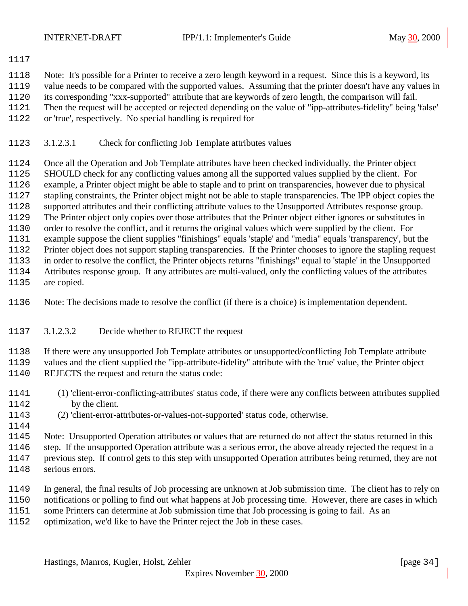<span id="page-33-0"></span>

Note: It's possible for a Printer to receive a zero length keyword in a request. Since this is a keyword, its

value needs to be compared with the supported values. Assuming that the printer doesn't have any values in

- its corresponding "xxx-supported" attribute that are keywords of zero length, the comparison will fail.
- Then the request will be accepted or rejected depending on the value of "ipp-attributes-fidelity" being 'false'
- or 'true', respectively. No special handling is required for
- 3.1.2.3.1 Check for conflicting Job Template attributes values

 Once all the Operation and Job Template attributes have been checked individually, the Printer object SHOULD check for any conflicting values among all the supported values supplied by the client. For example, a Printer object might be able to staple and to print on transparencies, however due to physical stapling constraints, the Printer object might not be able to staple transparencies. The IPP object copies the supported attributes and their conflicting attribute values to the Unsupported Attributes response group. The Printer object only copies over those attributes that the Printer object either ignores or substitutes in order to resolve the conflict, and it returns the original values which were supplied by the client. For example suppose the client supplies "finishings" equals 'staple' and "media" equals 'transparency', but the Printer object does not support stapling transparencies. If the Printer chooses to ignore the stapling request in order to resolve the conflict, the Printer objects returns "finishings" equal to 'staple' in the Unsupported Attributes response group. If any attributes are multi-valued, only the conflicting values of the attributes are copied.

Note: The decisions made to resolve the conflict (if there is a choice) is implementation dependent.

# 3.1.2.3.2 Decide whether to REJECT the request

 If there were any unsupported Job Template attributes or unsupported/conflicting Job Template attribute values and the client supplied the "ipp-attribute-fidelity" attribute with the 'true' value, the Printer object

REJECTS the request and return the status code:

- (1) 'client-error-conflicting-attributes' status code, if there were any conflicts between attributes supplied by the client.
- (2) 'client-error-attributes-or-values-not-supported' status code, otherwise.
- 
- Note: Unsupported Operation attributes or values that are returned do not affect the status returned in this step. If the unsupported Operation attribute was a serious error, the above already rejected the request in a
- previous step. If control gets to this step with unsupported Operation attributes being returned, they are not serious errors.
- In general, the final results of Job processing are unknown at Job submission time. The client has to rely on notifications or polling to find out what happens at Job processing time. However, there are cases in which some Printers can determine at Job submission time that Job processing is going to fail. As an
- optimization, we'd like to have the Printer reject the Job in these cases.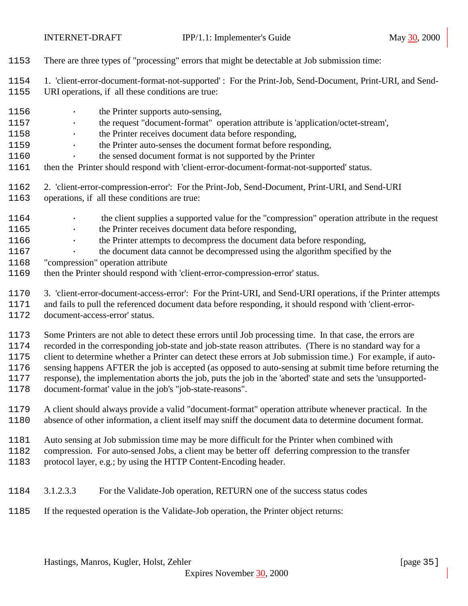<span id="page-34-0"></span>

There are three types of "processing" errors that might be detectable at Job submission time:

 1. 'client-error-document-format-not-supported' : For the Print-Job, Send-Document, Print-URI, and Send-URI operations, if all these conditions are true:

- 1156 · the Printer supports auto-sensing,
- **· the request "document-format"** operation attribute is 'application/octet-stream',
- 1158 · the Printer receives document data before responding,
- 1159 · the Printer auto-senses the document format before responding,
- 1160 · the sensed document format is not supported by the Printer
- then the Printer should respond with 'client-error-document-format-not-supported' status.
- 2. 'client-error-compression-error': For the Print-Job, Send-Document, Print-URI, and Send-URI
- operations, if all these conditions are true:
- 1164 · the client supplies a supported value for the "compression" operation attribute in the request
- 1165 · the Printer receives document data before responding,
- 1166 · the Printer attempts to decompress the document data before responding,
- · the document data cannot be decompressed using the algorithm specified by the
- "compression" operation attribute
- then the Printer should respond with 'client-error-compression-error' status.

3. 'client-error-document-access-error': For the Print-URI, and Send-URI operations, if the Printer attempts

and fails to pull the referenced document data before responding, it should respond with 'client-error-

document-access-error' status.

Some Printers are not able to detect these errors until Job processing time. In that case, the errors are

recorded in the corresponding job-state and job-state reason attributes. (There is no standard way for a

client to determine whether a Printer can detect these errors at Job submission time.) For example, if auto-

 sensing happens AFTER the job is accepted (as opposed to auto-sensing at submit time before returning the response), the implementation aborts the job, puts the job in the 'aborted' state and sets the 'unsupported-

- document-format' value in the job's "job-state-reasons".
- A client should always provide a valid "document-format" operation attribute whenever practical. In the absence of other information, a client itself may sniff the document data to determine document format.
- Auto sensing at Job submission time may be more difficult for the Printer when combined with
- compression. For auto-sensed Jobs, a client may be better off deferring compression to the transfer protocol layer, e.g.; by using the HTTP Content-Encoding header.
- 3.1.2.3.3 For the Validate-Job operation, RETURN one of the success status codes
- If the requested operation is the Validate-Job operation, the Printer object returns: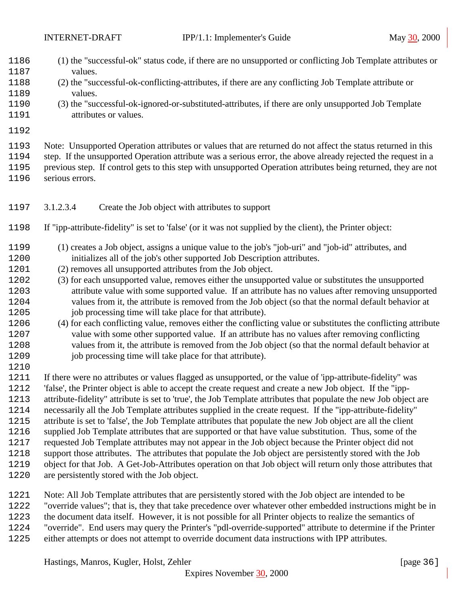<span id="page-35-0"></span>

- (1) the "successful-ok" status code, if there are no unsupported or conflicting Job Template attributes or values.
- (2) the "successful-ok-conflicting-attributes, if there are any conflicting Job Template attribute or values.
- (3) the "successful-ok-ignored-or-substituted-attributes, if there are only unsupported Job Template attributes or values.
- 

 Note: Unsupported Operation attributes or values that are returned do not affect the status returned in this step. If the unsupported Operation attribute was a serious error, the above already rejected the request in a previous step. If control gets to this step with unsupported Operation attributes being returned, they are not serious errors.

- 3.1.2.3.4 Create the Job object with attributes to support
- If "ipp-attribute-fidelity" is set to 'false' (or it was not supplied by the client), the Printer object:
- (1) creates a Job object, assigns a unique value to the job's "job-uri" and "job-id" attributes, and initializes all of the job's other supported Job Description attributes.
- (2) removes all unsupported attributes from the Job object.
- (3) for each unsupported value, removes either the unsupported value or substitutes the unsupported attribute value with some supported value. If an attribute has no values after removing unsupported values from it, the attribute is removed from the Job object (so that the normal default behavior at 1205 job processing time will take place for that attribute).
- (4) for each conflicting value, removes either the conflicting value or substitutes the conflicting attribute value with some other supported value. If an attribute has no values after removing conflicting values from it, the attribute is removed from the Job object (so that the normal default behavior at 1209 job processing time will take place for that attribute).

 If there were no attributes or values flagged as unsupported, or the value of 'ipp-attribute-fidelity" was 'false', the Printer object is able to accept the create request and create a new Job object. If the "ipp- attribute-fidelity" attribute is set to 'true', the Job Template attributes that populate the new Job object are necessarily all the Job Template attributes supplied in the create request. If the "ipp-attribute-fidelity" attribute is set to 'false', the Job Template attributes that populate the new Job object are all the client supplied Job Template attributes that are supported or that have value substitution. Thus, some of the requested Job Template attributes may not appear in the Job object because the Printer object did not support those attributes. The attributes that populate the Job object are persistently stored with the Job object for that Job. A Get-Job-Attributes operation on that Job object will return only those attributes that are persistently stored with the Job object.

 Note: All Job Template attributes that are persistently stored with the Job object are intended to be "override values"; that is, they that take precedence over whatever other embedded instructions might be in the document data itself. However, it is not possible for all Printer objects to realize the semantics of "override". End users may query the Printer's "pdl-override-supported" attribute to determine if the Printer either attempts or does not attempt to override document data instructions with IPP attributes.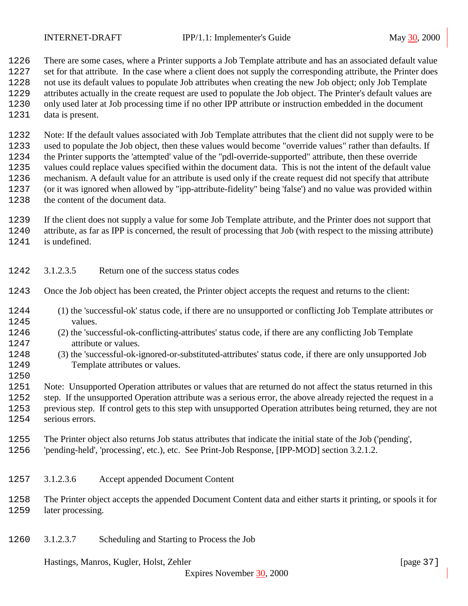<span id="page-36-0"></span>

 There are some cases, where a Printer supports a Job Template attribute and has an associated default value set for that attribute. In the case where a client does not supply the corresponding attribute, the Printer does not use its default values to populate Job attributes when creating the new Job object; only Job Template attributes actually in the create request are used to populate the Job object. The Printer's default values are only used later at Job processing time if no other IPP attribute or instruction embedded in the document data is present.

 Note: If the default values associated with Job Template attributes that the client did not supply were to be used to populate the Job object, then these values would become "override values" rather than defaults. If the Printer supports the 'attempted' value of the "pdl-override-supported" attribute, then these override values could replace values specified within the document data. This is not the intent of the default value mechanism. A default value for an attribute is used only if the create request did not specify that attribute (or it was ignored when allowed by "ipp-attribute-fidelity" being 'false') and no value was provided within the content of the document data.

 If the client does not supply a value for some Job Template attribute, and the Printer does not support that attribute, as far as IPP is concerned, the result of processing that Job (with respect to the missing attribute) is undefined.

- 3.1.2.3.5 Return one of the success status codes
- Once the Job object has been created, the Printer object accepts the request and returns to the client:
- (1) the 'successful-ok' status code, if there are no unsupported or conflicting Job Template attributes or values.
- (2) the 'successful-ok-conflicting-attributes' status code, if there are any conflicting Job Template attribute or values.
- (3) the 'successful-ok-ignored-or-substituted-attributes' status code, if there are only unsupported Job Template attributes or values.
- 

 Note: Unsupported Operation attributes or values that are returned do not affect the status returned in this step. If the unsupported Operation attribute was a serious error, the above already rejected the request in a previous step. If control gets to this step with unsupported Operation attributes being returned, they are not

- serious errors.
- The Printer object also returns Job status attributes that indicate the initial state of the Job ('pending',
- 'pending-held', 'processing', etc.), etc. See Print-Job Response, [IPP-MOD] section 3.2.1.2.
- 3.1.2.3.6 Accept appended Document Content

 The Printer object accepts the appended Document Content data and either starts it printing, or spools it for later processing.

3.1.2.3.7 Scheduling and Starting to Process the Job

#### Hastings, Manros, Kugler, Holst, Zehler [page 37]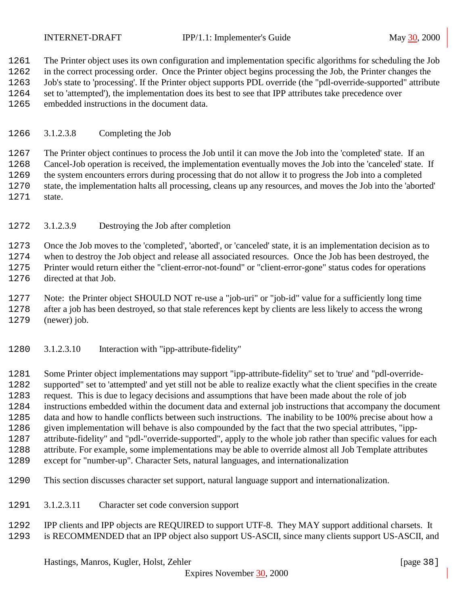<span id="page-37-0"></span>

 The Printer object uses its own configuration and implementation specific algorithms for scheduling the Job in the correct processing order. Once the Printer object begins processing the Job, the Printer changes the Job's state to 'processing'. If the Printer object supports PDL override (the "pdl-override-supported" attribute set to 'attempted'), the implementation does its best to see that IPP attributes take precedence over

- embedded instructions in the document data.
- 3.1.2.3.8 Completing the Job

 The Printer object continues to process the Job until it can move the Job into the 'completed' state. If an Cancel-Job operation is received, the implementation eventually moves the Job into the 'canceled' state. If the system encounters errors during processing that do not allow it to progress the Job into a completed state, the implementation halts all processing, cleans up any resources, and moves the Job into the 'aborted' state.

3.1.2.3.9 Destroying the Job after completion

 Once the Job moves to the 'completed', 'aborted', or 'canceled' state, it is an implementation decision as to when to destroy the Job object and release all associated resources. Once the Job has been destroyed, the Printer would return either the "client-error-not-found" or "client-error-gone" status codes for operations directed at that Job.

 Note: the Printer object SHOULD NOT re-use a "job-uri" or "job-id" value for a sufficiently long time after a job has been destroyed, so that stale references kept by clients are less likely to access the wrong (newer) job.

3.1.2.3.10 Interaction with "ipp-attribute-fidelity"

 Some Printer object implementations may support "ipp-attribute-fidelity" set to 'true' and "pdl-override- supported" set to 'attempted' and yet still not be able to realize exactly what the client specifies in the create request. This is due to legacy decisions and assumptions that have been made about the role of job instructions embedded within the document data and external job instructions that accompany the document data and how to handle conflicts between such instructions. The inability to be 100% precise about how a given implementation will behave is also compounded by the fact that the two special attributes, "ipp- attribute-fidelity" and "pdl-"override-supported", apply to the whole job rather than specific values for each attribute. For example, some implementations may be able to override almost all Job Template attributes except for "number-up". Character Sets, natural languages, and internationalization

- This section discusses character set support, natural language support and internationalization.
- 3.1.2.3.11 Character set code conversion support

# IPP clients and IPP objects are REQUIRED to support UTF-8. They MAY support additional charsets. It

is RECOMMENDED that an IPP object also support US-ASCII, since many clients support US-ASCII, and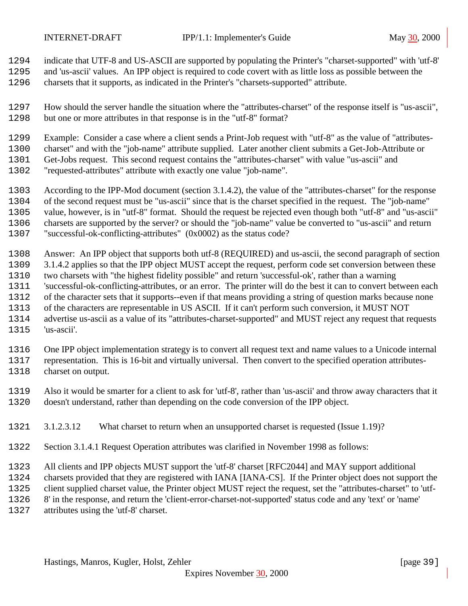<span id="page-38-0"></span>

indicate that UTF-8 and US-ASCII are supported by populating the Printer's "charset-supported" with 'utf-8'

 and 'us-ascii' values. An IPP object is required to code covert with as little loss as possible between the charsets that it supports, as indicated in the Printer's "charsets-supported" attribute.

 How should the server handle the situation where the "attributes-charset" of the response itself is "us-ascii", but one or more attributes in that response is in the "utf-8" format?

Example: Consider a case where a client sends a Print-Job request with "utf-8" as the value of "attributes-

charset" and with the "job-name" attribute supplied. Later another client submits a Get-Job-Attribute or

 Get-Jobs request. This second request contains the "attributes-charset" with value "us-ascii" and "requested-attributes" attribute with exactly one value "job-name".

According to the IPP-Mod document (section 3.1.4.2), the value of the "attributes-charset" for the response

of the second request must be "us-ascii" since that is the charset specified in the request. The "job-name"

value, however, is in "utf-8" format. Should the request be rejected even though both "utf-8" and "us-ascii"

charsets are supported by the server? or should the "job-name" value be converted to "us-ascii" and return

"successful-ok-conflicting-attributes" (0x0002) as the status code?

Answer: An IPP object that supports both utf-8 (REQUIRED) and us-ascii, the second paragraph of section

3.1.4.2 applies so that the IPP object MUST accept the request, perform code set conversion between these

two charsets with "the highest fidelity possible" and return 'successful-ok', rather than a warning

'successful-ok-conflicting-attributes, or an error. The printer will do the best it can to convert between each

 of the character sets that it supports--even if that means providing a string of question marks because none of the characters are representable in US ASCII. If it can't perform such conversion, it MUST NOT

- advertise us-ascii as a value of its "attributes-charset-supported" and MUST reject any request that requests
- 'us-ascii'.

 One IPP object implementation strategy is to convert all request text and name values to a Unicode internal representation. This is 16-bit and virtually universal. Then convert to the specified operation attributes-charset on output.

 Also it would be smarter for a client to ask for 'utf-8', rather than 'us-ascii' and throw away characters that it doesn't understand, rather than depending on the code conversion of the IPP object.

3.1.2.3.12 What charset to return when an unsupported charset is requested (Issue 1.19)?

Section 3.1.4.1 Request Operation attributes was clarified in November 1998 as follows:

All clients and IPP objects MUST support the 'utf-8' charset [RFC2044] and MAY support additional

charsets provided that they are registered with IANA [IANA-CS]. If the Printer object does not support the

client supplied charset value, the Printer object MUST reject the request, set the "attributes-charset" to 'utf-

8' in the response, and return the 'client-error-charset-not-supported' status code and any 'text' or 'name'

attributes using the 'utf-8' charset.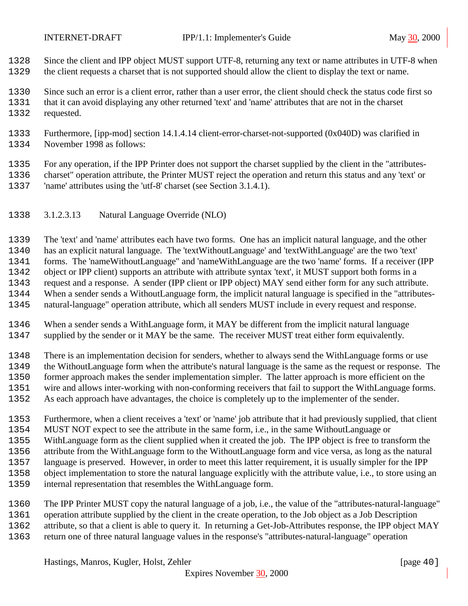<span id="page-39-0"></span>

- Since the client and IPP object MUST support UTF-8, returning any text or name attributes in UTF-8 when the client requests a charset that is not supported should allow the client to display the text or name.
- Since such an error is a client error, rather than a user error, the client should check the status code first so that it can avoid displaying any other returned 'text' and 'name' attributes that are not in the charset requested.
- Furthermore, [ipp-mod] section 14.1.4.14 client-error-charset-not-supported (0x040D) was clarified in November 1998 as follows:
- For any operation, if the IPP Printer does not support the charset supplied by the client in the "attributes- charset" operation attribute, the Printer MUST reject the operation and return this status and any 'text' or 'name' attributes using the 'utf-8' charset (see Section 3.1.4.1).
- 3.1.2.3.13 Natural Language Override (NLO)

The 'text' and 'name' attributes each have two forms. One has an implicit natural language, and the other

- has an explicit natural language. The 'textWithoutLanguage' and 'textWithLanguage' are the two 'text' forms. The 'nameWithoutLanguage" and 'nameWithLanguage are the two 'name' forms. If a receiver (IPP
- object or IPP client) supports an attribute with attribute syntax 'text', it MUST support both forms in a request and a response. A sender (IPP client or IPP object) MAY send either form for any such attribute.
- When a sender sends a WithoutLanguage form, the implicit natural language is specified in the "attributes-
- natural-language" operation attribute, which all senders MUST include in every request and response.
- When a sender sends a WithLanguage form, it MAY be different from the implicit natural language supplied by the sender or it MAY be the same. The receiver MUST treat either form equivalently.
- There is an implementation decision for senders, whether to always send the WithLanguage forms or use the WithoutLanguage form when the attribute's natural language is the same as the request or response. The former approach makes the sender implementation simpler. The latter approach is more efficient on the wire and allows inter-working with non-conforming receivers that fail to support the WithLanguage forms. As each approach have advantages, the choice is completely up to the implementer of the sender.
- 
- Furthermore, when a client receives a 'text' or 'name' job attribute that it had previously supplied, that client
- MUST NOT expect to see the attribute in the same form, i.e., in the same WithoutLanguage or
- WithLanguage form as the client supplied when it created the job. The IPP object is free to transform the
- attribute from the WithLanguage form to the WithoutLanguage form and vice versa, as long as the natural language is preserved. However, in order to meet this latter requirement, it is usually simpler for the IPP
- object implementation to store the natural language explicitly with the attribute value, i.e., to store using an
- internal representation that resembles the WithLanguage form.
- The IPP Printer MUST copy the natural language of a job, i.e., the value of the "attributes-natural-language"
- operation attribute supplied by the client in the create operation, to the Job object as a Job Description
- attribute, so that a client is able to query it. In returning a Get-Job-Attributes response, the IPP object MAY
- return one of three natural language values in the response's "attributes-natural-language" operation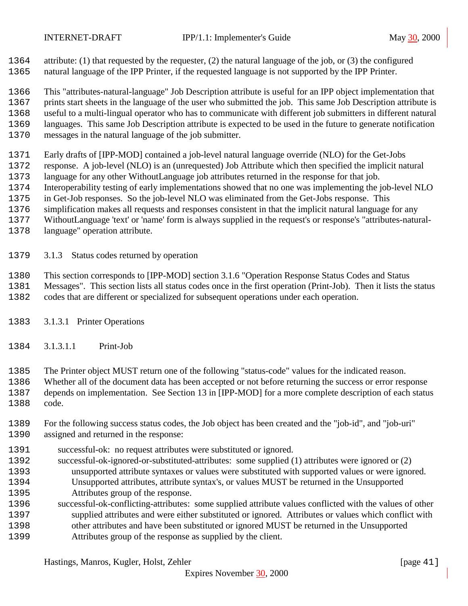<span id="page-40-0"></span>

attribute: (1) that requested by the requester, (2) the natural language of the job, or (3) the configured

natural language of the IPP Printer, if the requested language is not supported by the IPP Printer.

This "attributes-natural-language" Job Description attribute is useful for an IPP object implementation that

 prints start sheets in the language of the user who submitted the job. This same Job Description attribute is useful to a multi-lingual operator who has to communicate with different job submitters in different natural

languages. This same Job Description attribute is expected to be used in the future to generate notification

- messages in the natural language of the job submitter.
- Early drafts of [IPP-MOD] contained a job-level natural language override (NLO) for the Get-Jobs
- response. A job-level (NLO) is an (unrequested) Job Attribute which then specified the implicit natural
- language for any other WithoutLanguage job attributes returned in the response for that job.
- Interoperability testing of early implementations showed that no one was implementing the job-level NLO

in Get-Job responses. So the job-level NLO was eliminated from the Get-Jobs response. This

simplification makes all requests and responses consistent in that the implicit natural language for any

WithoutLanguage 'text' or 'name' form is always supplied in the request's or response's "attributes-natural-

- language" operation attribute.
- 3.1.3 Status codes returned by operation

This section corresponds to [IPP-MOD] section 3.1.6 "Operation Response Status Codes and Status

Messages". This section lists all status codes once in the first operation (Print-Job). Then it lists the status

codes that are different or specialized for subsequent operations under each operation.

- 3.1.3.1 Printer Operations
- 3.1.3.1.1 Print-Job

The Printer object MUST return one of the following "status-code" values for the indicated reason.

 Whether all of the document data has been accepted or not before returning the success or error response depends on implementation. See Section 13 in [IPP-MOD] for a more complete description of each status code.

- For the following success status codes, the Job object has been created and the "job-id", and "job-uri" assigned and returned in the response:
- successful-ok: no request attributes were substituted or ignored.
- successful-ok-ignored-or-substituted-attributes: some supplied (1) attributes were ignored or (2) unsupported attribute syntaxes or values were substituted with supported values or were ignored. Unsupported attributes, attribute syntax's, or values MUST be returned in the Unsupported Attributes group of the response.
- successful-ok-conflicting-attributes: some supplied attribute values conflicted with the values of other supplied attributes and were either substituted or ignored. Attributes or values which conflict with other attributes and have been substituted or ignored MUST be returned in the Unsupported
- Attributes group of the response as supplied by the client.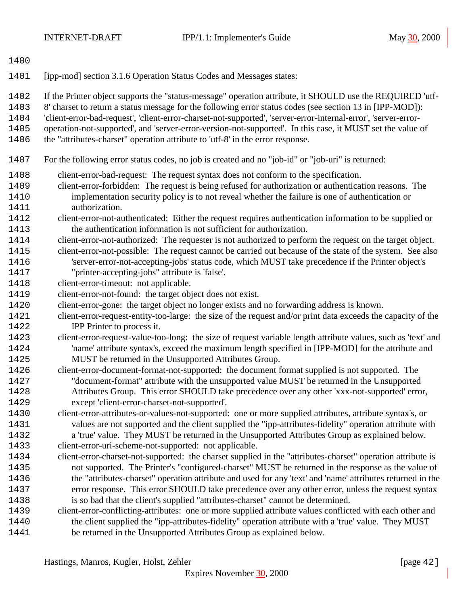- 
- [ipp-mod] section 3.1.6 Operation Status Codes and Messages states:
- If the Printer object supports the "status-message" operation attribute, it SHOULD use the REQUIRED 'utf-
- 8' charset to return a status message for the following error status codes (see section 13 in [IPP-MOD]):
- 'client-error-bad-request', 'client-error-charset-not-supported', 'server-error-internal-error', 'server-error-
- operation-not-supported', and 'server-error-version-not-supported'. In this case, it MUST set the value of
- the "attributes-charset" operation attribute to 'utf-8' in the error response.
- For the following error status codes, no job is created and no "job-id" or "job-uri" is returned:
- client-error-bad-request: The request syntax does not conform to the specification.
- client-error-forbidden: The request is being refused for authorization or authentication reasons. The implementation security policy is to not reveal whether the failure is one of authentication or authorization.
- client-error-not-authenticated: Either the request requires authentication information to be supplied or the authentication information is not sufficient for authorization.
- client-error-not-authorized: The requester is not authorized to perform the request on the target object.
- client-error-not-possible: The request cannot be carried out because of the state of the system. See also 'server-error-not-accepting-jobs' status code, which MUST take precedence if the Printer object's "printer-accepting-jobs" attribute is 'false'.
- client-error-timeout: not applicable.
- client-error-not-found: the target object does not exist.
- client-error-gone: the target object no longer exists and no forwarding address is known.
- client-error-request-entity-too-large: the size of the request and/or print data exceeds the capacity of the IPP Printer to process it.
- client-error-request-value-too-long: the size of request variable length attribute values, such as 'text' and 'name' attribute syntax's, exceed the maximum length specified in [IPP-MOD] for the attribute and MUST be returned in the Unsupported Attributes Group.
- client-error-document-format-not-supported: the document format supplied is not supported. The "document-format" attribute with the unsupported value MUST be returned in the Unsupported Attributes Group. This error SHOULD take precedence over any other 'xxx-not-supported' error, except 'client-error-charset-not-supported'.
- client-error-attributes-or-values-not-supported: one or more supplied attributes, attribute syntax's, or values are not supported and the client supplied the "ipp-attributes-fidelity" operation attribute with a 'true' value. They MUST be returned in the Unsupported Attributes Group as explained below.
- client-error-uri-scheme-not-supported: not applicable.
- client-error-charset-not-supported: the charset supplied in the "attributes-charset" operation attribute is not supported. The Printer's "configured-charset" MUST be returned in the response as the value of the "attributes-charset" operation attribute and used for any 'text' and 'name' attributes returned in the error response. This error SHOULD take precedence over any other error, unless the request syntax is so bad that the client's supplied "attributes-charset" cannot be determined.
- client-error-conflicting-attributes: one or more supplied attribute values conflicted with each other and the client supplied the "ipp-attributes-fidelity" operation attribute with a 'true' value. They MUST be returned in the Unsupported Attributes Group as explained below.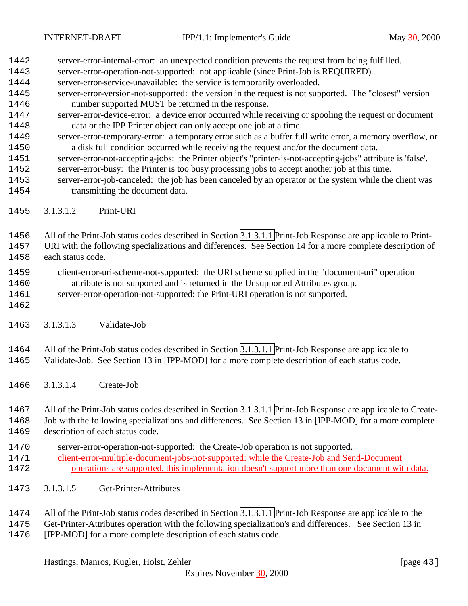- <span id="page-42-0"></span>server-error-internal-error: an unexpected condition prevents the request from being fulfilled.
- server-error-operation-not-supported: not applicable (since Print-Job is REQUIRED).
- server-error-service-unavailable: the service is temporarily overloaded.
- server-error-version-not-supported: the version in the request is not supported. The "closest" version number supported MUST be returned in the response.
- server-error-device-error: a device error occurred while receiving or spooling the request or document data or the IPP Printer object can only accept one job at a time.
- server-error-temporary-error: a temporary error such as a buffer full write error, a memory overflow, or a disk full condition occurred while receiving the request and/or the document data.
- server-error-not-accepting-jobs: the Printer object's "printer-is-not-accepting-jobs" attribute is 'false'.
- server-error-busy: the Printer is too busy processing jobs to accept another job at this time.
- server-error-job-canceled: the job has been canceled by an operator or the system while the client was transmitting the document data.
- 3.1.3.1.2 Print-URI

All of the Print-Job status codes described in Section [3.1.3.1.1](#page-40-0) Print-Job Response are applicable to Print-

- URI with the following specializations and differences. See Section 14 for a more complete description of each status code.
- client-error-uri-scheme-not-supported: the URI scheme supplied in the "document-uri" operation attribute is not supported and is returned in the Unsupported Attributes group. server-error-operation-not-supported: the Print-URI operation is not supported.
- 

3.1.3.1.3 Validate-Job

- All of the Print-Job status codes described in Section [3.1.3.1.1](#page-40-0) Print-Job Response are applicable to Validate-Job. See Section 13 in [IPP-MOD] for a more complete description of each status code.
- 3.1.3.1.4 Create-Job

All of the Print-Job status codes described in Section [3.1.3.1.1](#page-40-0) Print-Job Response are applicable to Create-

- Job with the following specializations and differences. See Section 13 in [IPP-MOD] for a more complete description of each status code.
- server-error-operation-not-supported: the Create-Job operation is not supported. client-error-multiple-document-jobs-not-supported: while the Create-Job and Send-Document operations are supported, this implementation doesn't support more than one document with data.
- 3.1.3.1.5 Get-Printer-Attributes
- All of the Print-Job status codes described in Section [3.1.3.1.1](#page-40-0) Print-Job Response are applicable to the
- Get-Printer-Attributes operation with the following specialization's and differences. See Section 13 in
- [IPP-MOD] for a more complete description of each status code.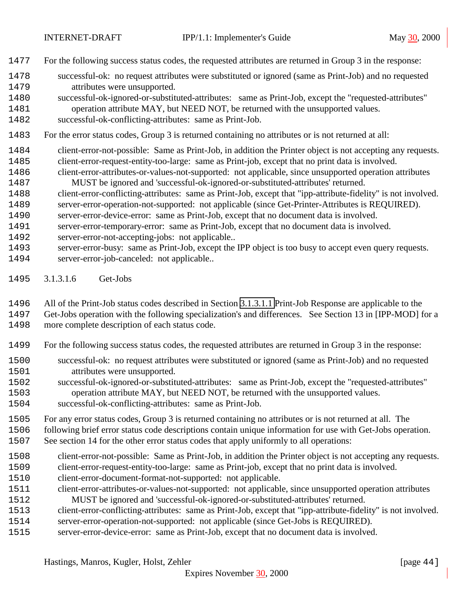- <span id="page-43-0"></span>For the following success status codes, the requested attributes are returned in Group 3 in the response:
- successful-ok: no request attributes were substituted or ignored (same as Print-Job) and no requested attributes were unsupported.
- successful-ok-ignored-or-substituted-attributes: same as Print-Job, except the "requested-attributes" operation attribute MAY, but NEED NOT, be returned with the unsupported values.
- successful-ok-conflicting-attributes: same as Print-Job.
- For the error status codes, Group 3 is returned containing no attributes or is not returned at all:
- client-error-not-possible: Same as Print-Job, in addition the Printer object is not accepting any requests.
- client-error-request-entity-too-large: same as Print-job, except that no print data is involved.
	- client-error-attributes-or-values-not-supported: not applicable, since unsupported operation attributes MUST be ignored and 'successful-ok-ignored-or-substituted-attributes' returned.
	- client-error-conflicting-attributes: same as Print-Job, except that "ipp-attribute-fidelity" is not involved.
	- server-error-operation-not-supported: not applicable (since Get-Printer-Attributes is REQUIRED).
	- server-error-device-error: same as Print-Job, except that no document data is involved.
	- server-error-temporary-error: same as Print-Job, except that no document data is involved.
	- server-error-not-accepting-jobs: not applicable..
	- server-error-busy: same as Print-Job, except the IPP object is too busy to accept even query requests.
	- server-error-job-canceled: not applicable..
	- 3.1.3.1.6 Get-Jobs
	- All of the Print-Job status codes described in Section [3.1.3.1.1](#page-40-0) Print-Job Response are applicable to the
	- Get-Jobs operation with the following specialization's and differences. See Section 13 in [IPP-MOD] for a more complete description of each status code.
	- For the following success status codes, the requested attributes are returned in Group 3 in the response:
	- successful-ok: no request attributes were substituted or ignored (same as Print-Job) and no requested attributes were unsupported.
	- successful-ok-ignored-or-substituted-attributes: same as Print-Job, except the "requested-attributes" operation attribute MAY, but NEED NOT, be returned with the unsupported values.
	- successful-ok-conflicting-attributes: same as Print-Job.
	- For any error status codes, Group 3 is returned containing no attributes or is not returned at all. The
	- following brief error status code descriptions contain unique information for use with Get-Jobs operation.
	- See section 14 for the other error status codes that apply uniformly to all operations:
	- client-error-not-possible: Same as Print-Job, in addition the Printer object is not accepting any requests.
	- client-error-request-entity-too-large: same as Print-job, except that no print data is involved.
	- client-error-document-format-not-supported: not applicable.
	- client-error-attributes-or-values-not-supported: not applicable, since unsupported operation attributes MUST be ignored and 'successful-ok-ignored-or-substituted-attributes' returned.
	- client-error-conflicting-attributes: same as Print-Job, except that "ipp-attribute-fidelity" is not involved.
	- server-error-operation-not-supported: not applicable (since Get-Jobs is REQUIRED).
	- server-error-device-error: same as Print-Job, except that no document data is involved.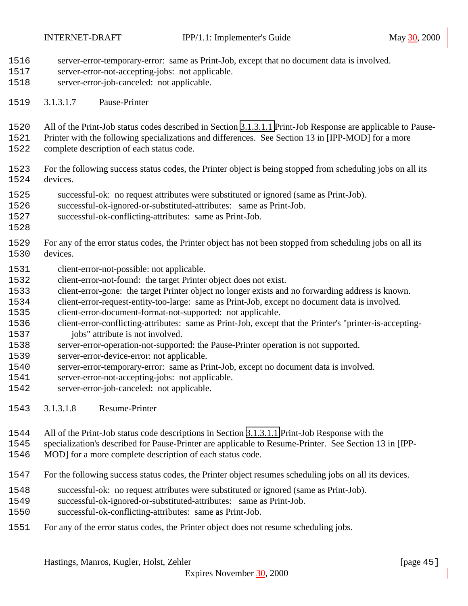- <span id="page-44-0"></span>server-error-temporary-error: same as Print-Job, except that no document data is involved.
- server-error-not-accepting-jobs: not applicable.
- server-error-job-canceled: not applicable.
- 3.1.3.1.7 Pause-Printer
- All of the Print-Job status codes described in Section [3.1.3.1.1](#page-40-0) Print-Job Response are applicable to Pause-
- Printer with the following specializations and differences. See Section 13 in [IPP-MOD] for a more complete description of each status code.
- For the following success status codes, the Printer object is being stopped from scheduling jobs on all its devices.
- successful-ok: no request attributes were substituted or ignored (same as Print-Job).
- successful-ok-ignored-or-substituted-attributes: same as Print-Job.
- successful-ok-conflicting-attributes: same as Print-Job.
- 
- For any of the error status codes, the Printer object has not been stopped from scheduling jobs on all its devices.
- client-error-not-possible: not applicable.
- client-error-not-found: the target Printer object does not exist.
- client-error-gone: the target Printer object no longer exists and no forwarding address is known.
- client-error-request-entity-too-large: same as Print-Job, except no document data is involved.
- client-error-document-format-not-supported: not applicable.
- client-error-conflicting-attributes: same as Print-Job, except that the Printer's "printer-is-accepting-1537 jobs" attribute is not involved.
- server-error-operation-not-supported: the Pause-Printer operation is not supported.
- server-error-device-error: not applicable.
- server-error-temporary-error: same as Print-Job, except no document data is involved.
- server-error-not-accepting-jobs: not applicable.
- server-error-job-canceled: not applicable.
- 3.1.3.1.8 Resume-Printer
- All of the Print-Job status code descriptions in Section [3.1.3.1.1](#page-40-0) Print-Job Response with the
- specialization's described for Pause-Printer are applicable to Resume-Printer. See Section 13 in [IPP-
- MOD] for a more complete description of each status code.
- For the following success status codes, the Printer object resumes scheduling jobs on all its devices.
- successful-ok: no request attributes were substituted or ignored (same as Print-Job).
- successful-ok-ignored-or-substituted-attributes: same as Print-Job.
- successful-ok-conflicting-attributes: same as Print-Job.
- For any of the error status codes, the Printer object does not resume scheduling jobs.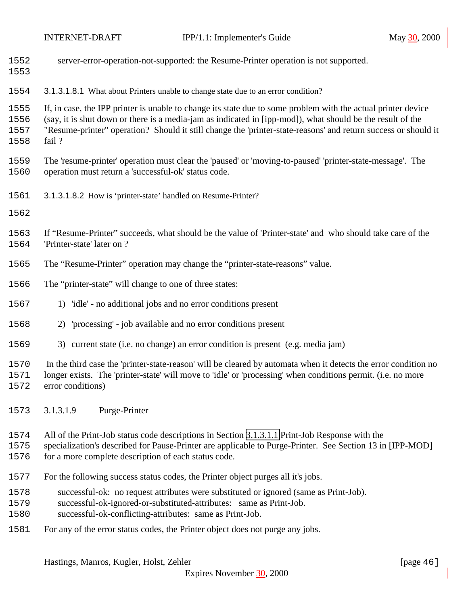<span id="page-45-0"></span>

| 1552<br>1553                 | server-error-operation-not-supported: the Resume-Printer operation is not supported.                                                                                                                                                                                                                                                                   |  |  |  |  |  |
|------------------------------|--------------------------------------------------------------------------------------------------------------------------------------------------------------------------------------------------------------------------------------------------------------------------------------------------------------------------------------------------------|--|--|--|--|--|
| 1554                         | 3.1.3.1.8.1 What about Printers unable to change state due to an error condition?                                                                                                                                                                                                                                                                      |  |  |  |  |  |
| 1555<br>1556<br>1557<br>1558 | If, in case, the IPP printer is unable to change its state due to some problem with the actual printer device<br>(say, it is shut down or there is a media-jam as indicated in [ipp-mod]), what should be the result of the<br>"Resume-printer" operation? Should it still change the 'printer-state-reasons' and return success or should it<br>fail? |  |  |  |  |  |
| 1559<br>1560                 | The 'resume-printer' operation must clear the 'paused' or 'moving-to-paused' 'printer-state-message'. The<br>operation must return a 'successful-ok' status code.                                                                                                                                                                                      |  |  |  |  |  |
| 1561                         | 3.1.3.1.8.2 How is 'printer-state' handled on Resume-Printer?                                                                                                                                                                                                                                                                                          |  |  |  |  |  |
| 1562                         |                                                                                                                                                                                                                                                                                                                                                        |  |  |  |  |  |
| 1563<br>1564                 | If "Resume-Printer" succeeds, what should be the value of 'Printer-state' and who should take care of the<br>'Printer-state' later on ?                                                                                                                                                                                                                |  |  |  |  |  |
| 1565                         | The "Resume-Printer" operation may change the "printer-state-reasons" value.                                                                                                                                                                                                                                                                           |  |  |  |  |  |
| 1566                         | The "printer-state" will change to one of three states:                                                                                                                                                                                                                                                                                                |  |  |  |  |  |
| 1567                         | 1) 'idle' - no additional jobs and no error conditions present                                                                                                                                                                                                                                                                                         |  |  |  |  |  |
| 1568                         | 2) 'processing' - job available and no error conditions present                                                                                                                                                                                                                                                                                        |  |  |  |  |  |
| 1569                         | 3) current state (i.e. no change) an error condition is present (e.g. media jam)                                                                                                                                                                                                                                                                       |  |  |  |  |  |
| 1570<br>1571<br>1572         | In the third case the 'printer-state-reason' will be cleared by automata when it detects the error condition no<br>longer exists. The 'printer-state' will move to 'idle' or 'processing' when conditions permit. (i.e. no more<br>error conditions)                                                                                                   |  |  |  |  |  |
| 1573                         | 3.1.3.1.9<br>Purge-Printer                                                                                                                                                                                                                                                                                                                             |  |  |  |  |  |
| 1574<br>1575<br>1576         | All of the Print-Job status code descriptions in Section 3.1.3.1.1 Print-Job Response with the<br>specialization's described for Pause-Printer are applicable to Purge-Printer. See Section 13 in [IPP-MOD]<br>for a more complete description of each status code.                                                                                    |  |  |  |  |  |
| 1577                         | For the following success status codes, the Printer object purges all it's jobs.                                                                                                                                                                                                                                                                       |  |  |  |  |  |
| 1578<br>1579<br>1580         | successful-ok: no request attributes were substituted or ignored (same as Print-Job).<br>successful-ok-ignored-or-substituted-attributes: same as Print-Job.<br>successful-ok-conflicting-attributes: same as Print-Job.                                                                                                                               |  |  |  |  |  |
| 1581                         | For any of the error status codes, the Printer object does not purge any jobs.                                                                                                                                                                                                                                                                         |  |  |  |  |  |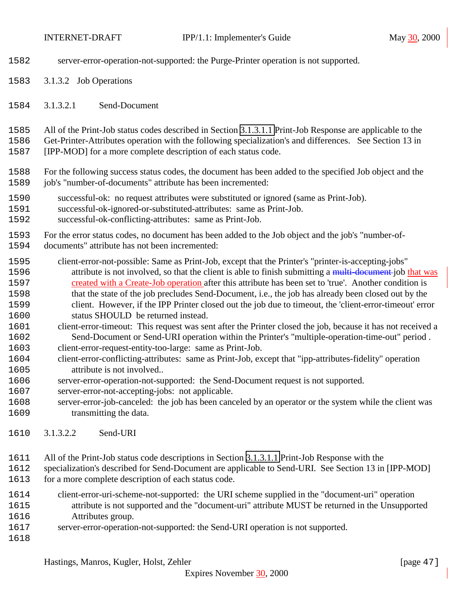- <span id="page-46-0"></span>server-error-operation-not-supported: the Purge-Printer operation is not supported.
- 3.1.3.2 Job Operations
- 3.1.3.2.1 Send-Document
- All of the Print-Job status codes described in Section [3.1.3.1.1](#page-40-0) Print-Job Response are applicable to the
- Get-Printer-Attributes operation with the following specialization's and differences. See Section 13 in [IPP-MOD] for a more complete description of each status code.
- For the following success status codes, the document has been added to the specified Job object and the job's "number-of-documents" attribute has been incremented:
- successful-ok: no request attributes were substituted or ignored (same as Print-Job).
- successful-ok-ignored-or-substituted-attributes: same as Print-Job.
- successful-ok-conflicting-attributes: same as Print-Job.
- For the error status codes, no document has been added to the Job object and the job's "number-of-
- documents" attribute has not been incremented:
- client-error-not-possible: Same as Print-Job, except that the Printer's "printer-is-accepting-jobs" 1596 attribute is not involved, so that the client is able to finish submitting a multi-document-job that was created with a Create-Job operation after this attribute has been set to 'true'. Another condition is that the state of the job precludes Send-Document, i.e., the job has already been closed out by the client. However, if the IPP Printer closed out the job due to timeout, the 'client-error-timeout' error status SHOULD be returned instead.
- client-error-timeout: This request was sent after the Printer closed the job, because it has not received a Send-Document or Send-URI operation within the Printer's "multiple-operation-time-out" period . client-error-request-entity-too-large: same as Print-Job.
- client-error-conflicting-attributes: same as Print-Job, except that "ipp-attributes-fidelity" operation attribute is not involved..
- server-error-operation-not-supported: the Send-Document request is not supported.
- server-error-not-accepting-jobs: not applicable.
- server-error-job-canceled: the job has been canceled by an operator or the system while the client was 1609 transmitting the data.
- 3.1.3.2.2 Send-URI
- All of the Print-Job status code descriptions in Section [3.1.3.1.1](#page-40-0) Print-Job Response with the
- specialization's described for Send-Document are applicable to Send-URI. See Section 13 in [IPP-MOD] 1613 for a more complete description of each status code.
- client-error-uri-scheme-not-supported: the URI scheme supplied in the "document-uri" operation attribute is not supported and the "document-uri" attribute MUST be returned in the Unsupported Attributes group.
- server-error-operation-not-supported: the Send-URI operation is not supported.
-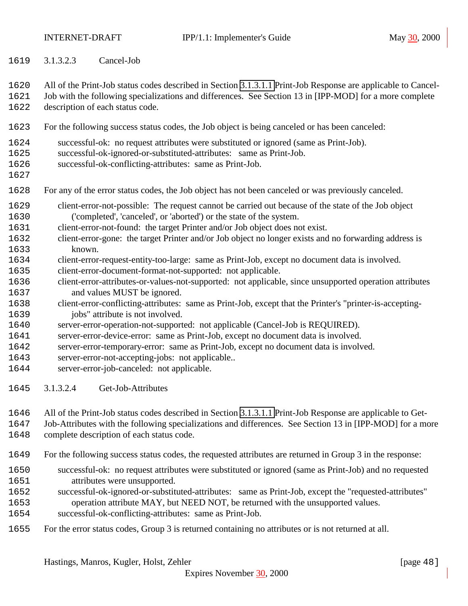<span id="page-47-0"></span>

3.1.3.2.3 Cancel-Job

All of the Print-Job status codes described in Section [3.1.3.1.1](#page-40-0) Print-Job Response are applicable to Cancel-

- Job with the following specializations and differences. See Section 13 in [IPP-MOD] for a more complete description of each status code.
- For the following success status codes, the Job object is being canceled or has been canceled:
- successful-ok: no request attributes were substituted or ignored (same as Print-Job).
- successful-ok-ignored-or-substituted-attributes: same as Print-Job.
- successful-ok-conflicting-attributes: same as Print-Job.
- 
- For any of the error status codes, the Job object has not been canceled or was previously canceled.
- client-error-not-possible: The request cannot be carried out because of the state of the Job object ('completed', 'canceled', or 'aborted') or the state of the system.
- client-error-not-found: the target Printer and/or Job object does not exist.
- client-error-gone: the target Printer and/or Job object no longer exists and no forwarding address is known.
- client-error-request-entity-too-large: same as Print-Job, except no document data is involved.
- client-error-document-format-not-supported: not applicable.
- client-error-attributes-or-values-not-supported: not applicable, since unsupported operation attributes and values MUST be ignored.
- client-error-conflicting-attributes: same as Print-Job, except that the Printer's "printer-is-accepting-jobs" attribute is not involved.
- server-error-operation-not-supported: not applicable (Cancel-Job is REQUIRED).
- server-error-device-error: same as Print-Job, except no document data is involved.
- server-error-temporary-error: same as Print-Job, except no document data is involved.
- server-error-not-accepting-jobs: not applicable..
- server-error-job-canceled: not applicable.
- 3.1.3.2.4 Get-Job-Attributes
- All of the Print-Job status codes described in Section [3.1.3.1.1](#page-40-0) Print-Job Response are applicable to Get-
- Job-Attributes with the following specializations and differences. See Section 13 in [IPP-MOD] for a more complete description of each status code.
- For the following success status codes, the requested attributes are returned in Group 3 in the response:
- successful-ok: no request attributes were substituted or ignored (same as Print-Job) and no requested attributes were unsupported.
- successful-ok-ignored-or-substituted-attributes: same as Print-Job, except the "requested-attributes" operation attribute MAY, but NEED NOT, be returned with the unsupported values.
- successful-ok-conflicting-attributes: same as Print-Job.
- For the error status codes, Group 3 is returned containing no attributes or is not returned at all.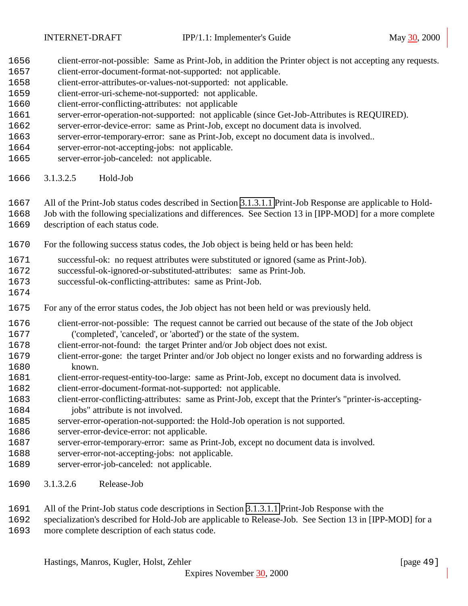- <span id="page-48-0"></span>client-error-not-possible: Same as Print-Job, in addition the Printer object is not accepting any requests.
- client-error-document-format-not-supported: not applicable.
- client-error-attributes-or-values-not-supported: not applicable.
- client-error-uri-scheme-not-supported: not applicable.
- client-error-conflicting-attributes: not applicable
- server-error-operation-not-supported: not applicable (since Get-Job-Attributes is REQUIRED).
- server-error-device-error: same as Print-Job, except no document data is involved.
- server-error-temporary-error: sane as Print-Job, except no document data is involved..
- server-error-not-accepting-jobs: not applicable.
- server-error-job-canceled: not applicable.
- 3.1.3.2.5 Hold-Job
- All of the Print-Job status codes described in Section [3.1.3.1.1](#page-40-0) Print-Job Response are applicable to Hold-
- Job with the following specializations and differences. See Section 13 in [IPP-MOD] for a more complete description of each status code.
- For the following success status codes, the Job object is being held or has been held:
- successful-ok: no request attributes were substituted or ignored (same as Print-Job).
- successful-ok-ignored-or-substituted-attributes: same as Print-Job.
- successful-ok-conflicting-attributes: same as Print-Job.
- 
- For any of the error status codes, the Job object has not been held or was previously held.
- client-error-not-possible: The request cannot be carried out because of the state of the Job object ('completed', 'canceled', or 'aborted') or the state of the system.
- client-error-not-found: the target Printer and/or Job object does not exist.
- client-error-gone: the target Printer and/or Job object no longer exists and no forwarding address is known.
- client-error-request-entity-too-large: same as Print-Job, except no document data is involved.
- client-error-document-format-not-supported: not applicable.
- client-error-conflicting-attributes: same as Print-Job, except that the Printer's "printer-is-accepting-1684 jobs" attribute is not involved.
- server-error-operation-not-supported: the Hold-Job operation is not supported.
- server-error-device-error: not applicable.
- server-error-temporary-error: same as Print-Job, except no document data is involved.
- server-error-not-accepting-jobs: not applicable.
- server-error-job-canceled: not applicable.
- 3.1.3.2.6 Release-Job
- All of the Print-Job status code descriptions in Section [3.1.3.1.1](#page-40-0) Print-Job Response with the
- specialization's described for Hold-Job are applicable to Release-Job. See Section 13 in [IPP-MOD] for a more complete description of each status code.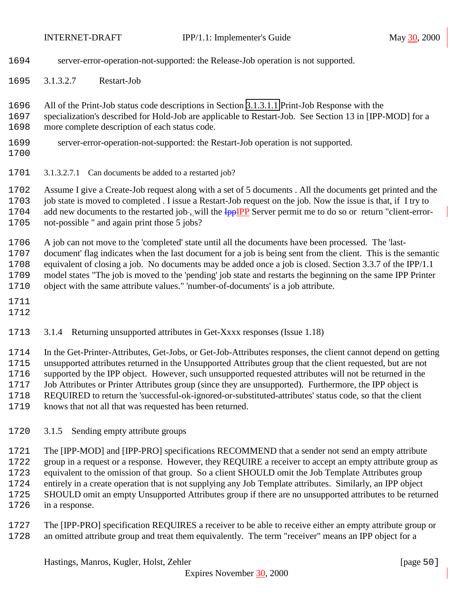<span id="page-49-0"></span>

- server-error-operation-not-supported: the Release-Job operation is not supported.
- 3.1.3.2.7 Restart-Job

 All of the Print-Job status code descriptions in Section [3.1.3.1.1](#page-40-0) Print-Job Response with the specialization's described for Hold-Job are applicable to Restart-Job. See Section 13 in [IPP-MOD] for a more complete description of each status code.

- server-error-operation-not-supported: the Restart-Job operation is not supported.
- 

3.1.3.2.7.1 Can documents be added to a restarted job?

Assume I give a Create-Job request along with a set of 5 documents . All the documents get printed and the

job state is moved to completed . I issue a Restart-Job request on the job. Now the issue is that, if I try to

1704 add new documents to the restarted job-, will the **IppIPP** Server permit me to do so or return "client-error-not-possible " and again print those 5 jobs?

 A job can not move to the 'completed' state until all the documents have been processed. The 'last- document' flag indicates when the last document for a job is being sent from the client. This is the semantic equivalent of closing a job. No documents may be added once a job is closed. Section 3.3.7 of the IPP/1.1 model states "The job is moved to the 'pending' job state and restarts the beginning on the same IPP Printer object with the same attribute values." 'number-of-documents' is a job attribute.

3.1.4 Returning unsupported attributes in Get-Xxxx responses (Issue 1.18)

 In the Get-Printer-Attributes, Get-Jobs, or Get-Job-Attributes responses, the client cannot depend on getting unsupported attributes returned in the Unsupported Attributes group that the client requested, but are not supported by the IPP object. However, such unsupported requested attributes will not be returned in the Job Attributes or Printer Attributes group (since they are unsupported). Furthermore, the IPP object is REQUIRED to return the 'successful-ok-ignored-or-substituted-attributes' status code, so that the client knows that not all that was requested has been returned.

3.1.5 Sending empty attribute groups

 The [IPP-MOD] and [IPP-PRO] specifications RECOMMEND that a sender not send an empty attribute group in a request or a response. However, they REQUIRE a receiver to accept an empty attribute group as equivalent to the omission of that group. So a client SHOULD omit the Job Template Attributes group entirely in a create operation that is not supplying any Job Template attributes. Similarly, an IPP object SHOULD omit an empty Unsupported Attributes group if there are no unsupported attributes to be returned in a response.

 The [IPP-PRO] specification REQUIRES a receiver to be able to receive either an empty attribute group or an omitted attribute group and treat them equivalently. The term "receiver" means an IPP object for a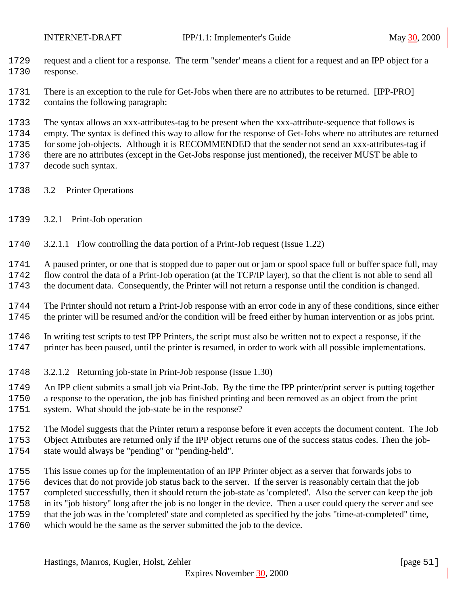- <span id="page-50-0"></span> request and a client for a response. The term "sender' means a client for a request and an IPP object for a response.
- There is an exception to the rule for Get-Jobs when there are no attributes to be returned. [IPP-PRO] contains the following paragraph:
- The syntax allows an xxx-attributes-tag to be present when the xxx-attribute-sequence that follows is
- empty. The syntax is defined this way to allow for the response of Get-Jobs where no attributes are returned
- for some job-objects. Although it is RECOMMENDED that the sender not send an xxx-attributes-tag if
- there are no attributes (except in the Get-Jobs response just mentioned), the receiver MUST be able to
- decode such syntax.
- 3.2 Printer Operations
- 3.2.1 Print-Job operation
- 3.2.1.1 Flow controlling the data portion of a Print-Job request (Issue 1.22)

A paused printer, or one that is stopped due to paper out or jam or spool space full or buffer space full, may

- flow control the data of a Print-Job operation (at the TCP/IP layer), so that the client is not able to send all
- the document data. Consequently, the Printer will not return a response until the condition is changed.
- The Printer should not return a Print-Job response with an error code in any of these conditions, since either the printer will be resumed and/or the condition will be freed either by human intervention or as jobs print.
- In writing test scripts to test IPP Printers, the script must also be written not to expect a response, if the printer has been paused, until the printer is resumed, in order to work with all possible implementations.
- 3.2.1.2 Returning job-state in Print-Job response (Issue 1.30)
- An IPP client submits a small job via Print-Job. By the time the IPP printer/print server is putting together a response to the operation, the job has finished printing and been removed as an object from the print system. What should the job-state be in the response?
- The Model suggests that the Printer return a response before it even accepts the document content. The Job Object Attributes are returned only if the IPP object returns one of the success status codes. Then the job-state would always be "pending" or "pending-held".
- This issue comes up for the implementation of an IPP Printer object as a server that forwards jobs to devices that do not provide job status back to the server. If the server is reasonably certain that the job completed successfully, then it should return the job-state as 'completed'. Also the server can keep the job in its "job history" long after the job is no longer in the device. Then a user could query the server and see that the job was in the 'completed' state and completed as specified by the jobs "time-at-completed" time, which would be the same as the server submitted the job to the device.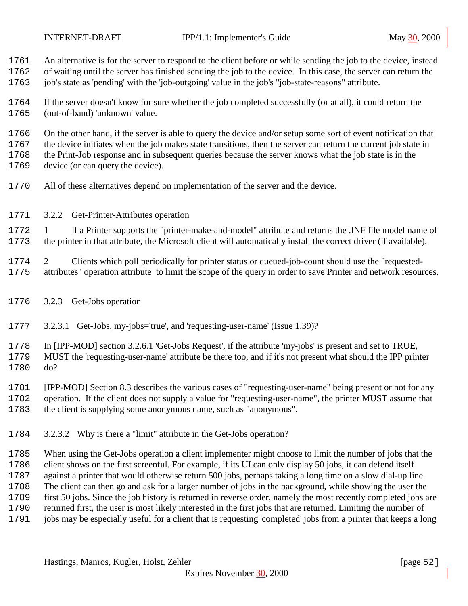<span id="page-51-0"></span>

An alternative is for the server to respond to the client before or while sending the job to the device, instead

 of waiting until the server has finished sending the job to the device. In this case, the server can return the job's state as 'pending' with the 'job-outgoing' value in the job's "job-state-reasons" attribute.

 If the server doesn't know for sure whether the job completed successfully (or at all), it could return the (out-of-band) 'unknown' value.

 On the other hand, if the server is able to query the device and/or setup some sort of event notification that the device initiates when the job makes state transitions, then the server can return the current job state in the Print-Job response and in subsequent queries because the server knows what the job state is in the

device (or can query the device).

- All of these alternatives depend on implementation of the server and the device.
- 3.2.2 Get-Printer-Attributes operation

 1 If a Printer supports the "printer-make-and-model" attribute and returns the .INF file model name of the printer in that attribute, the Microsoft client will automatically install the correct driver (if available).

 2 Clients which poll periodically for printer status or queued-job-count should use the "requested-attributes" operation attribute to limit the scope of the query in order to save Printer and network resources.

3.2.3 Get-Jobs operation

3.2.3.1 Get-Jobs, my-jobs='true', and 'requesting-user-name' (Issue 1.39)?

 In [IPP-MOD] section 3.2.6.1 'Get-Jobs Request', if the attribute 'my-jobs' is present and set to TRUE, MUST the 'requesting-user-name' attribute be there too, and if it's not present what should the IPP printer

do?

 [IPP-MOD] Section 8.3 describes the various cases of "requesting-user-name" being present or not for any operation. If the client does not supply a value for "requesting-user-name", the printer MUST assume that the client is supplying some anonymous name, such as "anonymous".

3.2.3.2 Why is there a "limit" attribute in the Get-Jobs operation?

 When using the Get-Jobs operation a client implementer might choose to limit the number of jobs that the client shows on the first screenful. For example, if its UI can only display 50 jobs, it can defend itself against a printer that would otherwise return 500 jobs, perhaps taking a long time on a slow dial-up line. The client can then go and ask for a larger number of jobs in the background, while showing the user the first 50 jobs. Since the job history is returned in reverse order, namely the most recently completed jobs are returned first, the user is most likely interested in the first jobs that are returned. Limiting the number of jobs may be especially useful for a client that is requesting 'completed' jobs from a printer that keeps a long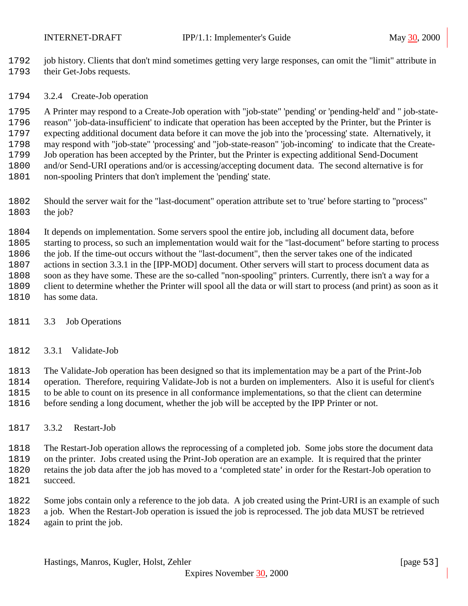<span id="page-52-0"></span>

 job history. Clients that don't mind sometimes getting very large responses, can omit the "limit" attribute in their Get-Jobs requests.

### 3.2.4 Create-Job operation

 A Printer may respond to a Create-Job operation with "job-state" 'pending' or 'pending-held' and " job-state- reason" 'job-data-insufficient' to indicate that operation has been accepted by the Printer, but the Printer is expecting additional document data before it can move the job into the 'processing' state. Alternatively, it may respond with "job-state" 'processing' and "job-state-reason" 'job-incoming' to indicate that the Create- Job operation has been accepted by the Printer, but the Printer is expecting additional Send-Document and/or Send-URI operations and/or is accessing/accepting document data. The second alternative is for non-spooling Printers that don't implement the 'pending' state.

 Should the server wait for the "last-document" operation attribute set to 'true' before starting to "process" the job?

 It depends on implementation. Some servers spool the entire job, including all document data, before starting to process, so such an implementation would wait for the "last-document" before starting to process the job. If the time-out occurs without the "last-document", then the server takes one of the indicated actions in section 3.3.1 in the [IPP-MOD] document. Other servers will start to process document data as soon as they have some. These are the so-called "non-spooling" printers. Currently, there isn't a way for a client to determine whether the Printer will spool all the data or will start to process (and print) as soon as it has some data.

3.3 Job Operations

#### 3.3.1 Validate-Job

 The Validate-Job operation has been designed so that its implementation may be a part of the Print-Job operation. Therefore, requiring Validate-Job is not a burden on implementers. Also it is useful for client's to be able to count on its presence in all conformance implementations, so that the client can determine before sending a long document, whether the job will be accepted by the IPP Printer or not.

3.3.2 Restart-Job

 The Restart-Job operation allows the reprocessing of a completed job. Some jobs store the document data on the printer. Jobs created using the Print-Job operation are an example. It is required that the printer retains the job data after the job has moved to a 'completed state' in order for the Restart-Job operation to succeed.

 Some jobs contain only a reference to the job data. A job created using the Print-URI is an example of such a job. When the Restart-Job operation is issued the job is reprocessed. The job data MUST be retrieved

again to print the job.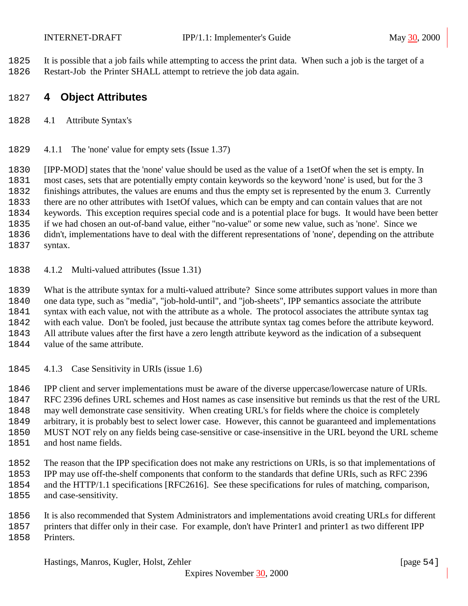<span id="page-53-0"></span> It is possible that a job fails while attempting to access the print data. When such a job is the target of a Restart-Job the Printer SHALL attempt to retrieve the job data again.

# **4 Object Attributes**

4.1 Attribute Syntax's

4.1.1 The 'none' value for empty sets (Issue 1.37)

 [IPP-MOD] states that the 'none' value should be used as the value of a 1setOf when the set is empty. In most cases, sets that are potentially empty contain keywords so the keyword 'none' is used, but for the 3 finishings attributes, the values are enums and thus the empty set is represented by the enum 3. Currently there are no other attributes with 1setOf values, which can be empty and can contain values that are not keywords. This exception requires special code and is a potential place for bugs. It would have been better if we had chosen an out-of-band value, either "no-value" or some new value, such as 'none'. Since we didn't, implementations have to deal with the different representations of 'none', depending on the attribute syntax.

4.1.2 Multi-valued attributes (Issue 1.31)

 What is the attribute syntax for a multi-valued attribute? Since some attributes support values in more than one data type, such as "media", "job-hold-until", and "job-sheets", IPP semantics associate the attribute syntax with each value, not with the attribute as a whole. The protocol associates the attribute syntax tag with each value. Don't be fooled, just because the attribute syntax tag comes before the attribute keyword. All attribute values after the first have a zero length attribute keyword as the indication of a subsequent value of the same attribute.

4.1.3 Case Sensitivity in URIs (issue 1.6)

 IPP client and server implementations must be aware of the diverse uppercase/lowercase nature of URIs. RFC 2396 defines URL schemes and Host names as case insensitive but reminds us that the rest of the URL may well demonstrate case sensitivity. When creating URL's for fields where the choice is completely arbitrary, it is probably best to select lower case. However, this cannot be guaranteed and implementations MUST NOT rely on any fields being case-sensitive or case-insensitive in the URL beyond the URL scheme and host name fields.

- The reason that the IPP specification does not make any restrictions on URIs, is so that implementations of IPP may use off-the-shelf components that conform to the standards that define URIs, such as RFC 2396 and the HTTP/1.1 specifications [RFC2616]. See these specifications for rules of matching, comparison, and case-sensitivity.
- It is also recommended that System Administrators and implementations avoid creating URLs for different printers that differ only in their case. For example, don't have Printer1 and printer1 as two different IPP
- Printers.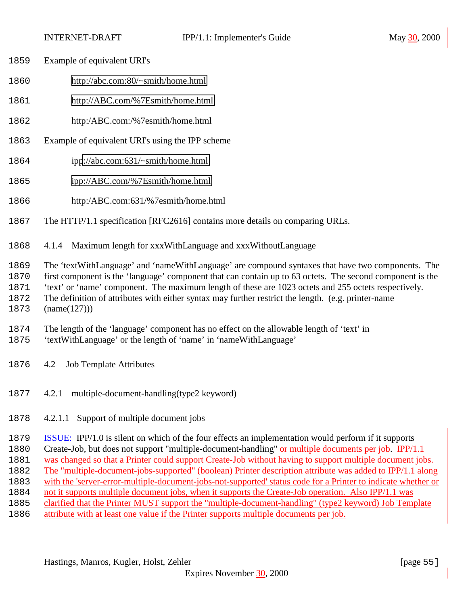- <span id="page-54-0"></span>Example of equivalent URI's
- [http://abc.com:80/~smith/home.html](http://abc.com/~smith/home.html)
- [http://ABC.com/%7Esmith/home.html](http://abc.com/%7Esmith/home.html)
- http:/ABC.com:/%7esmith/home.html
- Example of equivalent URI's using the IPP scheme
- ip[p://abc.com:631/~smith/home.html](http://abc.com/~smith/home.html)
- [ipp://ABC.com/%7Esmith/home.html](http://abc.com/%7Esmith/home.html)
- http:/ABC.com:631/%7esmith/home.html
- The HTTP/1.1 specification [RFC2616] contains more details on comparing URLs.
- 4.1.4 Maximum length for xxxWithLanguage and xxxWithoutLanguage
- The 'textWithLanguage' and 'nameWithLanguage' are compound syntaxes that have two components. The
- first component is the 'language' component that can contain up to 63 octets. The second component is the
- 'text' or 'name' component. The maximum length of these are 1023 octets and 255 octets respectively.
- The definition of attributes with either syntax may further restrict the length. (e.g. printer-name (name(127)))
- The length of the 'language' component has no effect on the allowable length of 'text' in
- 'textWithLanguage' or the length of 'name' in 'nameWithLanguage'
- 4.2 Job Template Attributes
- 4.2.1 multiple-document-handling(type2 keyword)
- 4.2.1.1 Support of multiple document jobs
- **ISSUE:** IPP/1.0 is silent on which of the four effects an implementation would perform if it supports
- 1880 Create-Job, but does not support "multiple-document-handling" or multiple documents per job. IPP/1.1
- was changed so that a Printer could support Create-Job without having to support multiple document jobs. The "multiple-document-jobs-supported" (boolean) Printer description attribute was added to IPP/1.1 along
- 1883 with the 'server-error-multiple-document-jobs-not-supported' status code for a Printer to indicate whether or
- 1884 not it supports multiple document jobs, when it supports the Create-Job operation. Also IPP/1.1 was
- clarified that the Printer MUST support the "multiple-document-handling" (type2 keyword) Job Template
- attribute with at least one value if the Printer supports multiple documents per job.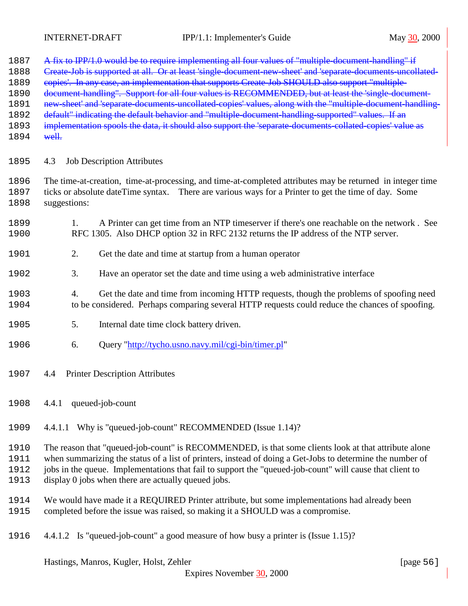<span id="page-55-0"></span>

| 1887<br>1888<br>1889<br>1890<br>1891<br>1892<br>1893<br>1894 | A fix to IPP/1.0 would be to require implementing all four values of "multiple-document-handling" if<br>Create-Job is supported at all. Or at least 'single-document-new-sheet' and 'separate-documents-uncollated-<br>copies'. In any case, an implementation that supports Create-Job SHOULD also support "multiple-<br>document handling". Support for all four values is RECOMMENDED, but at least the 'single document-<br>new sheet' and 'separate documents uncollated copies' values, along with the "multiple document handling-<br>default" indicating the default behavior and "multiple-document-handling-supported" values. If an<br>implementation spools the data, it should also support the 'separate-documents-collated-copies' value as<br>well. |
|--------------------------------------------------------------|---------------------------------------------------------------------------------------------------------------------------------------------------------------------------------------------------------------------------------------------------------------------------------------------------------------------------------------------------------------------------------------------------------------------------------------------------------------------------------------------------------------------------------------------------------------------------------------------------------------------------------------------------------------------------------------------------------------------------------------------------------------------|
| 1895                                                         | <b>Job Description Attributes</b><br>4.3                                                                                                                                                                                                                                                                                                                                                                                                                                                                                                                                                                                                                                                                                                                            |
| 1896<br>1897<br>1898                                         | The time-at-creation, time-at-processing, and time-at-completed attributes may be returned in integer time<br>ticks or absolute dateTime syntax. There are various ways for a Printer to get the time of day. Some<br>suggestions:                                                                                                                                                                                                                                                                                                                                                                                                                                                                                                                                  |
| 1899<br>1900                                                 | A Printer can get time from an NTP timeserver if there's one reachable on the network. See<br>$1_{-}$<br>RFC 1305. Also DHCP option 32 in RFC 2132 returns the IP address of the NTP server.                                                                                                                                                                                                                                                                                                                                                                                                                                                                                                                                                                        |
| 1901                                                         | 2.<br>Get the date and time at startup from a human operator                                                                                                                                                                                                                                                                                                                                                                                                                                                                                                                                                                                                                                                                                                        |
| 1902                                                         | 3.<br>Have an operator set the date and time using a web administrative interface                                                                                                                                                                                                                                                                                                                                                                                                                                                                                                                                                                                                                                                                                   |
| 1903<br>1904                                                 | Get the date and time from incoming HTTP requests, though the problems of spoofing need<br>$\overline{4}$ .<br>to be considered. Perhaps comparing several HTTP requests could reduce the chances of spoofing.                                                                                                                                                                                                                                                                                                                                                                                                                                                                                                                                                      |
| 1905                                                         | 5.<br>Internal date time clock battery driven.                                                                                                                                                                                                                                                                                                                                                                                                                                                                                                                                                                                                                                                                                                                      |
| 1906                                                         | 6.<br>Query "http://tycho.usno.navy.mil/cgi-bin/timer.pl"                                                                                                                                                                                                                                                                                                                                                                                                                                                                                                                                                                                                                                                                                                           |
| 1907                                                         | <b>Printer Description Attributes</b><br>4.4                                                                                                                                                                                                                                                                                                                                                                                                                                                                                                                                                                                                                                                                                                                        |
| 1908                                                         | 4.4.1 queued-job-count                                                                                                                                                                                                                                                                                                                                                                                                                                                                                                                                                                                                                                                                                                                                              |
| 1909                                                         | 4.4.1.1 Why is "queued-job-count" RECOMMENDED (Issue 1.14)?                                                                                                                                                                                                                                                                                                                                                                                                                                                                                                                                                                                                                                                                                                         |
| 1910<br>1911<br>1912<br>1913                                 | The reason that "queued-job-count" is RECOMMENDED, is that some clients look at that attribute alone<br>when summarizing the status of a list of printers, instead of doing a Get-Jobs to determine the number of<br>jobs in the queue. Implementations that fail to support the "queued-job-count" will cause that client to<br>display 0 jobs when there are actually queued jobs.                                                                                                                                                                                                                                                                                                                                                                                |
| 1914<br>1915                                                 | We would have made it a REQUIRED Printer attribute, but some implementations had already been<br>completed before the issue was raised, so making it a SHOULD was a compromise.                                                                                                                                                                                                                                                                                                                                                                                                                                                                                                                                                                                     |
| 1916                                                         | 4.4.1.2 Is "queued-job-count" a good measure of how busy a printer is (Issue 1.15)?                                                                                                                                                                                                                                                                                                                                                                                                                                                                                                                                                                                                                                                                                 |
|                                                              | Hastings, Manros, Kugler, Holst, Zehler<br>[page $56$ ]                                                                                                                                                                                                                                                                                                                                                                                                                                                                                                                                                                                                                                                                                                             |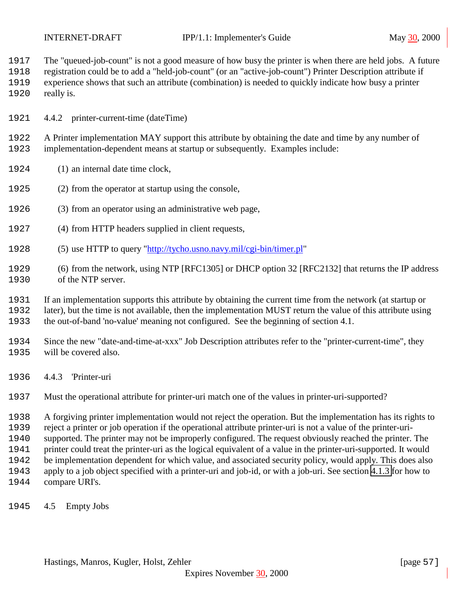<span id="page-56-0"></span>

The "queued-job-count" is not a good measure of how busy the printer is when there are held jobs. A future

 registration could be to add a "held-job-count" (or an "active-job-count") Printer Description attribute if experience shows that such an attribute (combination) is needed to quickly indicate how busy a printer

really is.

4.4.2 printer-current-time (dateTime)

 A Printer implementation MAY support this attribute by obtaining the date and time by any number of implementation-dependent means at startup or subsequently. Examples include:

- (1) an internal date time clock,
- (2) from the operator at startup using the console,
- (3) from an operator using an administrative web page,
- (4) from HTTP headers supplied in client requests,
- (5) use HTTP to query "http://tycho.usno.navy.mil/cgi-bin/timer.pl"
- (6) from the network, using NTP [RFC1305] or DHCP option 32 [RFC2132] that returns the IP address of the NTP server.

If an implementation supports this attribute by obtaining the current time from the network (at startup or

later), but the time is not available, then the implementation MUST return the value of this attribute using

the out-of-band 'no-value' meaning not configured. See the beginning of section 4.1.

- Since the new "date-and-time-at-xxx" Job Description attributes refer to the "printer-current-time", they will be covered also.
- 4.4.3 'Printer-uri

Must the operational attribute for printer-uri match one of the values in printer-uri-supported?

 A forgiving printer implementation would not reject the operation. But the implementation has its rights to reject a printer or job operation if the operational attribute printer-uri is not a value of the printer-uri-

supported. The printer may not be improperly configured. The request obviously reached the printer. The

 printer could treat the printer-uri as the logical equivalent of a value in the printer-uri-supported. It would be implementation dependent for which value, and associated security policy, would apply. This does also

- apply to a job object specified with a printer-uri and job-id, or with a job-uri. See section [4.1.3](#page-53-0) for how to
- compare URI's.

4.5 Empty Jobs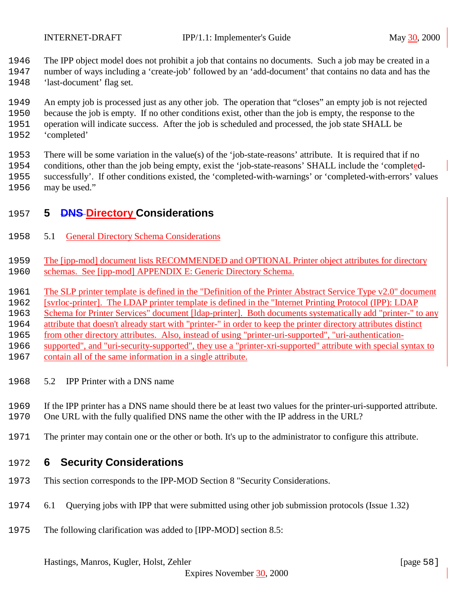<span id="page-57-0"></span>

- The IPP object model does not prohibit a job that contains no documents. Such a job may be created in a
- number of ways including a 'create-job' followed by an 'add-document' that contains no data and has the
- 'last-document' flag set.
- An empty job is processed just as any other job. The operation that "closes" an empty job is not rejected
- because the job is empty. If no other conditions exist, other than the job is empty, the response to the
- operation will indicate success. After the job is scheduled and processed, the job state SHALL be
- 'completed'

 There will be some variation in the value(s) of the 'job-state-reasons' attribute. It is required that if no conditions, other than the job being empty, exist the 'job-state-reasons' SHALL include the 'completed- successfully'. If other conditions existed, the 'completed-with-warnings' or 'completed-with-errors' values may be used."

# **5 DNS Directory Considerations**

- 5.1 General Directory Schema Considerations
- 1959 The [ipp-mod] document lists RECOMMENDED and OPTIONAL Printer object attributes for directory schemas. See [ipp-mod] APPENDIX E: Generic Directory Schema.
- The SLP printer template is defined in the "Definition of the Printer Abstract Service Type v2.0" document
- [svrloc-printer]. The LDAP printer template is defined in the "Internet Printing Protocol (IPP): LDAP
- Schema for Printer Services" document [ldap-printer]. Both documents systematically add "printer-" to any
- attribute that doesn't already start with "printer-" in order to keep the printer directory attributes distinct
- from other directory attributes. Also, instead of using "printer-uri-supported", "uri-authentication-
- supported", and "uri-security-supported", they use a "printer-xri-supported" attribute with special syntax to
- contain all of the same information in a single attribute.
- 5.2 IPP Printer with a DNS name
- If the IPP printer has a DNS name should there be at least two values for the printer-uri-supported attribute. One URL with the fully qualified DNS name the other with the IP address in the URL?
- The printer may contain one or the other or both. It's up to the administrator to configure this attribute.

# **6 Security Considerations**

- This section corresponds to the IPP-MOD Section 8 "Security Considerations.
- 6.1 Querying jobs with IPP that were submitted using other job submission protocols (Issue 1.32)
- The following clarification was added to [IPP-MOD] section 8.5: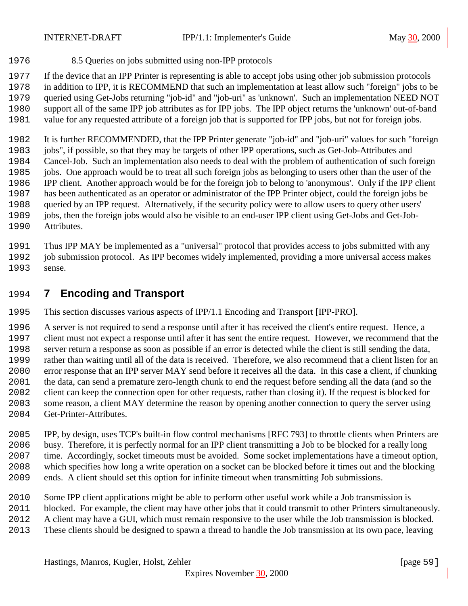<span id="page-58-0"></span>

### 8.5 Queries on jobs submitted using non-IPP protocols

If the device that an IPP Printer is representing is able to accept jobs using other job submission protocols

in addition to IPP, it is RECOMMEND that such an implementation at least allow such "foreign" jobs to be

- queried using Get-Jobs returning "job-id" and "job-uri" as 'unknown'. Such an implementation NEED NOT
- support all of the same IPP job attributes as for IPP jobs. The IPP object returns the 'unknown' out-of-band
- value for any requested attribute of a foreign job that is supported for IPP jobs, but not for foreign jobs.

 It is further RECOMMENDED, that the IPP Printer generate "job-id" and "job-uri" values for such "foreign jobs", if possible, so that they may be targets of other IPP operations, such as Get-Job-Attributes and Cancel-Job. Such an implementation also needs to deal with the problem of authentication of such foreign jobs. One approach would be to treat all such foreign jobs as belonging to users other than the user of the IPP client. Another approach would be for the foreign job to belong to 'anonymous'. Only if the IPP client has been authenticated as an operator or administrator of the IPP Printer object, could the foreign jobs be queried by an IPP request. Alternatively, if the security policy were to allow users to query other users' jobs, then the foreign jobs would also be visible to an end-user IPP client using Get-Jobs and Get-Job-Attributes.

 Thus IPP MAY be implemented as a "universal" protocol that provides access to jobs submitted with any job submission protocol. As IPP becomes widely implemented, providing a more universal access makes sense.

# **7 Encoding and Transport**

This section discusses various aspects of IPP/1.1 Encoding and Transport [IPP-PRO].

 A server is not required to send a response until after it has received the client's entire request. Hence, a client must not expect a response until after it has sent the entire request. However, we recommend that the server return a response as soon as possible if an error is detected while the client is still sending the data, rather than waiting until all of the data is received. Therefore, we also recommend that a client listen for an error response that an IPP server MAY send before it receives all the data. In this case a client, if chunking the data, can send a premature zero-length chunk to end the request before sending all the data (and so the client can keep the connection open for other requests, rather than closing it). If the request is blocked for some reason, a client MAY determine the reason by opening another connection to query the server using Get-Printer-Attributes.

 IPP, by design, uses TCP's built-in flow control mechanisms [RFC 793] to throttle clients when Printers are busy. Therefore, it is perfectly normal for an IPP client transmitting a Job to be blocked for a really long time. Accordingly, socket timeouts must be avoided. Some socket implementations have a timeout option, which specifies how long a write operation on a socket can be blocked before it times out and the blocking ends. A client should set this option for infinite timeout when transmitting Job submissions.

- Some IPP client applications might be able to perform other useful work while a Job transmission is
- blocked. For example, the client may have other jobs that it could transmit to other Printers simultaneously.
- A client may have a GUI, which must remain responsive to the user while the Job transmission is blocked.
- These clients should be designed to spawn a thread to handle the Job transmission at its own pace, leaving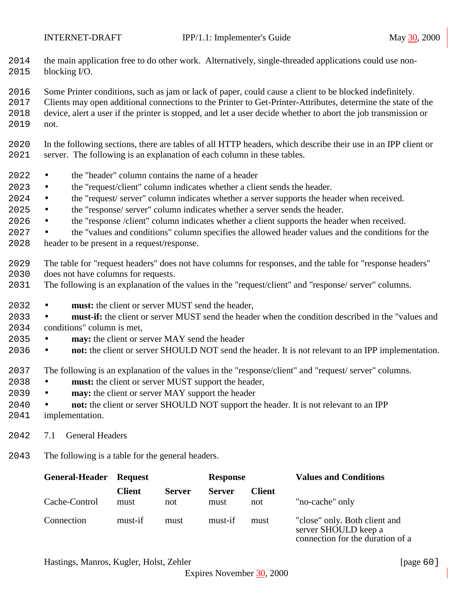<span id="page-59-0"></span>

- the main application free to do other work. Alternatively, single-threaded applications could use non-blocking I/O.
- Some Printer conditions, such as jam or lack of paper, could cause a client to be blocked indefinitely.
- Clients may open additional connections to the Printer to Get-Printer-Attributes, determine the state of the
- device, alert a user if the printer is stopped, and let a user decide whether to abort the job transmission or
- not.
- In the following sections, there are tables of all HTTP headers, which describe their use in an IPP client or server. The following is an explanation of each column in these tables.
- the "header" column contains the name of a header
- the "request/client" column indicates whether a client sends the header.
- the "request/ server" column indicates whether a server supports the header when received.
- the "response/ server" column indicates whether a server sends the header.
- the "response /client" column indicates whether a client supports the header when received.

 • the "values and conditions" column specifies the allowed header values and the conditions for the header to be present in a request/response.

- The table for "request headers" does not have columns for responses, and the table for "response headers" does not have columns for requests.
- The following is an explanation of the values in the "request/client" and "response/ server" columns.
- **must:** the client or server MUST send the header,
- **must-if:** the client or server MUST send the header when the condition described in the "values and conditions" column is met,
- **may:** the client or server MAY send the header
- **not:** the client or server SHOULD NOT send the header. It is not relevant to an IPP implementation.
- The following is an explanation of the values in the "response/client" and "request/ server" columns.
- **must:** the client or server MUST support the header,
- **may:** the client or server MAY support the header
- **not:** the client or server SHOULD NOT support the header. It is not relevant to an IPP
- implementation.
- 7.1 General Headers
- The following is a table for the general headers.

| <b>General-Header Request</b> |               |               | <b>Response</b> |        | <b>Values and Conditions</b>                                                              |
|-------------------------------|---------------|---------------|-----------------|--------|-------------------------------------------------------------------------------------------|
|                               | <b>Client</b> | <b>Server</b> | <b>Server</b>   | Client |                                                                                           |
| Cache-Control                 | must          | not           | must            | not    | "no-cache" only                                                                           |
| Connection                    | must-if       | must          | must-if         | must   | "close" only. Both client and<br>server SHOULD keep a<br>connection for the duration of a |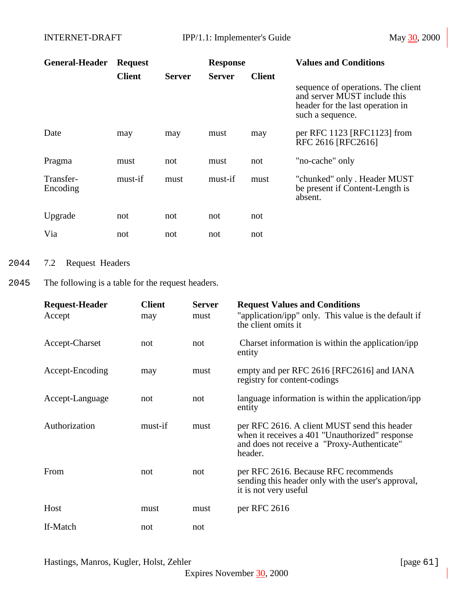| <b>General-Header</b> | <b>Request</b> |               | <b>Response</b> |               | <b>Values and Conditions</b>                                                                                               |
|-----------------------|----------------|---------------|-----------------|---------------|----------------------------------------------------------------------------------------------------------------------------|
|                       | <b>Client</b>  | <b>Server</b> | <b>Server</b>   | <b>Client</b> |                                                                                                                            |
|                       |                |               |                 |               | sequence of operations. The client<br>and server MUST include this<br>header for the last operation in<br>such a sequence. |
| Date                  | may            | may           | must            | may           | per RFC 1123 [RFC1123] from<br>RFC 2616 [RFC2616]                                                                          |
| Pragma                | must           | not           | must            | not           | "no-cache" only                                                                                                            |
| Transfer-<br>Encoding | must-if        | must          | must-if         | must          | "chunked" only . Header MUST<br>be present if Content-Length is<br>absent.                                                 |
| Upgrade               | not            | not           | not             | not           |                                                                                                                            |
| Via                   | not            | not           | not             | not           |                                                                                                                            |

# 2044 7.2 Request Headers

2045 The following is a table for the request headers.

| <b>Request-Header</b><br>Accept | <b>Client</b><br>may | <b>Server</b><br>must | <b>Request Values and Conditions</b><br>"application/ipp" only. This value is the default if<br>the client omits it                                      |
|---------------------------------|----------------------|-----------------------|----------------------------------------------------------------------------------------------------------------------------------------------------------|
| Accept-Charset                  | not                  | not                   | Charset information is within the application/ipp<br>entity                                                                                              |
| Accept-Encoding                 | may                  | must                  | empty and per RFC 2616 [RFC2616] and IANA<br>registry for content-codings                                                                                |
| Accept-Language                 | not                  | not                   | language information is within the application/ipp<br>entity                                                                                             |
| Authorization                   | must-if              | must                  | per RFC 2616. A client MUST send this header<br>when it receives a 401 "Unauthorized" response<br>and does not receive a "Proxy-Authenticate"<br>header. |
| From                            | not                  | not                   | per RFC 2616. Because RFC recommends<br>sending this header only with the user's approval,<br>it is not very useful                                      |
| Host                            | must                 | must                  | per RFC 2616                                                                                                                                             |
| If-Match                        | not                  | not                   |                                                                                                                                                          |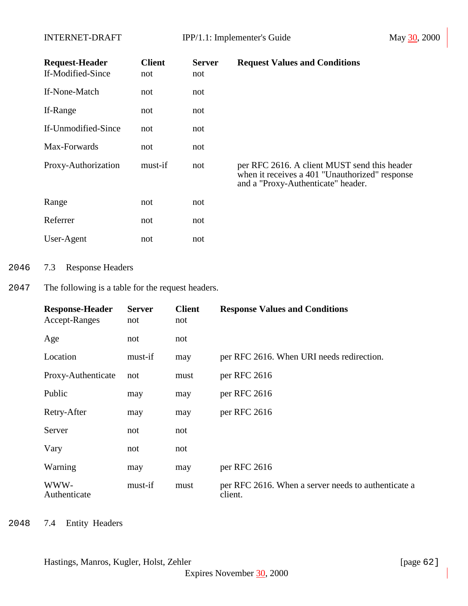<span id="page-61-0"></span>

| <b>Request-Header</b><br>If-Modified-Since | <b>Client</b><br>not | <b>Server</b><br>not | <b>Request Values and Conditions</b>                                                                                                 |
|--------------------------------------------|----------------------|----------------------|--------------------------------------------------------------------------------------------------------------------------------------|
| If-None-Match                              | not                  | not                  |                                                                                                                                      |
| If-Range                                   | not                  | not                  |                                                                                                                                      |
| If-Unmodified-Since                        | not                  | not                  |                                                                                                                                      |
| Max-Forwards                               | not                  | not                  |                                                                                                                                      |
| Proxy-Authorization                        | must-if              | not                  | per RFC 2616. A client MUST send this header<br>when it receives a 401 "Unauthorized" response<br>and a "Proxy-Authenticate" header. |
| Range                                      | not                  | not                  |                                                                                                                                      |
| Referrer                                   | not                  | not                  |                                                                                                                                      |
| User-Agent                                 | not                  | not                  |                                                                                                                                      |

- 2046 7.3 Response Headers
- 2047 The following is a table for the request headers.

| <b>Response-Header</b><br>Accept-Ranges | <b>Server</b><br>not | <b>Client</b><br>not | <b>Response Values and Conditions</b>                          |
|-----------------------------------------|----------------------|----------------------|----------------------------------------------------------------|
| Age                                     | not                  | not                  |                                                                |
| Location                                | must-if              | may                  | per RFC 2616. When URI needs redirection.                      |
| Proxy-Authenticate                      | not                  | must                 | per RFC 2616                                                   |
| Public                                  | may                  | may                  | per RFC 2616                                                   |
| Retry-After                             | may                  | may                  | per RFC 2616                                                   |
| Server                                  | not                  | not                  |                                                                |
| Vary                                    | not                  | not                  |                                                                |
| Warning                                 | may                  | may                  | per RFC 2616                                                   |
| WWW-<br>Authenticate                    | must-if              | must                 | per RFC 2616. When a server needs to authenticate a<br>client. |

2048 7.4 Entity Headers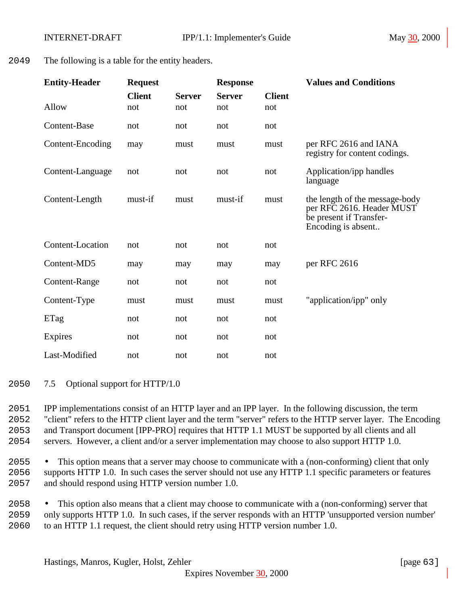#### <span id="page-62-0"></span>2049 The following is a table for the entity headers.

| <b>Entity-Header</b> | <b>Request</b>       |                      | <b>Response</b>      |                      | <b>Values and Conditions</b>                                                                                 |
|----------------------|----------------------|----------------------|----------------------|----------------------|--------------------------------------------------------------------------------------------------------------|
| Allow                | <b>Client</b><br>not | <b>Server</b><br>not | <b>Server</b><br>not | <b>Client</b><br>not |                                                                                                              |
| Content-Base         | not                  | not                  | not                  | not                  |                                                                                                              |
| Content-Encoding     | may                  | must                 | must                 | must                 | per RFC 2616 and IANA<br>registry for content codings.                                                       |
| Content-Language     | not                  | not                  | not                  | not                  | Application/ipp handles<br>language                                                                          |
| Content-Length       | must-if              | must                 | must-if              | must                 | the length of the message-body<br>per RFC 2616. Header MUST<br>be present if Transfer-<br>Encoding is absent |
| Content-Location     | not                  | not                  | not                  | not                  |                                                                                                              |
| Content-MD5          | may                  | may                  | may                  | may                  | per RFC 2616                                                                                                 |
| Content-Range        | not                  | not                  | not                  | not                  |                                                                                                              |
| Content-Type         | must                 | must                 | must                 | must                 | "application/ipp" only                                                                                       |
| ETag                 | not                  | not                  | not                  | not                  |                                                                                                              |
| Expires              | not                  | not                  | not                  | not                  |                                                                                                              |
| Last-Modified        | not                  | not                  | not                  | not                  |                                                                                                              |

#### 2050 7.5 Optional support for HTTP/1.0

 IPP implementations consist of an HTTP layer and an IPP layer. In the following discussion, the term "client" refers to the HTTP client layer and the term "server" refers to the HTTP server layer. The Encoding and Transport document [IPP-PRO] requires that HTTP 1.1 MUST be supported by all clients and all servers. However, a client and/or a server implementation may choose to also support HTTP 1.0.

2055 • This option means that a server may choose to communicate with a (non-conforming) client that only 2056 supports HTTP 1.0. In such cases the server should not use any HTTP 1.1 specific parameters or features 2057 and should respond using HTTP version number 1.0.

2058 • This option also means that a client may choose to communicate with a (non-conforming) server that 2059 only supports HTTP 1.0. In such cases, if the server responds with an HTTP 'unsupported version number' 2060 to an HTTP 1.1 request, the client should retry using HTTP version number 1.0.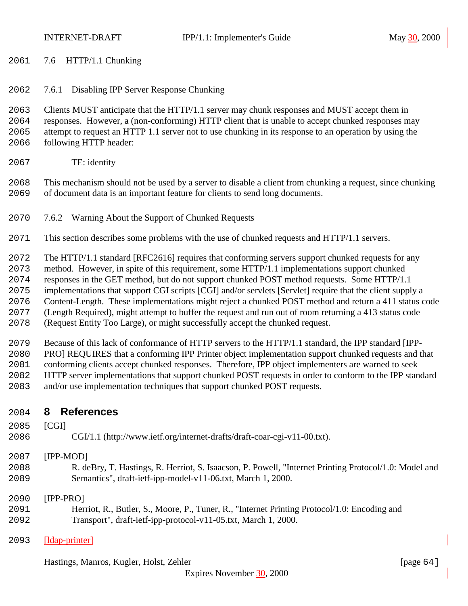<span id="page-63-0"></span>

- 7.6 HTTP/1.1 Chunking
- 7.6.1 Disabling IPP Server Response Chunking

 Clients MUST anticipate that the HTTP/1.1 server may chunk responses and MUST accept them in responses. However, a (non-conforming) HTTP client that is unable to accept chunked responses may attempt to request an HTTP 1.1 server not to use chunking in its response to an operation by using the following HTTP header:

TE: identity

 This mechanism should not be used by a server to disable a client from chunking a request, since chunking of document data is an important feature for clients to send long documents.

- 7.6.2 Warning About the Support of Chunked Requests
- This section describes some problems with the use of chunked requests and HTTP/1.1 servers.

The HTTP/1.1 standard [RFC2616] requires that conforming servers support chunked requests for any

method. However, in spite of this requirement, some HTTP/1.1 implementations support chunked

responses in the GET method, but do not support chunked POST method requests. Some HTTP/1.1

implementations that support CGI scripts [CGI] and/or servlets [Servlet] require that the client supply a

2076 Content-Length. These implementations might reject a chunked POST method and return a 411 status code<br>2077 (Length Required), might attempt to buffer the request and run out of room returning a 413 status code

(Length Required), might attempt to buffer the request and run out of room returning a 413 status code

(Request Entity Too Large), or might successfully accept the chunked request.

Because of this lack of conformance of HTTP servers to the HTTP/1.1 standard, the IPP standard [IPP-

PRO] REQUIRES that a conforming IPP Printer object implementation support chunked requests and that

conforming clients accept chunked responses. Therefore, IPP object implementers are warned to seek

HTTP server implementations that support chunked POST requests in order to conform to the IPP standard

and/or use implementation techniques that support chunked POST requests.

# **8 References**

[CGI]

CGI/1.1 (http://www.ietf.org/internet-drafts/draft-coar-cgi-v11-00.txt).

# [IPP-MOD]

 R. deBry, T. Hastings, R. Herriot, S. Isaacson, P. Powell, "Internet Printing Protocol/1.0: Model and Semantics", draft-ietf-ipp-model-v11-06.txt, March 1, 2000.

# [IPP-PRO]

- Herriot, R., Butler, S., Moore, P., Tuner, R., "Internet Printing Protocol/1.0: Encoding and Transport", draft-ietf-ipp-protocol-v11-05.txt, March 1, 2000.
- [ldap-printer]

Hastings, Manros, Kugler, Holst, Zehler [page 64]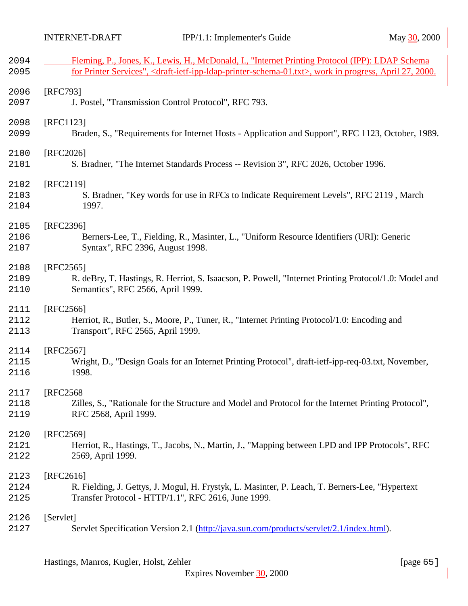| 2094         | Fleming, P., Jones, K., Lewis, H., McDonald, I., "Internet Printing Protocol (IPP): LDAP Schema                                                   |
|--------------|---------------------------------------------------------------------------------------------------------------------------------------------------|
| 2095         | for Printer Services", <draft-ietf-ipp-ldap-printer-schema-01.txt>, work in progress, April 27, 2000.</draft-ietf-ipp-ldap-printer-schema-01.txt> |
| 2096         | [RFC793]                                                                                                                                          |
| 2097         | J. Postel, "Transmission Control Protocol", RFC 793.                                                                                              |
|              |                                                                                                                                                   |
| 2098         | [RFC1123]                                                                                                                                         |
| 2099         | Braden, S., "Requirements for Internet Hosts - Application and Support", RFC 1123, October, 1989.                                                 |
| 2100         | [RFC2026]                                                                                                                                         |
| 2101         | S. Bradner, "The Internet Standards Process -- Revision 3", RFC 2026, October 1996.                                                               |
|              |                                                                                                                                                   |
| 2102         | [RFC2119]                                                                                                                                         |
| 2103         | S. Bradner, "Key words for use in RFCs to Indicate Requirement Levels", RFC 2119, March                                                           |
| 2104         | 1997.                                                                                                                                             |
| 2105         | [RFC2396]                                                                                                                                         |
| 2106         | Berners-Lee, T., Fielding, R., Masinter, L., "Uniform Resource Identifiers (URI): Generic                                                         |
| 2107         | Syntax", RFC 2396, August 1998.                                                                                                                   |
|              |                                                                                                                                                   |
| 2108         | [RFC2565]                                                                                                                                         |
| 2109         | R. deBry, T. Hastings, R. Herriot, S. Isaacson, P. Powell, "Internet Printing Protocol/1.0: Model and                                             |
| 2110         | Semantics", RFC 2566, April 1999.                                                                                                                 |
| 2111         | [RFC2566]                                                                                                                                         |
| 2112         | Herriot, R., Butler, S., Moore, P., Tuner, R., "Internet Printing Protocol/1.0: Encoding and                                                      |
| 2113         | Transport", RFC 2565, April 1999.                                                                                                                 |
|              |                                                                                                                                                   |
| 2114         | [RFC2567]                                                                                                                                         |
| 2115<br>2116 | Wright, D., "Design Goals for an Internet Printing Protocol", draft-ietf-ipp-req-03.txt, November,<br>1998.                                       |
|              |                                                                                                                                                   |
| 2117         | [RFC2568]                                                                                                                                         |
| 2118         | Zilles, S., "Rationale for the Structure and Model and Protocol for the Internet Printing Protocol",                                              |
| 2119         | RFC 2568, April 1999.                                                                                                                             |
| 2120         | [RFC2569]                                                                                                                                         |
| 2121         | Herriot, R., Hastings, T., Jacobs, N., Martin, J., "Mapping between LPD and IPP Protocols", RFC                                                   |
| 2122         | 2569, April 1999.                                                                                                                                 |
|              |                                                                                                                                                   |
| 2123         | [RFC2616]                                                                                                                                         |
| 2124         | R. Fielding, J. Gettys, J. Mogul, H. Frystyk, L. Masinter, P. Leach, T. Berners-Lee, "Hypertext                                                   |
| 2125         | Transfer Protocol - HTTP/1.1", RFC 2616, June 1999.                                                                                               |
| 2126         | [Servlet]                                                                                                                                         |
| 2127         | Servlet Specification Version 2.1 (http://java.sun.com/products/servlet/2.1/index.html).                                                          |
|              |                                                                                                                                                   |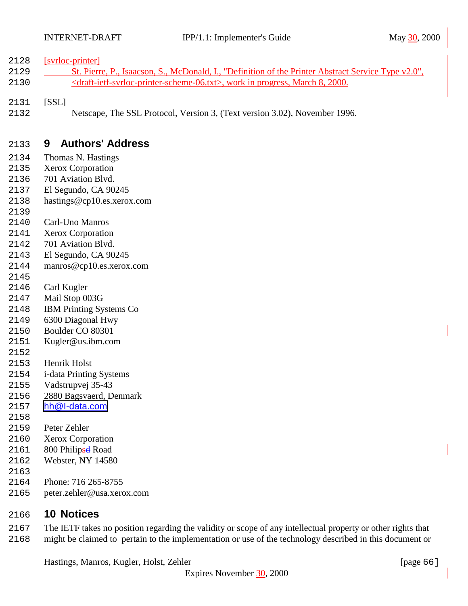<span id="page-65-0"></span>

- [svrloc-printer]
- St. Pierre, P., Isaacson, S., McDonald, I., "Definition of the Printer Abstract Service Type v2.0", <draft-ietf-svrloc-printer-scheme-06.txt>, work in progress, March 8, 2000.
- [SSL]

Netscape, The SSL Protocol, Version 3, (Text version 3.02), November 1996.

# **9 Authors' Address**

- Thomas N. Hastings
- Xerox Corporation
- 701 Aviation Blvd.
- El Segundo, CA 90245
- hastings@cp10.es.xerox.com
- Carl-Uno Manros
- Xerox Corporation
- 701 Aviation Blvd.
- El Segundo, CA 90245
- manros@cp10.es.xerox.com
- Carl Kugler
- Mail Stop 003G
- IBM Printing Systems Co
- 6300 Diagonal Hwy
- Boulder CO 80301
- Kugler@us.ibm.com
- Henrik Holst
- i-data Printing Systems
- Vadstrupvej 35-43
- 2880 Bagsvaerd, Denmark
- [hh@I-data.com](mailto:hh@I-data.com)
- Peter Zehler
- 
- Xerox Corporation 2161 800 Philipsel Road
- Webster, NY 14580
- 
- Phone: 716 265-8755
- peter.zehler@usa.xerox.com

# **10 Notices**

- The IETF takes no position regarding the validity or scope of any intellectual property or other rights that
- might be claimed to pertain to the implementation or use of the technology described in this document or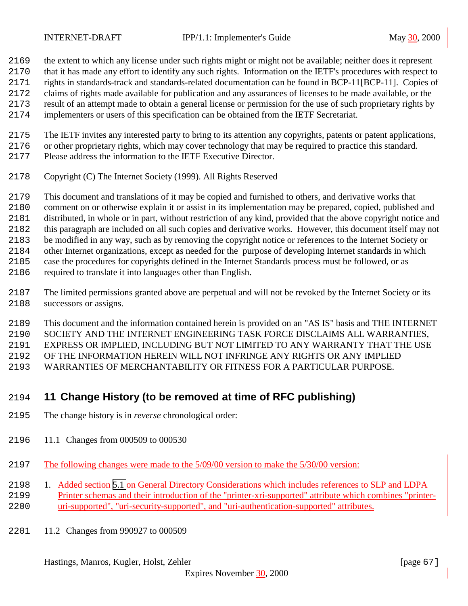<span id="page-66-0"></span>

- the extent to which any license under such rights might or might not be available; neither does it represent
- that it has made any effort to identify any such rights. Information on the IETF's procedures with respect to
- rights in standards-track and standards-related documentation can be found in BCP-11[BCP-11]. Copies of
- claims of rights made available for publication and any assurances of licenses to be made available, or the
- result of an attempt made to obtain a general license or permission for the use of such proprietary rights by
- implementers or users of this specification can be obtained from the IETF Secretariat.
- The IETF invites any interested party to bring to its attention any copyrights, patents or patent applications,
- or other proprietary rights, which may cover technology that may be required to practice this standard.
- Please address the information to the IETF Executive Director.
- Copyright (C) The Internet Society (1999). All Rights Reserved
- This document and translations of it may be copied and furnished to others, and derivative works that
- comment on or otherwise explain it or assist in its implementation may be prepared, copied, published and
- distributed, in whole or in part, without restriction of any kind, provided that the above copyright notice and
- this paragraph are included on all such copies and derivative works. However, this document itself may not
- be modified in any way, such as by removing the copyright notice or references to the Internet Society or
- other Internet organizations, except as needed for the purpose of developing Internet standards in which
- case the procedures for copyrights defined in the Internet Standards process must be followed, or as
- required to translate it into languages other than English.
- The limited permissions granted above are perpetual and will not be revoked by the Internet Society or its successors or assigns.
- This document and the information contained herein is provided on an "AS IS" basis and THE INTERNET
- SOCIETY AND THE INTERNET ENGINEERING TASK FORCE DISCLAIMS ALL WARRANTIES,
- EXPRESS OR IMPLIED, INCLUDING BUT NOT LIMITED TO ANY WARRANTY THAT THE USE
- OF THE INFORMATION HEREIN WILL NOT INFRINGE ANY RIGHTS OR ANY IMPLIED
- WARRANTIES OF MERCHANTABILITY OR FITNESS FOR A PARTICULAR PURPOSE.

# **11 Change History (to be removed at time of RFC publishing)**

- The change history is in *reverse* chronological order:
- 11.1 Changes from 000509 to 000530
- The following changes were made to the 5/09/00 version to make the 5/30/00 version:
- 1. Added section [5.1](#page-57-0) on General Directory Considerations which includes references to SLP and LDPA Printer schemas and their introduction of the "printer-xri-supported" attribute which combines "printer-uri-supported", "uri-security-supported", and "uri-authentication-supported" attributes.
- 11.2 Changes from 990927 to 000509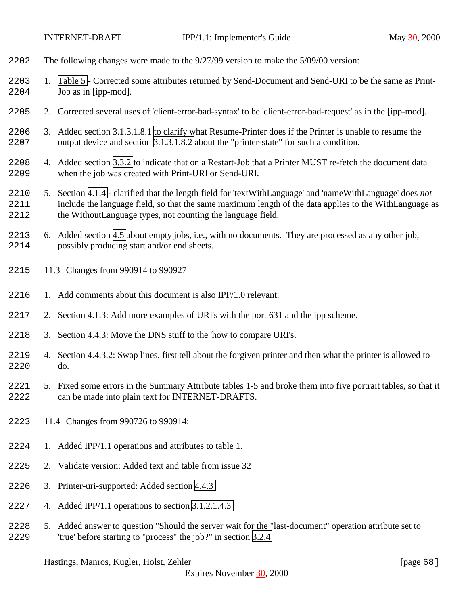<span id="page-67-0"></span>

- The following changes were made to the 9/27/99 version to make the 5/09/00 version:
- 1. [Table 5](#page-10-0)  Corrected some attributes returned by Send-Document and Send-URI to be the same as Print-Job as in [ipp-mod].
- 2. Corrected several uses of 'client-error-bad-syntax' to be 'client-error-bad-request' as in the [ipp-mod].
- 3. Added section [3.1.3.1.8.1](#page-45-0) to clarify what Resume-Printer does if the Printer is unable to resume the output device and section [3.1.3.1.8.2](#page-45-0) about the "printer-state" for such a condition.
- 4. Added section [3.3.2](#page-52-0) to indicate that on a Restart-Job that a Printer MUST re-fetch the document data when the job was created with Print-URI or Send-URI.
- 5. Section [4.1.4](#page-54-0)  clarified that the length field for 'textWithLanguage' and 'nameWithLanguage' does *not* include the language field, so that the same maximum length of the data applies to the WithLanguage as the WithoutLanguage types, not counting the language field.
- 6. Added section [4.5](#page-56-0) about empty jobs, i.e., with no documents. They are processed as any other job, possibly producing start and/or end sheets.
- 11.3 Changes from 990914 to 990927
- 1. Add comments about this document is also IPP/1.0 relevant.
- 2. Section 4.1.3: Add more examples of URI's with the port 631 and the ipp scheme.
- 3. Section 4.4.3: Move the DNS stuff to the 'how to compare URI's.
- 4. Section 4.4.3.2: Swap lines, first tell about the forgiven printer and then what the printer is allowed to do.
- 5. Fixed some errors in the Summary Attribute tables 1-5 and broke them into five portrait tables, so that it can be made into plain text for INTERNET-DRAFTS.
- 11.4 Changes from 990726 to 990914:
- 1. Added IPP/1.1 operations and attributes to table 1.
- 2. Validate version: Added text and table from issue 32
- 3. Printer-uri-supported: Added section [4.4.3](#page-56-0)
- 4. Added IPP/1.1 operations to section [3.1.2.1.4.3](#page-15-0)
- 5. Added answer to question "Should the server wait for the "last-document" operation attribute set to 'true' before starting to "process" the job?" in section [3.2.4](#page-52-0)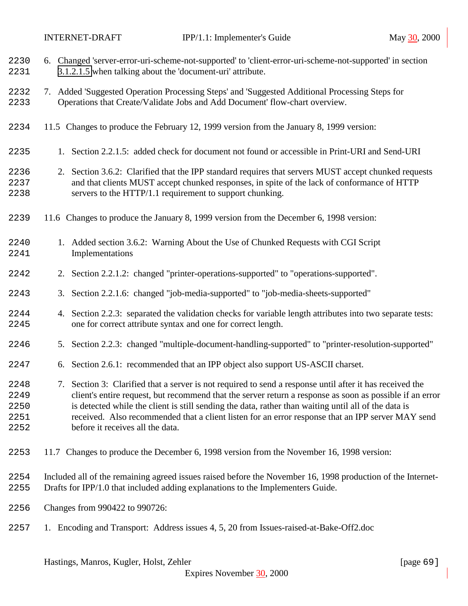<span id="page-68-0"></span>

| 2230<br>2231                         | 6. Changed 'server-error-uri-scheme-not-supported' to 'client-error-uri-scheme-not-supported' in section<br>3.1.2.1.5 when talking about the 'document-uri' attribute.                                                                                                                                                                                                                                                                                                |
|--------------------------------------|-----------------------------------------------------------------------------------------------------------------------------------------------------------------------------------------------------------------------------------------------------------------------------------------------------------------------------------------------------------------------------------------------------------------------------------------------------------------------|
| 2232<br>2233                         | 7. Added 'Suggested Operation Processing Steps' and 'Suggested Additional Processing Steps for<br>Operations that Create/Validate Jobs and Add Document' flow-chart overview.                                                                                                                                                                                                                                                                                         |
| 2234                                 | 11.5 Changes to produce the February 12, 1999 version from the January 8, 1999 version:                                                                                                                                                                                                                                                                                                                                                                               |
| 2235                                 | 1. Section 2.2.1.5: added check for document not found or accessible in Print-URI and Send-URI                                                                                                                                                                                                                                                                                                                                                                        |
| 2236<br>2237<br>2238                 | 2. Section 3.6.2: Clarified that the IPP standard requires that servers MUST accept chunked requests<br>and that clients MUST accept chunked responses, in spite of the lack of conformance of HTTP<br>servers to the HTTP/1.1 requirement to support chunking.                                                                                                                                                                                                       |
| 2239                                 | 11.6 Changes to produce the January 8, 1999 version from the December 6, 1998 version:                                                                                                                                                                                                                                                                                                                                                                                |
| 2240<br>2241                         | 1. Added section 3.6.2: Warning About the Use of Chunked Requests with CGI Script<br>Implementations                                                                                                                                                                                                                                                                                                                                                                  |
| 2242                                 | 2. Section 2.2.1.2: changed "printer-operations-supported" to "operations-supported".                                                                                                                                                                                                                                                                                                                                                                                 |
| 2243                                 | 3. Section 2.2.1.6: changed "job-media-supported" to "job-media-sheets-supported"                                                                                                                                                                                                                                                                                                                                                                                     |
| 2244<br>2245                         | 4. Section 2.2.3: separated the validation checks for variable length attributes into two separate tests:<br>one for correct attribute syntax and one for correct length.                                                                                                                                                                                                                                                                                             |
| 2246                                 | 5. Section 2.2.3: changed "multiple-document-handling-supported" to "printer-resolution-supported"                                                                                                                                                                                                                                                                                                                                                                    |
| 2247                                 | 6. Section 2.6.1: recommended that an IPP object also support US-ASCII charset.                                                                                                                                                                                                                                                                                                                                                                                       |
| 2248<br>2249<br>2250<br>2251<br>2252 | 7. Section 3: Clarified that a server is not required to send a response until after it has received the<br>client's entire request, but recommend that the server return a response as soon as possible if an error<br>is detected while the client is still sending the data, rather than waiting until all of the data is<br>received. Also recommended that a client listen for an error response that an IPP server MAY send<br>before it receives all the data. |
| 2253                                 | 11.7 Changes to produce the December 6, 1998 version from the November 16, 1998 version:                                                                                                                                                                                                                                                                                                                                                                              |
| 2254<br>2255                         | Included all of the remaining agreed issues raised before the November 16, 1998 production of the Internet-<br>Drafts for IPP/1.0 that included adding explanations to the Implementers Guide.                                                                                                                                                                                                                                                                        |
| 2256                                 | Changes from 990422 to 990726:                                                                                                                                                                                                                                                                                                                                                                                                                                        |
| 2257                                 | 1. Encoding and Transport: Address issues 4, 5, 20 from Issues-raised-at-Bake-Off2.doc                                                                                                                                                                                                                                                                                                                                                                                |